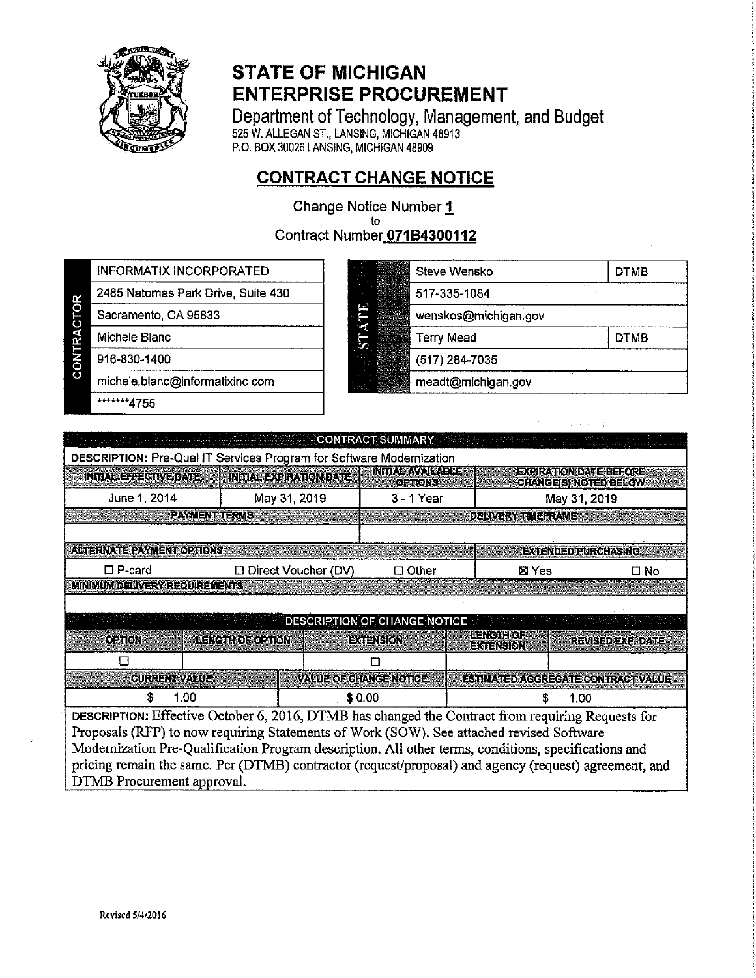

## **STATE OF MICHIGAN ENTERPRISE PROCUREMENT**

Department of Technology, Management, and Budget<br>525 W. ALLEGAN ST., LANSING, MICHIGAN 48913<br>P.O. BOX 30026 LANSING, MICHIGAN 48909

## **CONTRACT CHANGE NOTICE**

Change Notice Number 1 to Contract Number 071B4300112

**INFORMATIX INCORPORATED** 

2485 Natomas Park Drive, Suite 430

CONTRACTOR

916-830-1400

Sacramento, CA 95833

michele.blanc@informatixinc.com

\*\*\*\*\*\*\*4755

Michele Blanc

| Steve Wensko         | <b>DTMB</b> |
|----------------------|-------------|
| 517-335-1084         |             |
| wenskos@michigan.gov |             |
| <b>Terry Mead</b>    | <b>DTMB</b> |
| (517) 284-7035       |             |
| meadt@michigan.gov   |             |

| <b>CONTRACT SUMMARY</b>                                                                                                                                                                                                       |                                                                                                      |                    |                              |                     |                          |                                    |  |  |  |
|-------------------------------------------------------------------------------------------------------------------------------------------------------------------------------------------------------------------------------|------------------------------------------------------------------------------------------------------|--------------------|------------------------------|---------------------|--------------------------|------------------------------------|--|--|--|
| DESCRIPTION: Pre-Qual IT Services Program for Software Modernization<br>INITA SAVAISA BE<br><b>EXCIPATIONDATEERORE</b><br><b>INITIAL EXPIRATION DATE</b><br>INTIAL EEFECTIVE DATE<br>OETIONS:<br><b>CHANGE(S) NOTED BELOW</b> |                                                                                                      |                    |                              |                     |                          |                                    |  |  |  |
| June 1, 2014                                                                                                                                                                                                                  | May 31, 2019                                                                                         | $3 - 1$ Year       |                              |                     |                          | May 31, 2019                       |  |  |  |
|                                                                                                                                                                                                                               | <b>PAYMENT TERUS</b>                                                                                 |                    |                              |                     | <b>DELIVERY THEFRAME</b> |                                    |  |  |  |
| <b>ALTERNATE PAYMENT OPTIONS</b>                                                                                                                                                                                              |                                                                                                      |                    |                              |                     |                          | <b>BXTENDED RURGHASING</b>         |  |  |  |
| $\square$ P-card                                                                                                                                                                                                              | □ Direct Voucher (DV)                                                                                |                    | $\Box$ Other                 |                     | ⊠ Yes                    | □ No                               |  |  |  |
| MINIMUM DELIVERY REQUIREMENTS                                                                                                                                                                                                 |                                                                                                      |                    |                              |                     |                          |                                    |  |  |  |
|                                                                                                                                                                                                                               |                                                                                                      |                    |                              |                     |                          |                                    |  |  |  |
|                                                                                                                                                                                                                               |                                                                                                      |                    | DESCRIPTION OF CHANGE NOTICE | <b>ie Keile Fil</b> |                          |                                    |  |  |  |
| ornov                                                                                                                                                                                                                         | LENCTH OF OPTION                                                                                     |                    | <b>ExTENSION</b>             | $= 0.0001(50)$      |                          | REVISED OXP. DATE                  |  |  |  |
|                                                                                                                                                                                                                               |                                                                                                      |                    | п                            |                     |                          |                                    |  |  |  |
| <b>CURRENT VALUE</b>                                                                                                                                                                                                          |                                                                                                      | VARLEOLOHANGENONGE |                              |                     |                          | ESTIMATED AGGREGATE CONTRACT VALUE |  |  |  |
| \$<br>1.00                                                                                                                                                                                                                    | \$0.00<br>1.00                                                                                       |                    |                              |                     |                          |                                    |  |  |  |
| <b>DESCRIPTION:</b> Effective October 6, 2016, DTMB has changed the Contract from requiring Requests for                                                                                                                      |                                                                                                      |                    |                              |                     |                          |                                    |  |  |  |
| Proposals (RFP) to now requiring Statements of Work (SOW). See attached revised Software                                                                                                                                      |                                                                                                      |                    |                              |                     |                          |                                    |  |  |  |
|                                                                                                                                                                                                                               | Modernization Pre-Qualification Program description. All other terms, conditions, specifications and |                    |                              |                     |                          |                                    |  |  |  |
| pricing remain the same. Per (DTMB) contractor (request/proposal) and agency (request) agreement, and                                                                                                                         |                                                                                                      |                    |                              |                     |                          |                                    |  |  |  |
| DTMB Procurement approval.                                                                                                                                                                                                    |                                                                                                      |                    |                              |                     |                          |                                    |  |  |  |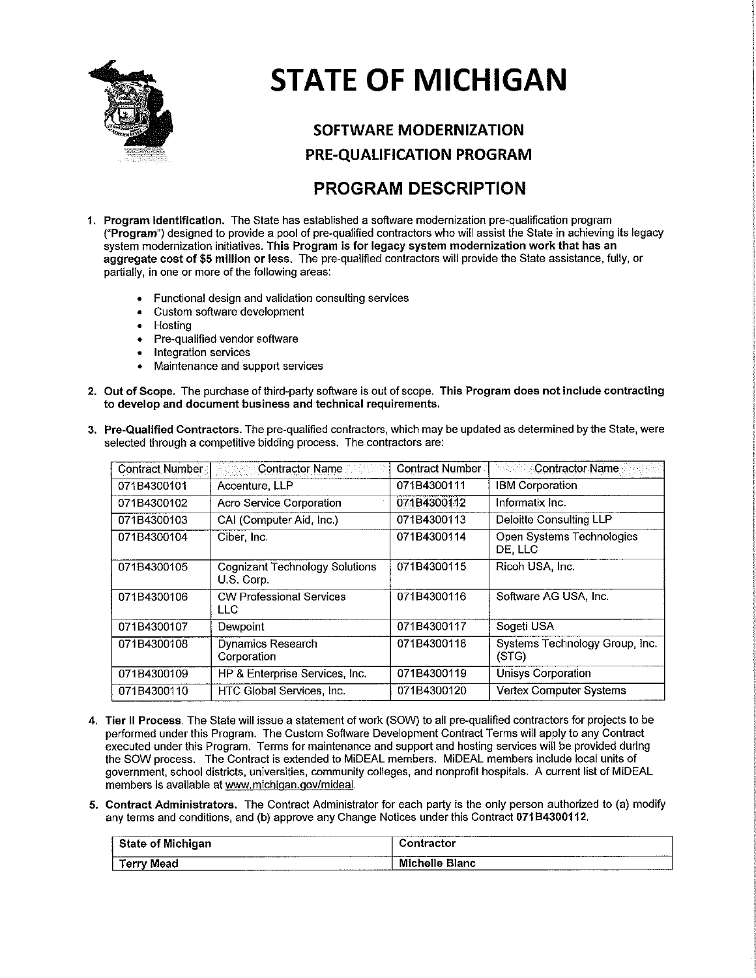

# **STATE OF MICHIGAN**

## **SOFTWARE MODERNIZATION** PRE-QUALIFICATION PROGRAM

## **PROGRAM DESCRIPTION**

- 1. Program Identification. The State has established a software modernization pre-qualification program ("Program") designed to provide a pool of pre-qualified contractors who will assist the State in achieving its legacy system modernization initiatives. This Program is for legacy system modernization work that has an aggregate cost of \$5 million or less. The pre-qualified contractors will provide the State assistance, fully, or partially, in one or more of the following areas:
	- Functional design and validation consulting services  $\bullet$
	- Custom software development
	- Hosting  $\bullet$
	- Pre-qualified vendor software  $\bullet$
	- Integration services
	- Maintenance and support services
- 2. Out of Scope. The purchase of third-party software is out of scope. This Program does not include contracting to develop and document business and technical requirements.

| Contract Number | <b>Contractor Name</b>                              | Contract Number | © Contractor Name                       |
|-----------------|-----------------------------------------------------|-----------------|-----------------------------------------|
| 071B4300101     | Accenture, LLP                                      | 071B4300111     | <b>IBM Corporation</b>                  |
| 071B4300102     | Acro Service Corporation                            | 071B4300112     | Informatix Inc.                         |
| 071B4300103     | CAI (Computer Aid, Inc.)                            | 071B4300113     | Deloitte Consulting LLP                 |
| 071B4300104     | Ciber Inc.                                          | 071B4300114     | Open Systems Technologies<br>DE LLC     |
| 071B4300105     | <b>Cognizant Technology Solutions</b><br>U.S. Corp. | 071B4300115     | Ricoh USA, Inc.                         |
| 071B4300106     | <b>CW Professional Services</b><br>LLC.             | 071B4300116     | Software AG USA, Inc.                   |
| 071B4300107     | Dewpoint                                            | 071B4300117     | Sogeti USA                              |
| 071B4300108     | <b>Dynamics Research</b><br>Corporation             | 071B4300118     | Systems Technology Group, Inc.<br>(STG) |
| 071B4300109     | HP & Enterprise Services, Inc.                      | 071B4300119     | Unisys Corporation                      |
| 071B4300110     | HTC Global Services, Inc.                           | 071B4300120     | <b>Vertex Computer Systems</b>          |

3. Pre-Qualified Contractors. The pre-qualified contractors, which may be updated as determined by the State, were selected through a competitive bidding process. The contractors are:

- 4. Tier II Process. The State will issue a statement of work (SOW) to all pre-qualified contractors for projects to be performed under this Program. The Custom Software Development Contract Terms will apply to any Contract executed under this Program. Terms for maintenance and support and hosting services will be provided during the SOW process. The Contract is extended to MiDEAL members. MiDEAL members include local units of government, school districts, universities, community colleges, and nonprofit hospitals. A current list of MiDEAL members is available at www.michigan.gov/mideal.
- 5. Contract Administrators. The Contract Administrator for each party is the only person authorized to (a) modify any terms and conditions, and (b) approve any Change Notices under this Contract 071B4300112.

| _______<br>.<br>MI.<br>ahimar<br>- 1                                   | ----------<br>ontractor<br>--------           |
|------------------------------------------------------------------------|-----------------------------------------------|
| Mead<br>orn<br>$-$ 611 $-$<br>____________________<br>________________ | Mich<br>Blanc<br>nelle<br>------------------- |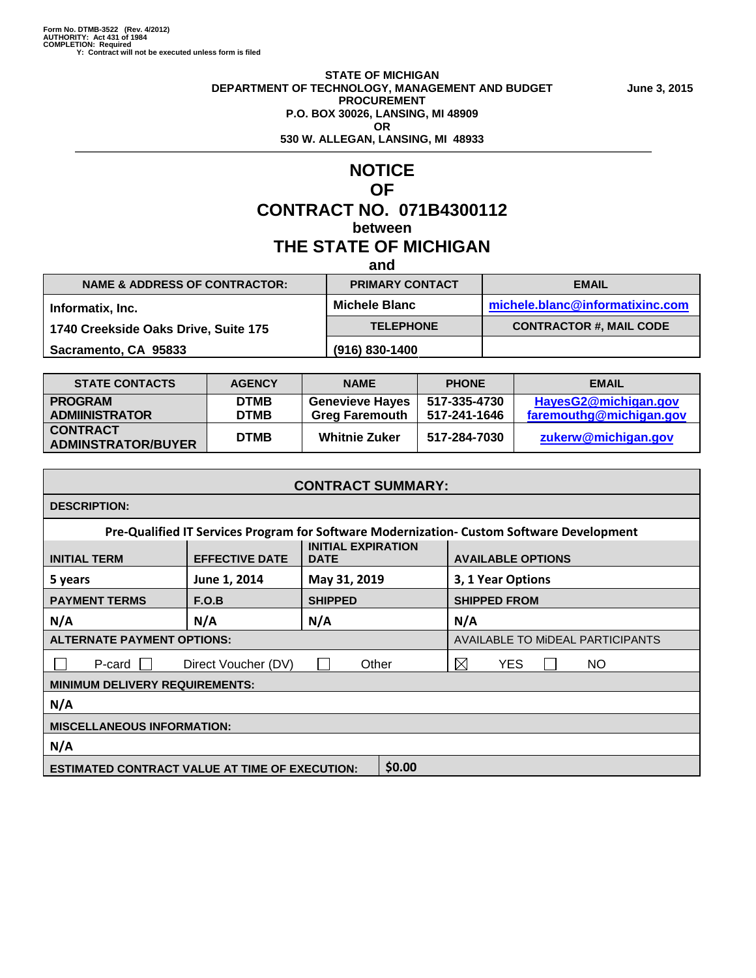#### **STATE OF MICHIGAN DEPARTMENT OF TECHNOLOGY, MANAGEMENT AND BUDGET June 3, 2015 PROCUREMENT P.O. BOX 30026, LANSING, MI 48909 OR 530 W. ALLEGAN, LANSING, MI 48933**

### **NOTICE OF CONTRACT NO. 071B4300112 between THE STATE OF MICHIGAN**

**and**

| <b>NAME &amp; ADDRESS OF CONTRACTOR:</b> | <b>PRIMARY CONTACT</b> | <b>EMAIL</b>                    |
|------------------------------------------|------------------------|---------------------------------|
| Informatix, Inc.                         | <b>Michele Blanc</b>   | michele.blanc@informatixinc.com |
| 1740 Creekside Oaks Drive, Suite 175     | <b>TELEPHONE</b>       | <b>CONTRACTOR #, MAIL CODE</b>  |
| Sacramento, CA 95833                     | (916) 830-1400         |                                 |
|                                          |                        |                                 |

| <b>STATE CONTACTS</b>                        | <b>AGENCY</b> | <b>NAME</b>            | <b>PHONE</b> | <b>EMAIL</b>            |
|----------------------------------------------|---------------|------------------------|--------------|-------------------------|
| <b>PROGRAM</b>                               | <b>DTMB</b>   | <b>Genevieve Hayes</b> | 517-335-4730 | HayesG2@michigan.gov    |
| <b>ADMIINISTRATOR</b>                        | <b>DTMB</b>   | <b>Greg Faremouth</b>  | 517-241-1646 | faremouthg@michigan.gov |
| <b>CONTRACT</b><br><b>ADMINSTRATOR/BUYER</b> | <b>DTMB</b>   | <b>Whitnie Zuker</b>   | 517-284-7030 | zukerw@michigan.gov     |

| <b>CONTRACT SUMMARY:</b>                                                                                             |                     |                |                                                                                           |  |  |  |  |
|----------------------------------------------------------------------------------------------------------------------|---------------------|----------------|-------------------------------------------------------------------------------------------|--|--|--|--|
| <b>DESCRIPTION:</b>                                                                                                  |                     |                |                                                                                           |  |  |  |  |
|                                                                                                                      |                     |                | Pre-Qualified IT Services Program for Software Modernization- Custom Software Development |  |  |  |  |
| <b>INITIAL EXPIRATION</b><br><b>EFFECTIVE DATE</b><br><b>AVAILABLE OPTIONS</b><br><b>INITIAL TERM</b><br><b>DATE</b> |                     |                |                                                                                           |  |  |  |  |
| 5 years                                                                                                              | June 1, 2014        | May 31, 2019   | 3, 1 Year Options                                                                         |  |  |  |  |
| <b>PAYMENT TERMS</b>                                                                                                 | F.O.B               | <b>SHIPPED</b> | <b>SHIPPED FROM</b>                                                                       |  |  |  |  |
| N/A                                                                                                                  | N/A<br>N/A<br>N/A   |                |                                                                                           |  |  |  |  |
| <b>ALTERNATE PAYMENT OPTIONS:</b>                                                                                    |                     |                | AVAILABLE TO MIDEAL PARTICIPANTS                                                          |  |  |  |  |
| P-card                                                                                                               | Direct Voucher (DV) | Other          | $\boxtimes$<br><b>YES</b><br>NO.                                                          |  |  |  |  |
| <b>MINIMUM DELIVERY REQUIREMENTS:</b>                                                                                |                     |                |                                                                                           |  |  |  |  |
| N/A                                                                                                                  |                     |                |                                                                                           |  |  |  |  |
| <b>MISCELLANEOUS INFORMATION:</b>                                                                                    |                     |                |                                                                                           |  |  |  |  |
| N/A                                                                                                                  |                     |                |                                                                                           |  |  |  |  |
| <b>ESTIMATED CONTRACT VALUE AT TIME OF EXECUTION:</b>                                                                |                     | \$0.00         |                                                                                           |  |  |  |  |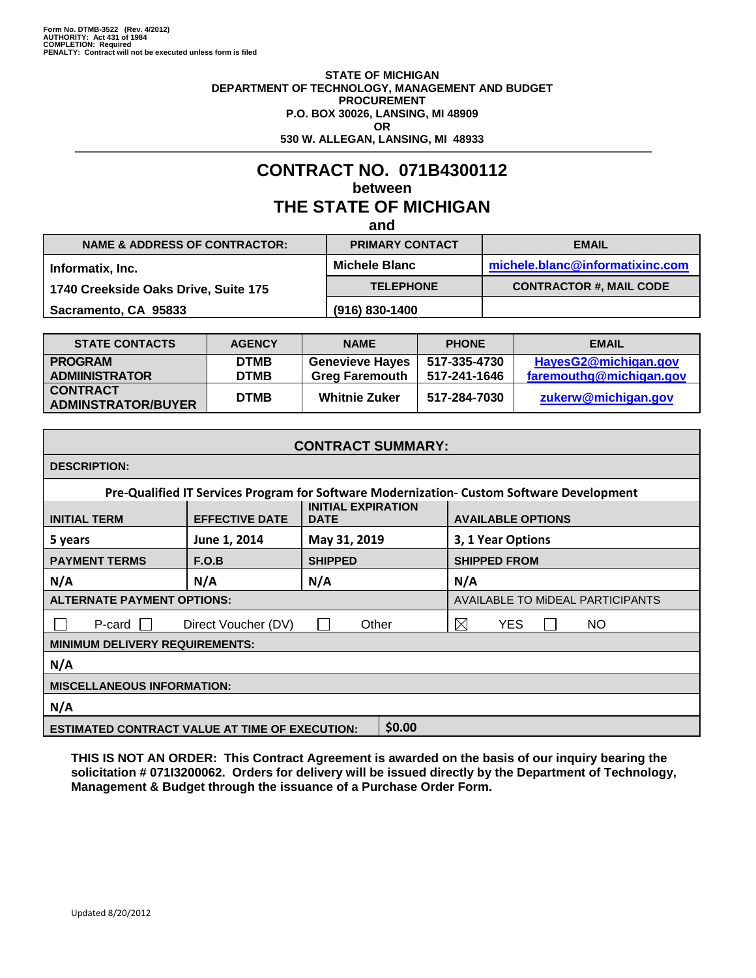#### **STATE OF MICHIGAN DEPARTMENT OF TECHNOLOGY, MANAGEMENT AND BUDGET PROCUREMENT P.O. BOX 30026, LANSING, MI 48909 OR 530 W. ALLEGAN, LANSING, MI 48933**

## **CONTRACT NO. 071B4300112 between THE STATE OF MICHIGAN**

**and**

|                                          | .                      |                                 |
|------------------------------------------|------------------------|---------------------------------|
| <b>NAME &amp; ADDRESS OF CONTRACTOR:</b> | <b>PRIMARY CONTACT</b> | <b>EMAIL</b>                    |
| Informatix, Inc.                         | <b>Michele Blanc</b>   | michele.blanc@informatixinc.com |
| 1740 Creekside Oaks Drive, Suite 175     | <b>TELEPHONE</b>       | <b>CONTRACTOR #, MAIL CODE</b>  |
| Sacramento, CA 95833                     | (916) 830-1400         |                                 |

| <b>STATE CONTACTS</b>                        | <b>AGENCY</b> | <b>NAME</b>            | <b>PHONE</b> | <b>EMAIL</b>            |
|----------------------------------------------|---------------|------------------------|--------------|-------------------------|
| <b>PROGRAM</b>                               | <b>DTMB</b>   | <b>Genevieve Hayes</b> | 517-335-4730 | HayesG2@michigan.gov    |
| <b>ADMIINISTRATOR</b>                        | <b>DTMB</b>   | <b>Greg Faremouth</b>  | 517-241-1646 | faremouthg@michigan.gov |
| <b>CONTRACT</b><br><b>ADMINSTRATOR/BUYER</b> | <b>DTMB</b>   | <b>Whitnie Zuker</b>   | 517-284-7030 | zukerw@michigan.gov     |

| <b>CONTRACT SUMMARY:</b>                                                                                             |                     |                |                                                                                           |  |  |  |
|----------------------------------------------------------------------------------------------------------------------|---------------------|----------------|-------------------------------------------------------------------------------------------|--|--|--|
| <b>DESCRIPTION:</b>                                                                                                  |                     |                |                                                                                           |  |  |  |
|                                                                                                                      |                     |                | Pre-Qualified IT Services Program for Software Modernization- Custom Software Development |  |  |  |
| <b>INITIAL EXPIRATION</b><br><b>EFFECTIVE DATE</b><br><b>AVAILABLE OPTIONS</b><br><b>INITIAL TERM</b><br><b>DATE</b> |                     |                |                                                                                           |  |  |  |
| June 1, 2014<br>May 31, 2019<br>5 years                                                                              |                     |                | 3, 1 Year Options                                                                         |  |  |  |
| <b>PAYMENT TERMS</b><br>F.O.B                                                                                        |                     | <b>SHIPPED</b> | <b>SHIPPED FROM</b>                                                                       |  |  |  |
| N/A                                                                                                                  | N/A                 | N/A            | N/A                                                                                       |  |  |  |
| <b>ALTERNATE PAYMENT OPTIONS:</b>                                                                                    |                     |                | <b>AVAILABLE TO MIDEAL PARTICIPANTS</b>                                                   |  |  |  |
| P-card                                                                                                               | Direct Voucher (DV) | Other          | $\boxtimes$<br><b>YES</b><br>NO.                                                          |  |  |  |
| <b>MINIMUM DELIVERY REQUIREMENTS:</b>                                                                                |                     |                |                                                                                           |  |  |  |
| N/A                                                                                                                  |                     |                |                                                                                           |  |  |  |
| <b>MISCELLANEOUS INFORMATION:</b>                                                                                    |                     |                |                                                                                           |  |  |  |
| N/A                                                                                                                  |                     |                |                                                                                           |  |  |  |
| <b>ESTIMATED CONTRACT VALUE AT TIME OF EXECUTION:</b>                                                                |                     | \$0.00         |                                                                                           |  |  |  |

**THIS IS NOT AN ORDER: This Contract Agreement is awarded on the basis of our inquiry bearing the solicitation # 071I3200062. Orders for delivery will be issued directly by the Department of Technology, Management & Budget through the issuance of a Purchase Order Form.**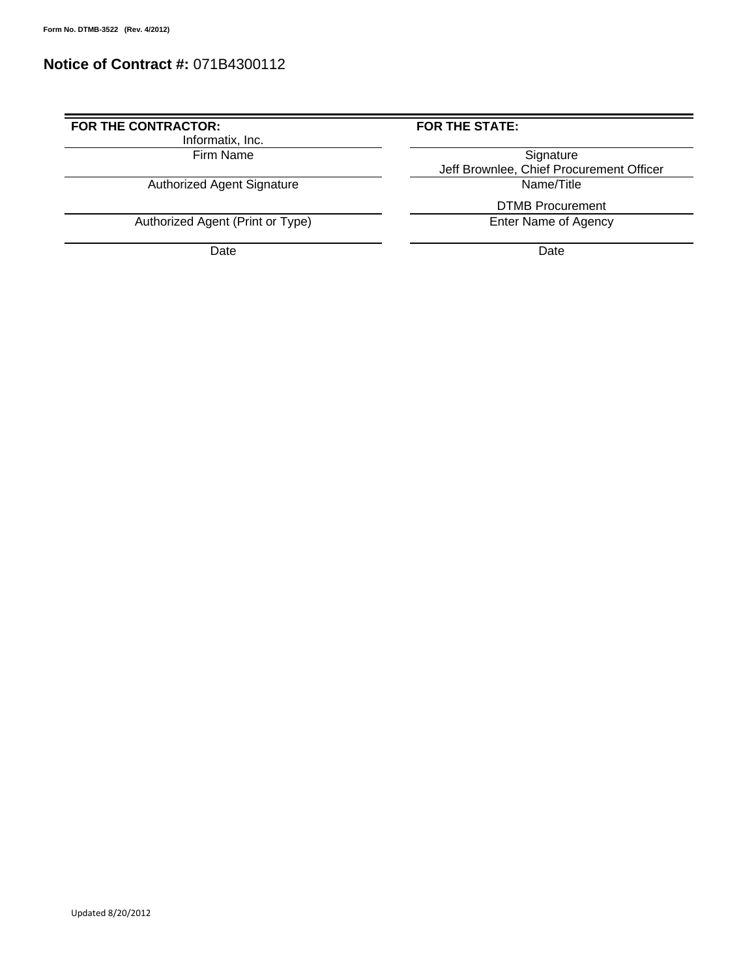#### **Notice of Contract #:** 071B4300112

#### FOR THE CONTRACTOR: **FOR THE STATE:**

Informatix, Inc.

Authorized Agent Signature

Authorized Agent (Print or Type)

Date **Date Date Date Date Date Date** 

Firm Name Signature **Jeff Brownlee, Chief Procurement Officer<br>Name/Title** 

DTMB Procurement<br>Enter Name of Agency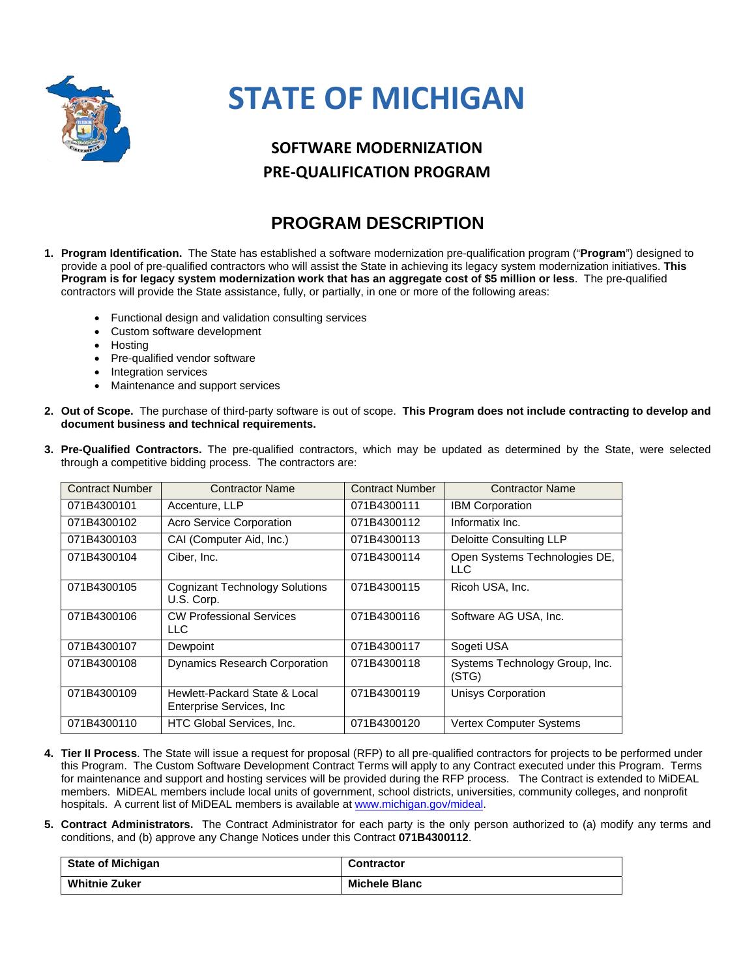

## **STATE OF MICHIGAN**

## **SOFTWARE MODERNIZATION PRE‐QUALIFICATION PROGRAM**

## **PROGRAM DESCRIPTION**

- **1. Program Identification.** The State has established a software modernization pre-qualification program ("**Program**") designed to provide a pool of pre-qualified contractors who will assist the State in achieving its legacy system modernization initiatives. **This Program is for legacy system modernization work that has an aggregate cost of \$5 million or less**. The pre-qualified contractors will provide the State assistance, fully, or partially, in one or more of the following areas:
	- Functional design and validation consulting services
	- Custom software development
	- **Hosting**
	- Pre-qualified vendor software
	- Integration services
	- Maintenance and support services
- **2. Out of Scope.** The purchase of third-party software is out of scope. **This Program does not include contracting to develop and document business and technical requirements.**

| 3. Pre-Qualified Contractors. The pre-qualified contractors, which may be updated as determined by the State, were selected |  |  |  |  |  |  |  |
|-----------------------------------------------------------------------------------------------------------------------------|--|--|--|--|--|--|--|
| through a competitive bidding process. The contractors are:                                                                 |  |  |  |  |  |  |  |

| <b>Contract Number</b> | <b>Contractor Name</b>                                     | <b>Contract Number</b> | <b>Contractor Name</b>                  |
|------------------------|------------------------------------------------------------|------------------------|-----------------------------------------|
| 071B4300101            | Accenture, LLP                                             | 071B4300111            | <b>IBM Corporation</b>                  |
| 071B4300102            | <b>Acro Service Corporation</b>                            | 071B4300112            | Informatix Inc.                         |
| 071B4300103            | CAI (Computer Aid, Inc.)                                   | 071B4300113            | Deloitte Consulting LLP                 |
| 071B4300104            | Ciber, Inc.                                                | 071B4300114            | Open Systems Technologies DE,<br>LLC    |
| 071B4300105            | <b>Cognizant Technology Solutions</b><br>U.S. Corp.        | 071B4300115            | Ricoh USA, Inc.                         |
| 071B4300106            | <b>CW Professional Services</b><br>LLC.                    | 071B4300116            | Software AG USA, Inc.                   |
| 071B4300107            | Dewpoint                                                   | 071B4300117            | Sogeti USA                              |
| 071B4300108            | <b>Dynamics Research Corporation</b>                       | 071B4300118            | Systems Technology Group, Inc.<br>(STG) |
| 071B4300109            | Hewlett-Packard State & Local<br>Enterprise Services, Inc. | 071B4300119            | Unisys Corporation                      |
| 071B4300110            | HTC Global Services, Inc.                                  | 071B4300120            | <b>Vertex Computer Systems</b>          |

- **4. Tier II Process**. The State will issue a request for proposal (RFP) to all pre-qualified contractors for projects to be performed under this Program. The Custom Software Development Contract Terms will apply to any Contract executed under this Program. Terms for maintenance and support and hosting services will be provided during the RFP process. The Contract is extended to MiDEAL members. MiDEAL members include local units of government, school districts, universities, community colleges, and nonprofit hospitals. A current list of MiDEAL members is available at www.michigan.gov/mideal.
- **5. Contract Administrators.** The Contract Administrator for each party is the only person authorized to (a) modify any terms and conditions, and (b) approve any Change Notices under this Contract **071B4300112**.

| <b>State of Michigan</b> | <b>Contractor</b>    |
|--------------------------|----------------------|
| <b>Whitnie Zuker</b>     | <b>Michele Blanc</b> |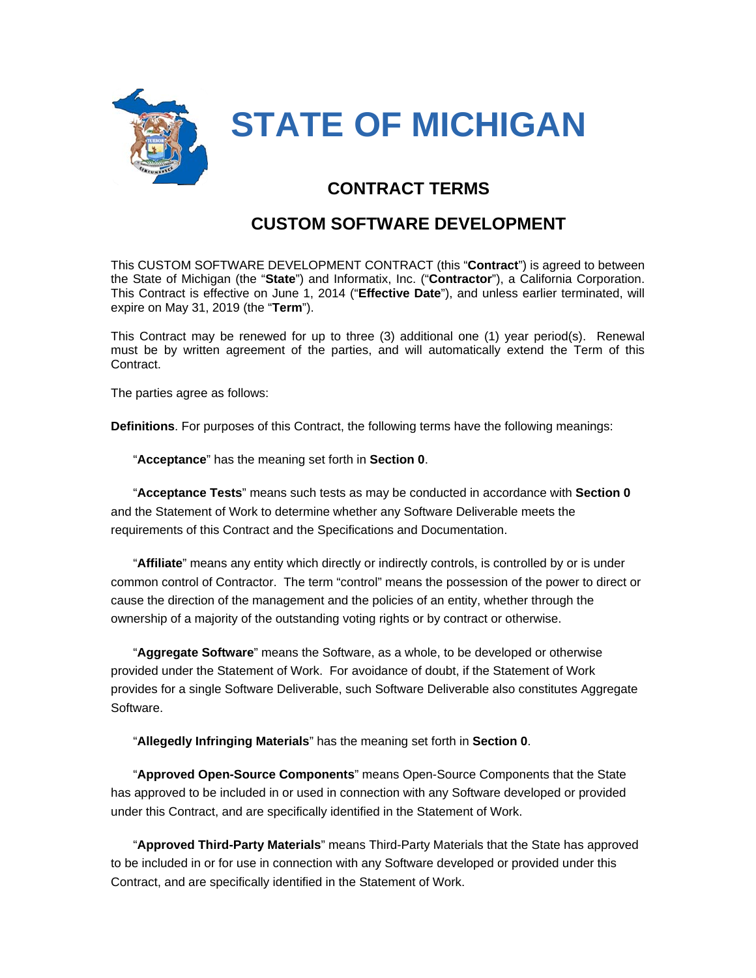

## **CONTRACT TERMS**

## **CUSTOM SOFTWARE DEVELOPMENT**

This CUSTOM SOFTWARE DEVELOPMENT CONTRACT (this "**Contract**") is agreed to between the State of Michigan (the "**State**") and Informatix, Inc. ("**Contractor**"), a California Corporation. This Contract is effective on June 1, 2014 ("**Effective Date**"), and unless earlier terminated, will expire on May 31, 2019 (the "**Term**").

This Contract may be renewed for up to three (3) additional one (1) year period(s). Renewal must be by written agreement of the parties, and will automatically extend the Term of this Contract.

The parties agree as follows:

**Definitions**. For purposes of this Contract, the following terms have the following meanings:

"**Acceptance**" has the meaning set forth in **Section 0**.

"**Acceptance Tests**" means such tests as may be conducted in accordance with **Section 0** and the Statement of Work to determine whether any Software Deliverable meets the requirements of this Contract and the Specifications and Documentation.

"**Affiliate**" means any entity which directly or indirectly controls, is controlled by or is under common control of Contractor. The term "control" means the possession of the power to direct or cause the direction of the management and the policies of an entity, whether through the ownership of a majority of the outstanding voting rights or by contract or otherwise.

"**Aggregate Software**" means the Software, as a whole, to be developed or otherwise provided under the Statement of Work. For avoidance of doubt, if the Statement of Work provides for a single Software Deliverable, such Software Deliverable also constitutes Aggregate Software.

"**Allegedly Infringing Materials**" has the meaning set forth in **Section 0**.

"**Approved Open-Source Components**" means Open-Source Components that the State has approved to be included in or used in connection with any Software developed or provided under this Contract, and are specifically identified in the Statement of Work.

"**Approved Third-Party Materials**" means Third-Party Materials that the State has approved to be included in or for use in connection with any Software developed or provided under this Contract, and are specifically identified in the Statement of Work.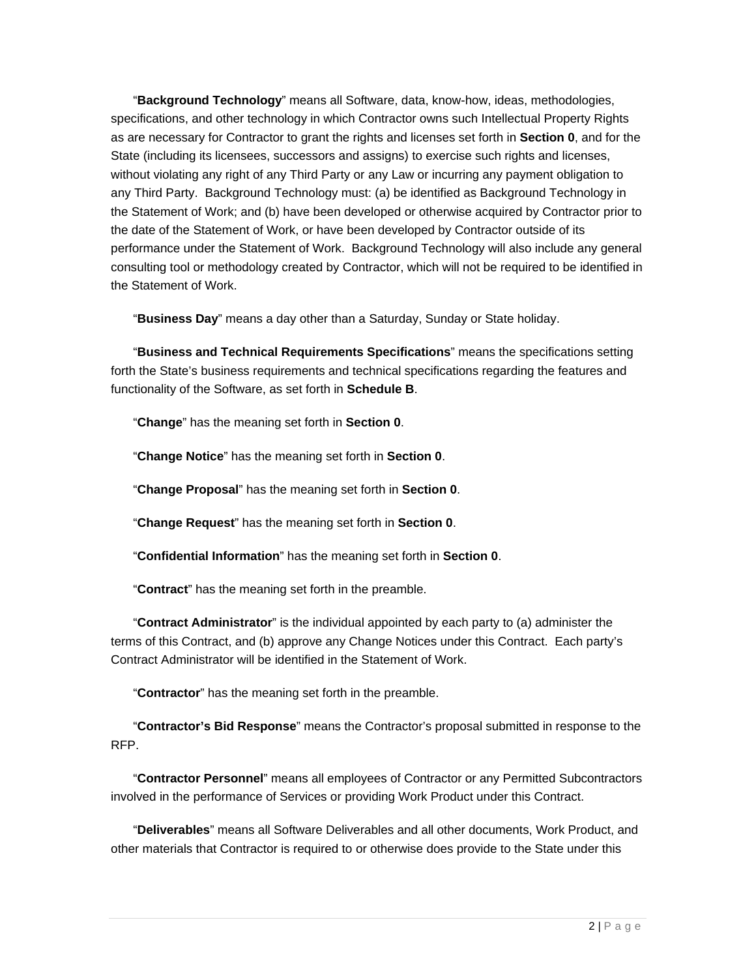"**Background Technology**" means all Software, data, know-how, ideas, methodologies, specifications, and other technology in which Contractor owns such Intellectual Property Rights as are necessary for Contractor to grant the rights and licenses set forth in **Section 0**, and for the State (including its licensees, successors and assigns) to exercise such rights and licenses, without violating any right of any Third Party or any Law or incurring any payment obligation to any Third Party. Background Technology must: (a) be identified as Background Technology in the Statement of Work; and (b) have been developed or otherwise acquired by Contractor prior to the date of the Statement of Work, or have been developed by Contractor outside of its performance under the Statement of Work. Background Technology will also include any general consulting tool or methodology created by Contractor, which will not be required to be identified in the Statement of Work.

"**Business Day**" means a day other than a Saturday, Sunday or State holiday.

"**Business and Technical Requirements Specifications**" means the specifications setting forth the State's business requirements and technical specifications regarding the features and functionality of the Software, as set forth in **Schedule B**.

"**Change**" has the meaning set forth in **Section 0**.

"**Change Notice**" has the meaning set forth in **Section 0**.

"**Change Proposal**" has the meaning set forth in **Section 0**.

"**Change Request**" has the meaning set forth in **Section 0**.

"**Confidential Information**" has the meaning set forth in **Section 0**.

"**Contract**" has the meaning set forth in the preamble.

"**Contract Administrator**" is the individual appointed by each party to (a) administer the terms of this Contract, and (b) approve any Change Notices under this Contract. Each party's Contract Administrator will be identified in the Statement of Work.

"**Contractor**" has the meaning set forth in the preamble.

"**Contractor's Bid Response**" means the Contractor's proposal submitted in response to the RFP.

"**Contractor Personnel**" means all employees of Contractor or any Permitted Subcontractors involved in the performance of Services or providing Work Product under this Contract.

"**Deliverables**" means all Software Deliverables and all other documents, Work Product, and other materials that Contractor is required to or otherwise does provide to the State under this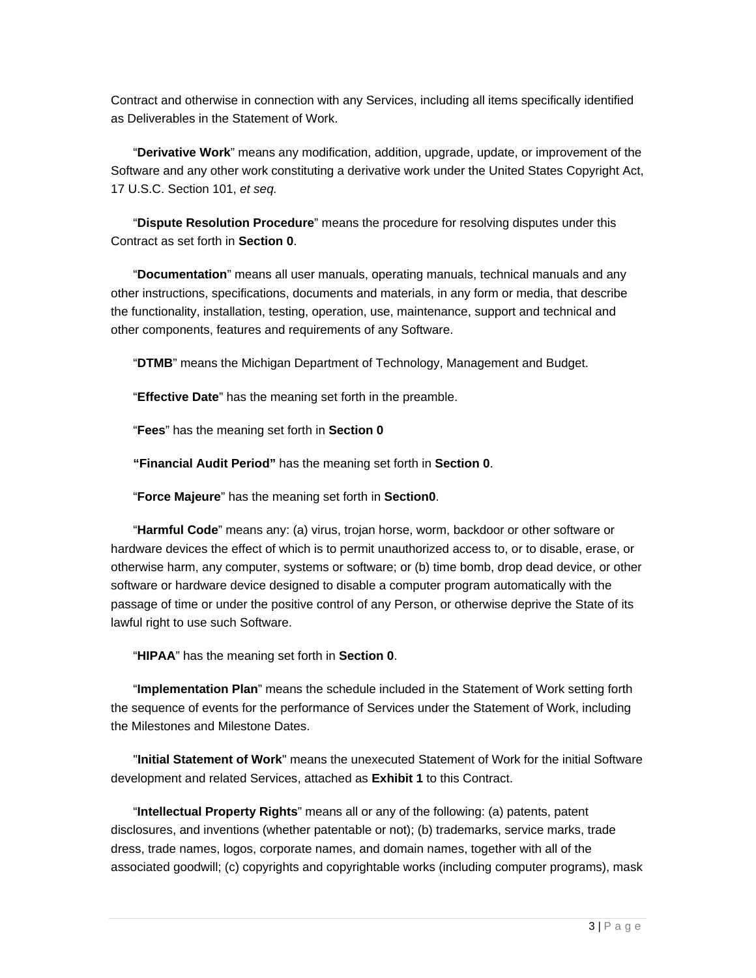Contract and otherwise in connection with any Services, including all items specifically identified as Deliverables in the Statement of Work.

"**Derivative Work**" means any modification, addition, upgrade, update, or improvement of the Software and any other work constituting a derivative work under the United States Copyright Act, 17 U.S.C. Section 101, *et seq.*

"**Dispute Resolution Procedure**" means the procedure for resolving disputes under this Contract as set forth in **Section 0**.

"**Documentation**" means all user manuals, operating manuals, technical manuals and any other instructions, specifications, documents and materials, in any form or media, that describe the functionality, installation, testing, operation, use, maintenance, support and technical and other components, features and requirements of any Software.

"**DTMB**" means the Michigan Department of Technology, Management and Budget.

"**Effective Date**" has the meaning set forth in the preamble.

"**Fees**" has the meaning set forth in **Section 0**

**"Financial Audit Period"** has the meaning set forth in **Section 0**.

"**Force Majeure**" has the meaning set forth in **Section0**.

"**Harmful Code**" means any: (a) virus, trojan horse, worm, backdoor or other software or hardware devices the effect of which is to permit unauthorized access to, or to disable, erase, or otherwise harm, any computer, systems or software; or (b) time bomb, drop dead device, or other software or hardware device designed to disable a computer program automatically with the passage of time or under the positive control of any Person, or otherwise deprive the State of its lawful right to use such Software.

"**HIPAA**" has the meaning set forth in **Section 0**.

"**Implementation Plan**" means the schedule included in the Statement of Work setting forth the sequence of events for the performance of Services under the Statement of Work, including the Milestones and Milestone Dates.

"**Initial Statement of Work**" means the unexecuted Statement of Work for the initial Software development and related Services, attached as **Exhibit 1** to this Contract.

"**Intellectual Property Rights**" means all or any of the following: (a) patents, patent disclosures, and inventions (whether patentable or not); (b) trademarks, service marks, trade dress, trade names, logos, corporate names, and domain names, together with all of the associated goodwill; (c) copyrights and copyrightable works (including computer programs), mask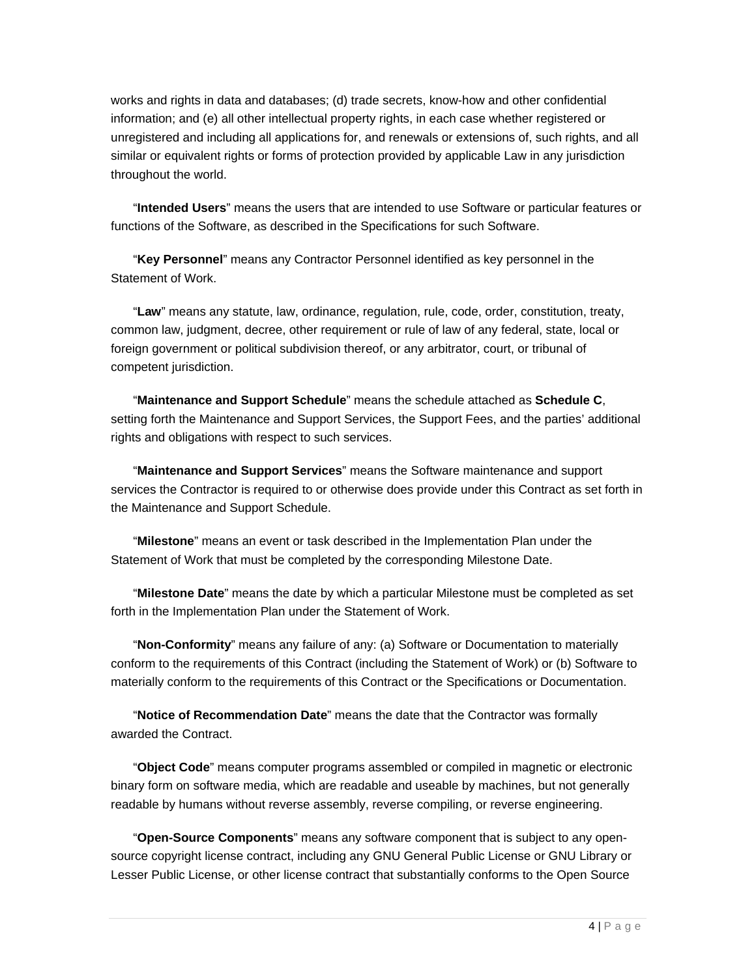works and rights in data and databases; (d) trade secrets, know-how and other confidential information; and (e) all other intellectual property rights, in each case whether registered or unregistered and including all applications for, and renewals or extensions of, such rights, and all similar or equivalent rights or forms of protection provided by applicable Law in any jurisdiction throughout the world.

"**Intended Users**" means the users that are intended to use Software or particular features or functions of the Software, as described in the Specifications for such Software.

"**Key Personnel**" means any Contractor Personnel identified as key personnel in the Statement of Work.

"**Law**" means any statute, law, ordinance, regulation, rule, code, order, constitution, treaty, common law, judgment, decree, other requirement or rule of law of any federal, state, local or foreign government or political subdivision thereof, or any arbitrator, court, or tribunal of competent jurisdiction.

"**Maintenance and Support Schedule**" means the schedule attached as **Schedule C**, setting forth the Maintenance and Support Services, the Support Fees, and the parties' additional rights and obligations with respect to such services.

"**Maintenance and Support Services**" means the Software maintenance and support services the Contractor is required to or otherwise does provide under this Contract as set forth in the Maintenance and Support Schedule.

"**Milestone**" means an event or task described in the Implementation Plan under the Statement of Work that must be completed by the corresponding Milestone Date.

"**Milestone Date**" means the date by which a particular Milestone must be completed as set forth in the Implementation Plan under the Statement of Work.

"**Non-Conformity**" means any failure of any: (a) Software or Documentation to materially conform to the requirements of this Contract (including the Statement of Work) or (b) Software to materially conform to the requirements of this Contract or the Specifications or Documentation.

"**Notice of Recommendation Date**" means the date that the Contractor was formally awarded the Contract.

"**Object Code**" means computer programs assembled or compiled in magnetic or electronic binary form on software media, which are readable and useable by machines, but not generally readable by humans without reverse assembly, reverse compiling, or reverse engineering.

"**Open-Source Components**" means any software component that is subject to any opensource copyright license contract, including any GNU General Public License or GNU Library or Lesser Public License, or other license contract that substantially conforms to the Open Source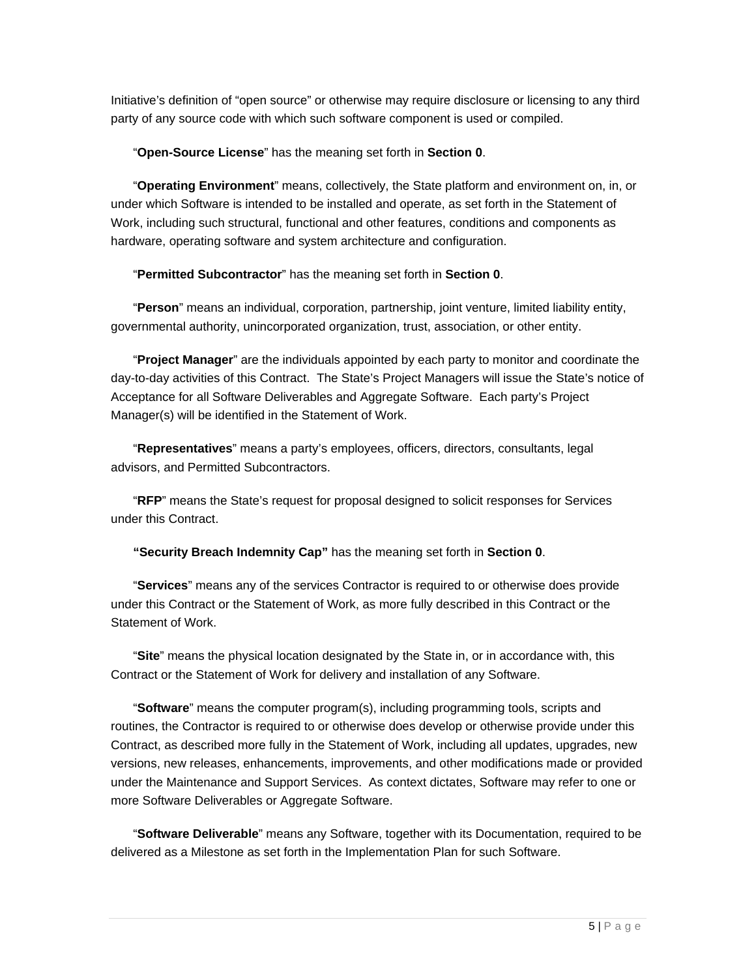Initiative's definition of "open source" or otherwise may require disclosure or licensing to any third party of any source code with which such software component is used or compiled.

"**Open-Source License**" has the meaning set forth in **Section 0**.

"**Operating Environment**" means, collectively, the State platform and environment on, in, or under which Software is intended to be installed and operate, as set forth in the Statement of Work, including such structural, functional and other features, conditions and components as hardware, operating software and system architecture and configuration.

"**Permitted Subcontractor**" has the meaning set forth in **Section 0**.

"**Person**" means an individual, corporation, partnership, joint venture, limited liability entity, governmental authority, unincorporated organization, trust, association, or other entity.

"**Project Manager**" are the individuals appointed by each party to monitor and coordinate the day-to-day activities of this Contract. The State's Project Managers will issue the State's notice of Acceptance for all Software Deliverables and Aggregate Software. Each party's Project Manager(s) will be identified in the Statement of Work.

"**Representatives**" means a party's employees, officers, directors, consultants, legal advisors, and Permitted Subcontractors.

"**RFP**" means the State's request for proposal designed to solicit responses for Services under this Contract.

**"Security Breach Indemnity Cap"** has the meaning set forth in **Section 0**.

"**Services**" means any of the services Contractor is required to or otherwise does provide under this Contract or the Statement of Work, as more fully described in this Contract or the Statement of Work.

"**Site**" means the physical location designated by the State in, or in accordance with, this Contract or the Statement of Work for delivery and installation of any Software.

"**Software**" means the computer program(s), including programming tools, scripts and routines, the Contractor is required to or otherwise does develop or otherwise provide under this Contract, as described more fully in the Statement of Work, including all updates, upgrades, new versions, new releases, enhancements, improvements, and other modifications made or provided under the Maintenance and Support Services. As context dictates, Software may refer to one or more Software Deliverables or Aggregate Software.

"**Software Deliverable**" means any Software, together with its Documentation, required to be delivered as a Milestone as set forth in the Implementation Plan for such Software.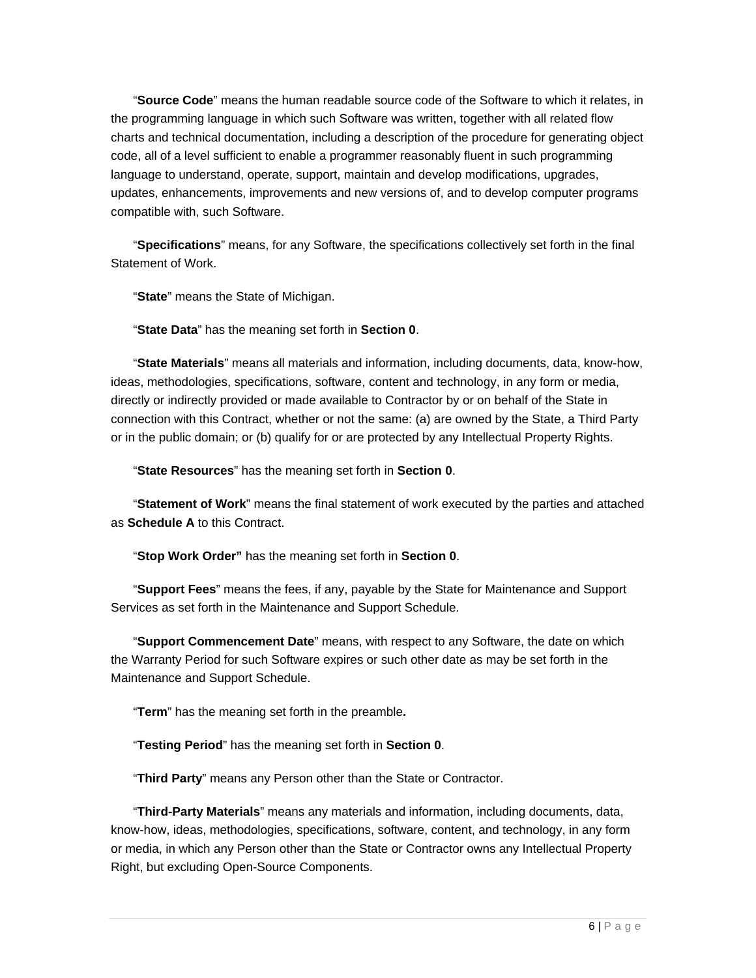"**Source Code**" means the human readable source code of the Software to which it relates, in the programming language in which such Software was written, together with all related flow charts and technical documentation, including a description of the procedure for generating object code, all of a level sufficient to enable a programmer reasonably fluent in such programming language to understand, operate, support, maintain and develop modifications, upgrades, updates, enhancements, improvements and new versions of, and to develop computer programs compatible with, such Software.

"**Specifications**" means, for any Software, the specifications collectively set forth in the final Statement of Work.

"**State**" means the State of Michigan.

"**State Data**" has the meaning set forth in **Section 0**.

"**State Materials**" means all materials and information, including documents, data, know-how, ideas, methodologies, specifications, software, content and technology, in any form or media, directly or indirectly provided or made available to Contractor by or on behalf of the State in connection with this Contract, whether or not the same: (a) are owned by the State, a Third Party or in the public domain; or (b) qualify for or are protected by any Intellectual Property Rights.

"**State Resources**" has the meaning set forth in **Section 0**.

"**Statement of Work**" means the final statement of work executed by the parties and attached as **Schedule A** to this Contract.

"**Stop Work Order"** has the meaning set forth in **Section 0**.

"**Support Fees**" means the fees, if any, payable by the State for Maintenance and Support Services as set forth in the Maintenance and Support Schedule.

"**Support Commencement Date**" means, with respect to any Software, the date on which the Warranty Period for such Software expires or such other date as may be set forth in the Maintenance and Support Schedule.

"**Term**" has the meaning set forth in the preamble**.**

"**Testing Period**" has the meaning set forth in **Section 0**.

"**Third Party**" means any Person other than the State or Contractor.

"**Third-Party Materials**" means any materials and information, including documents, data, know-how, ideas, methodologies, specifications, software, content, and technology, in any form or media, in which any Person other than the State or Contractor owns any Intellectual Property Right, but excluding Open-Source Components.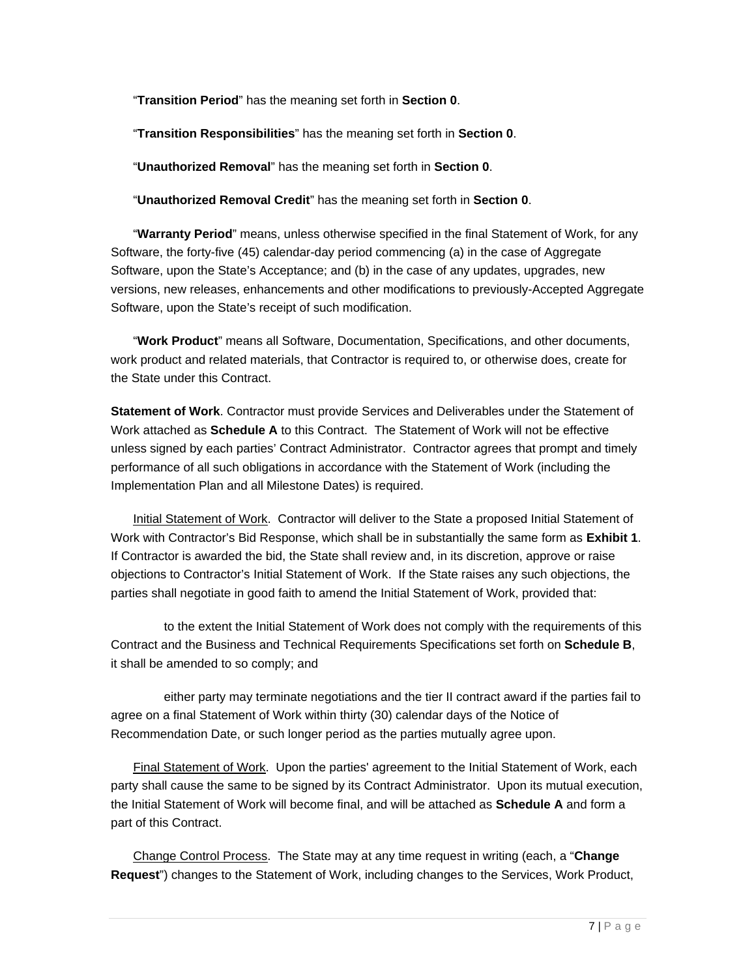"**Transition Period**" has the meaning set forth in **Section 0**.

"**Transition Responsibilities**" has the meaning set forth in **Section 0**.

"**Unauthorized Removal**" has the meaning set forth in **Section 0**.

"**Unauthorized Removal Credit**" has the meaning set forth in **Section 0**.

"**Warranty Period**" means, unless otherwise specified in the final Statement of Work, for any Software, the forty-five (45) calendar-day period commencing (a) in the case of Aggregate Software, upon the State's Acceptance; and (b) in the case of any updates, upgrades, new versions, new releases, enhancements and other modifications to previously-Accepted Aggregate Software, upon the State's receipt of such modification.

"**Work Product**" means all Software, Documentation, Specifications, and other documents, work product and related materials, that Contractor is required to, or otherwise does, create for the State under this Contract.

**Statement of Work**. Contractor must provide Services and Deliverables under the Statement of Work attached as **Schedule A** to this Contract. The Statement of Work will not be effective unless signed by each parties' Contract Administrator. Contractor agrees that prompt and timely performance of all such obligations in accordance with the Statement of Work (including the Implementation Plan and all Milestone Dates) is required.

Initial Statement of Work. Contractor will deliver to the State a proposed Initial Statement of Work with Contractor's Bid Response, which shall be in substantially the same form as **Exhibit 1**. If Contractor is awarded the bid, the State shall review and, in its discretion, approve or raise objections to Contractor's Initial Statement of Work. If the State raises any such objections, the parties shall negotiate in good faith to amend the Initial Statement of Work, provided that:

to the extent the Initial Statement of Work does not comply with the requirements of this Contract and the Business and Technical Requirements Specifications set forth on **Schedule B**, it shall be amended to so comply; and

either party may terminate negotiations and the tier II contract award if the parties fail to agree on a final Statement of Work within thirty (30) calendar days of the Notice of Recommendation Date, or such longer period as the parties mutually agree upon.

Final Statement of Work. Upon the parties' agreement to the Initial Statement of Work, each party shall cause the same to be signed by its Contract Administrator. Upon its mutual execution, the Initial Statement of Work will become final, and will be attached as **Schedule A** and form a part of this Contract.

Change Control Process. The State may at any time request in writing (each, a "**Change Request**") changes to the Statement of Work, including changes to the Services, Work Product,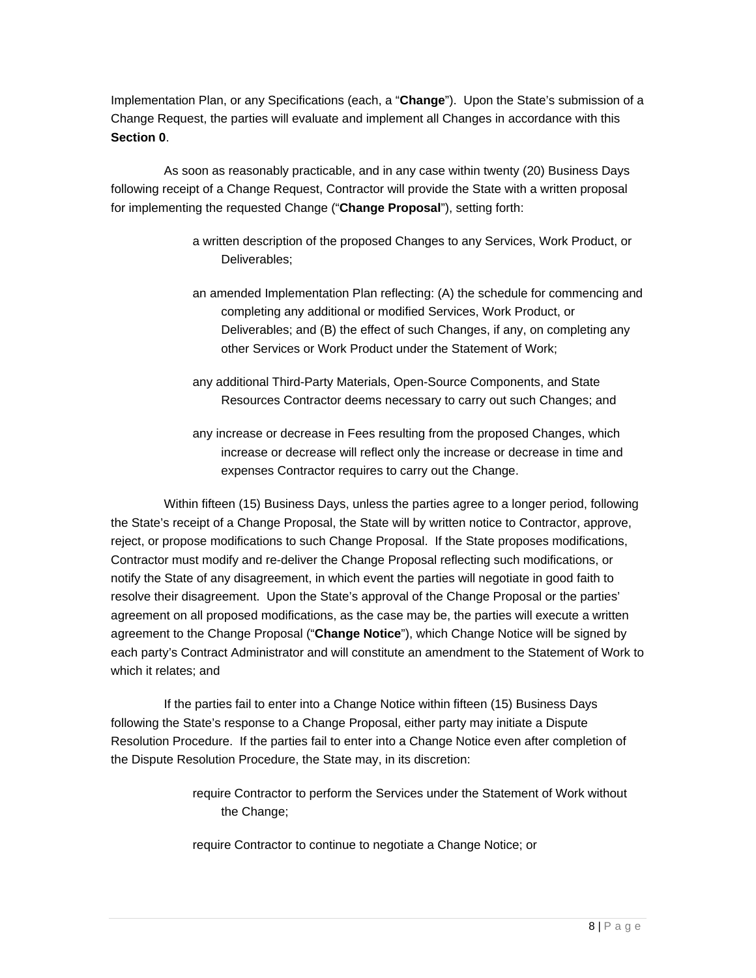Implementation Plan, or any Specifications (each, a "**Change**"). Upon the State's submission of a Change Request, the parties will evaluate and implement all Changes in accordance with this **Section 0**.

As soon as reasonably practicable, and in any case within twenty (20) Business Days following receipt of a Change Request, Contractor will provide the State with a written proposal for implementing the requested Change ("**Change Proposal**"), setting forth:

- a written description of the proposed Changes to any Services, Work Product, or Deliverables;
- an amended Implementation Plan reflecting: (A) the schedule for commencing and completing any additional or modified Services, Work Product, or Deliverables; and (B) the effect of such Changes, if any, on completing any other Services or Work Product under the Statement of Work;
- any additional Third-Party Materials, Open-Source Components, and State Resources Contractor deems necessary to carry out such Changes; and
- any increase or decrease in Fees resulting from the proposed Changes, which increase or decrease will reflect only the increase or decrease in time and expenses Contractor requires to carry out the Change.

Within fifteen (15) Business Days, unless the parties agree to a longer period, following the State's receipt of a Change Proposal, the State will by written notice to Contractor, approve, reject, or propose modifications to such Change Proposal. If the State proposes modifications, Contractor must modify and re-deliver the Change Proposal reflecting such modifications, or notify the State of any disagreement, in which event the parties will negotiate in good faith to resolve their disagreement. Upon the State's approval of the Change Proposal or the parties' agreement on all proposed modifications, as the case may be, the parties will execute a written agreement to the Change Proposal ("**Change Notice**"), which Change Notice will be signed by each party's Contract Administrator and will constitute an amendment to the Statement of Work to which it relates; and

If the parties fail to enter into a Change Notice within fifteen (15) Business Days following the State's response to a Change Proposal, either party may initiate a Dispute Resolution Procedure. If the parties fail to enter into a Change Notice even after completion of the Dispute Resolution Procedure, the State may, in its discretion:

> require Contractor to perform the Services under the Statement of Work without the Change;

require Contractor to continue to negotiate a Change Notice; or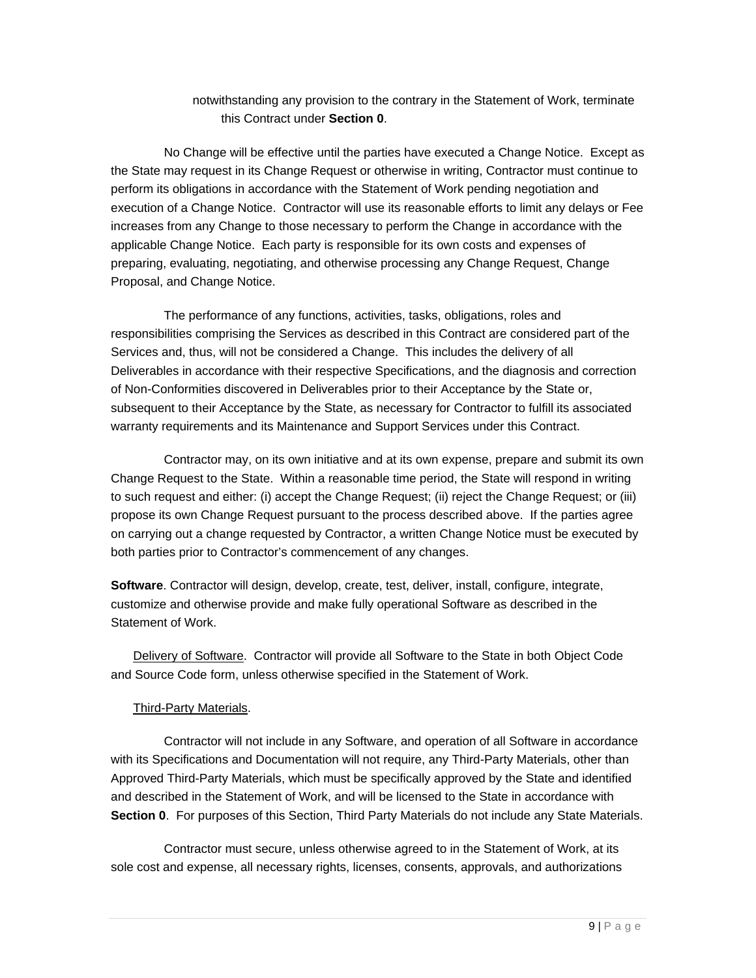notwithstanding any provision to the contrary in the Statement of Work, terminate this Contract under **Section 0**.

No Change will be effective until the parties have executed a Change Notice. Except as the State may request in its Change Request or otherwise in writing, Contractor must continue to perform its obligations in accordance with the Statement of Work pending negotiation and execution of a Change Notice. Contractor will use its reasonable efforts to limit any delays or Fee increases from any Change to those necessary to perform the Change in accordance with the applicable Change Notice. Each party is responsible for its own costs and expenses of preparing, evaluating, negotiating, and otherwise processing any Change Request, Change Proposal, and Change Notice.

The performance of any functions, activities, tasks, obligations, roles and responsibilities comprising the Services as described in this Contract are considered part of the Services and, thus, will not be considered a Change. This includes the delivery of all Deliverables in accordance with their respective Specifications, and the diagnosis and correction of Non-Conformities discovered in Deliverables prior to their Acceptance by the State or, subsequent to their Acceptance by the State, as necessary for Contractor to fulfill its associated warranty requirements and its Maintenance and Support Services under this Contract.

Contractor may, on its own initiative and at its own expense, prepare and submit its own Change Request to the State. Within a reasonable time period, the State will respond in writing to such request and either: (i) accept the Change Request; (ii) reject the Change Request; or (iii) propose its own Change Request pursuant to the process described above. If the parties agree on carrying out a change requested by Contractor, a written Change Notice must be executed by both parties prior to Contractor's commencement of any changes.

**Software**. Contractor will design, develop, create, test, deliver, install, configure, integrate, customize and otherwise provide and make fully operational Software as described in the Statement of Work.

Delivery of Software. Contractor will provide all Software to the State in both Object Code and Source Code form, unless otherwise specified in the Statement of Work.

#### Third-Party Materials.

Contractor will not include in any Software, and operation of all Software in accordance with its Specifications and Documentation will not require, any Third-Party Materials, other than Approved Third-Party Materials, which must be specifically approved by the State and identified and described in the Statement of Work, and will be licensed to the State in accordance with **Section 0**. For purposes of this Section, Third Party Materials do not include any State Materials.

Contractor must secure, unless otherwise agreed to in the Statement of Work, at its sole cost and expense, all necessary rights, licenses, consents, approvals, and authorizations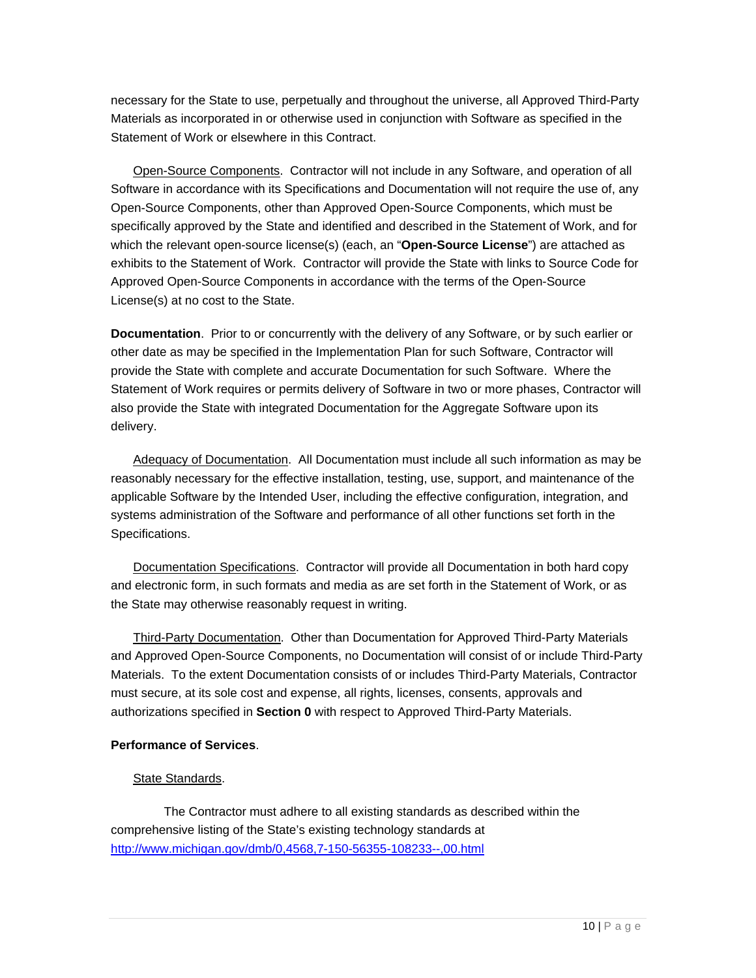necessary for the State to use, perpetually and throughout the universe, all Approved Third-Party Materials as incorporated in or otherwise used in conjunction with Software as specified in the Statement of Work or elsewhere in this Contract.

Open-Source Components. Contractor will not include in any Software, and operation of all Software in accordance with its Specifications and Documentation will not require the use of, any Open-Source Components, other than Approved Open-Source Components, which must be specifically approved by the State and identified and described in the Statement of Work, and for which the relevant open-source license(s) (each, an "**Open-Source License**") are attached as exhibits to the Statement of Work. Contractor will provide the State with links to Source Code for Approved Open-Source Components in accordance with the terms of the Open-Source License(s) at no cost to the State.

**Documentation**. Prior to or concurrently with the delivery of any Software, or by such earlier or other date as may be specified in the Implementation Plan for such Software, Contractor will provide the State with complete and accurate Documentation for such Software. Where the Statement of Work requires or permits delivery of Software in two or more phases, Contractor will also provide the State with integrated Documentation for the Aggregate Software upon its delivery.

Adequacy of Documentation. All Documentation must include all such information as may be reasonably necessary for the effective installation, testing, use, support, and maintenance of the applicable Software by the Intended User, including the effective configuration, integration, and systems administration of the Software and performance of all other functions set forth in the Specifications.

Documentation Specifications. Contractor will provide all Documentation in both hard copy and electronic form, in such formats and media as are set forth in the Statement of Work, or as the State may otherwise reasonably request in writing.

Third-Party Documentation. Other than Documentation for Approved Third-Party Materials and Approved Open-Source Components, no Documentation will consist of or include Third-Party Materials. To the extent Documentation consists of or includes Third-Party Materials, Contractor must secure, at its sole cost and expense, all rights, licenses, consents, approvals and authorizations specified in **Section 0** with respect to Approved Third-Party Materials.

#### **Performance of Services**.

#### State Standards.

The Contractor must adhere to all existing standards as described within the comprehensive listing of the State's existing technology standards at http://www.michigan.gov/dmb/0,4568,7-150-56355-108233--,00.html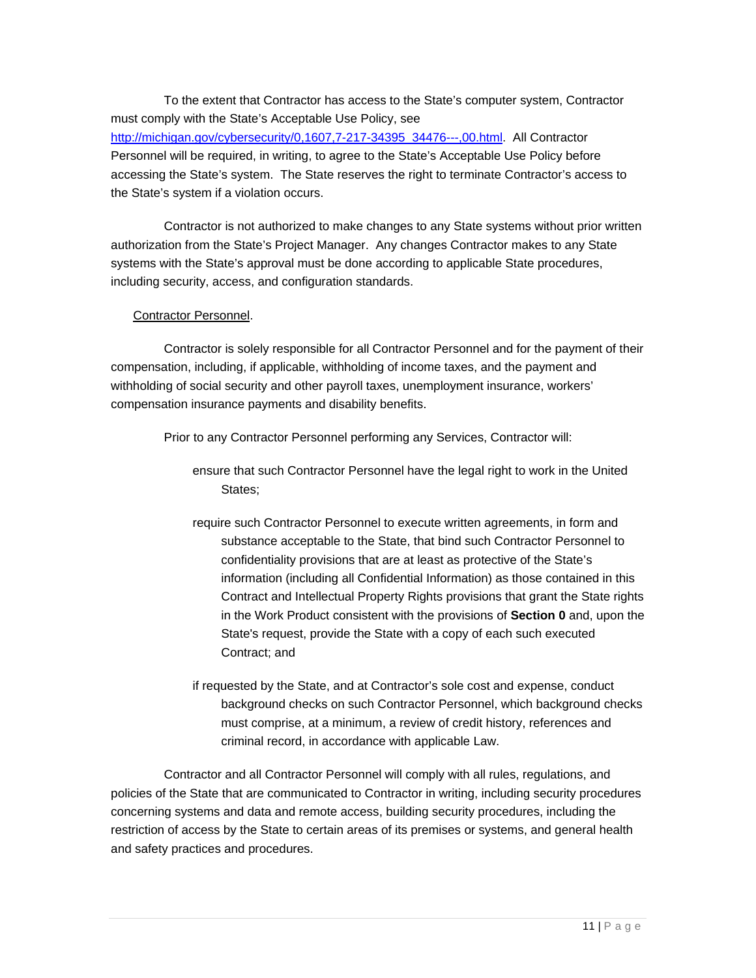To the extent that Contractor has access to the State's computer system, Contractor must comply with the State's Acceptable Use Policy, see http://michigan.gov/cybersecurity/0,1607,7-217-34395\_34476---,00.html. All Contractor Personnel will be required, in writing, to agree to the State's Acceptable Use Policy before accessing the State's system. The State reserves the right to terminate Contractor's access to the State's system if a violation occurs.

Contractor is not authorized to make changes to any State systems without prior written authorization from the State's Project Manager. Any changes Contractor makes to any State systems with the State's approval must be done according to applicable State procedures, including security, access, and configuration standards.

#### Contractor Personnel.

Contractor is solely responsible for all Contractor Personnel and for the payment of their compensation, including, if applicable, withholding of income taxes, and the payment and withholding of social security and other payroll taxes, unemployment insurance, workers' compensation insurance payments and disability benefits.

Prior to any Contractor Personnel performing any Services, Contractor will:

- ensure that such Contractor Personnel have the legal right to work in the United States;
- require such Contractor Personnel to execute written agreements, in form and substance acceptable to the State, that bind such Contractor Personnel to confidentiality provisions that are at least as protective of the State's information (including all Confidential Information) as those contained in this Contract and Intellectual Property Rights provisions that grant the State rights in the Work Product consistent with the provisions of **Section 0** and, upon the State's request, provide the State with a copy of each such executed Contract; and
- if requested by the State, and at Contractor's sole cost and expense, conduct background checks on such Contractor Personnel, which background checks must comprise, at a minimum, a review of credit history, references and criminal record, in accordance with applicable Law.

Contractor and all Contractor Personnel will comply with all rules, regulations, and policies of the State that are communicated to Contractor in writing, including security procedures concerning systems and data and remote access, building security procedures, including the restriction of access by the State to certain areas of its premises or systems, and general health and safety practices and procedures.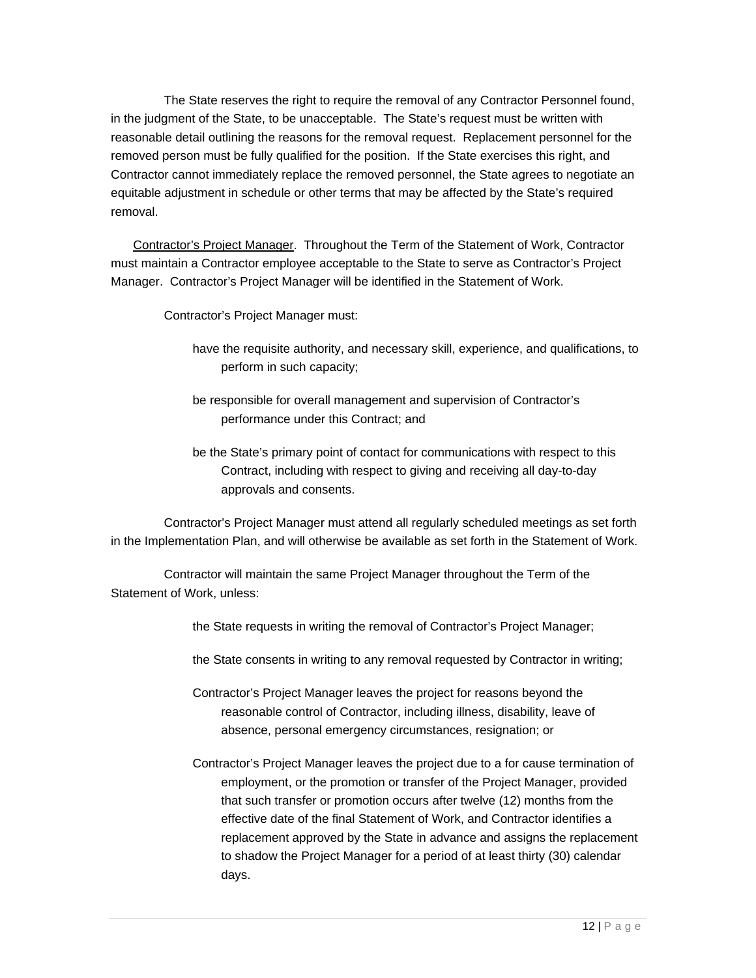The State reserves the right to require the removal of any Contractor Personnel found, in the judgment of the State, to be unacceptable. The State's request must be written with reasonable detail outlining the reasons for the removal request. Replacement personnel for the removed person must be fully qualified for the position. If the State exercises this right, and Contractor cannot immediately replace the removed personnel, the State agrees to negotiate an equitable adjustment in schedule or other terms that may be affected by the State's required removal.

Contractor's Project Manager. Throughout the Term of the Statement of Work, Contractor must maintain a Contractor employee acceptable to the State to serve as Contractor's Project Manager. Contractor's Project Manager will be identified in the Statement of Work.

Contractor's Project Manager must:

- have the requisite authority, and necessary skill, experience, and qualifications, to perform in such capacity;
- be responsible for overall management and supervision of Contractor's performance under this Contract; and
- be the State's primary point of contact for communications with respect to this Contract, including with respect to giving and receiving all day-to-day approvals and consents.

Contractor's Project Manager must attend all regularly scheduled meetings as set forth in the Implementation Plan, and will otherwise be available as set forth in the Statement of Work.

Contractor will maintain the same Project Manager throughout the Term of the Statement of Work, unless:

the State requests in writing the removal of Contractor's Project Manager;

the State consents in writing to any removal requested by Contractor in writing;

- Contractor's Project Manager leaves the project for reasons beyond the reasonable control of Contractor, including illness, disability, leave of absence, personal emergency circumstances, resignation; or
- Contractor's Project Manager leaves the project due to a for cause termination of employment, or the promotion or transfer of the Project Manager, provided that such transfer or promotion occurs after twelve (12) months from the effective date of the final Statement of Work, and Contractor identifies a replacement approved by the State in advance and assigns the replacement to shadow the Project Manager for a period of at least thirty (30) calendar days.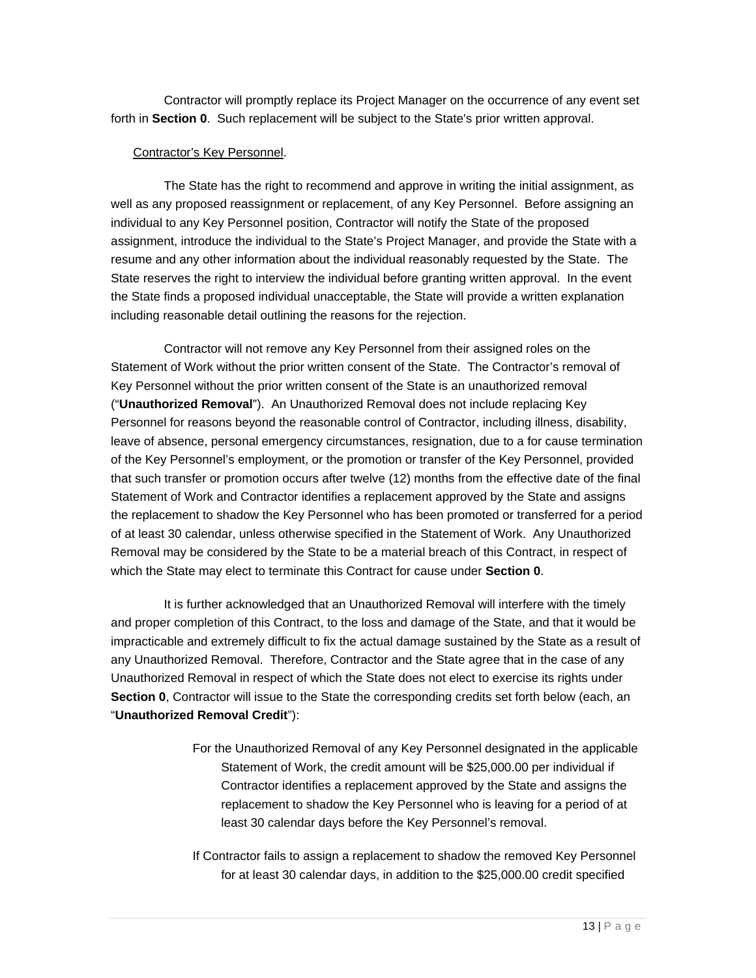Contractor will promptly replace its Project Manager on the occurrence of any event set forth in **Section 0**. Such replacement will be subject to the State's prior written approval.

#### Contractor's Key Personnel.

The State has the right to recommend and approve in writing the initial assignment, as well as any proposed reassignment or replacement, of any Key Personnel. Before assigning an individual to any Key Personnel position, Contractor will notify the State of the proposed assignment, introduce the individual to the State's Project Manager, and provide the State with a resume and any other information about the individual reasonably requested by the State. The State reserves the right to interview the individual before granting written approval. In the event the State finds a proposed individual unacceptable, the State will provide a written explanation including reasonable detail outlining the reasons for the rejection.

Contractor will not remove any Key Personnel from their assigned roles on the Statement of Work without the prior written consent of the State. The Contractor's removal of Key Personnel without the prior written consent of the State is an unauthorized removal ("**Unauthorized Removal**"). An Unauthorized Removal does not include replacing Key Personnel for reasons beyond the reasonable control of Contractor, including illness, disability, leave of absence, personal emergency circumstances, resignation, due to a for cause termination of the Key Personnel's employment, or the promotion or transfer of the Key Personnel, provided that such transfer or promotion occurs after twelve (12) months from the effective date of the final Statement of Work and Contractor identifies a replacement approved by the State and assigns the replacement to shadow the Key Personnel who has been promoted or transferred for a period of at least 30 calendar, unless otherwise specified in the Statement of Work. Any Unauthorized Removal may be considered by the State to be a material breach of this Contract, in respect of which the State may elect to terminate this Contract for cause under **Section 0**.

It is further acknowledged that an Unauthorized Removal will interfere with the timely and proper completion of this Contract, to the loss and damage of the State, and that it would be impracticable and extremely difficult to fix the actual damage sustained by the State as a result of any Unauthorized Removal. Therefore, Contractor and the State agree that in the case of any Unauthorized Removal in respect of which the State does not elect to exercise its rights under **Section 0**, Contractor will issue to the State the corresponding credits set forth below (each, an "**Unauthorized Removal Credit**"):

- For the Unauthorized Removal of any Key Personnel designated in the applicable Statement of Work, the credit amount will be \$25,000.00 per individual if Contractor identifies a replacement approved by the State and assigns the replacement to shadow the Key Personnel who is leaving for a period of at least 30 calendar days before the Key Personnel's removal.
- If Contractor fails to assign a replacement to shadow the removed Key Personnel for at least 30 calendar days, in addition to the \$25,000.00 credit specified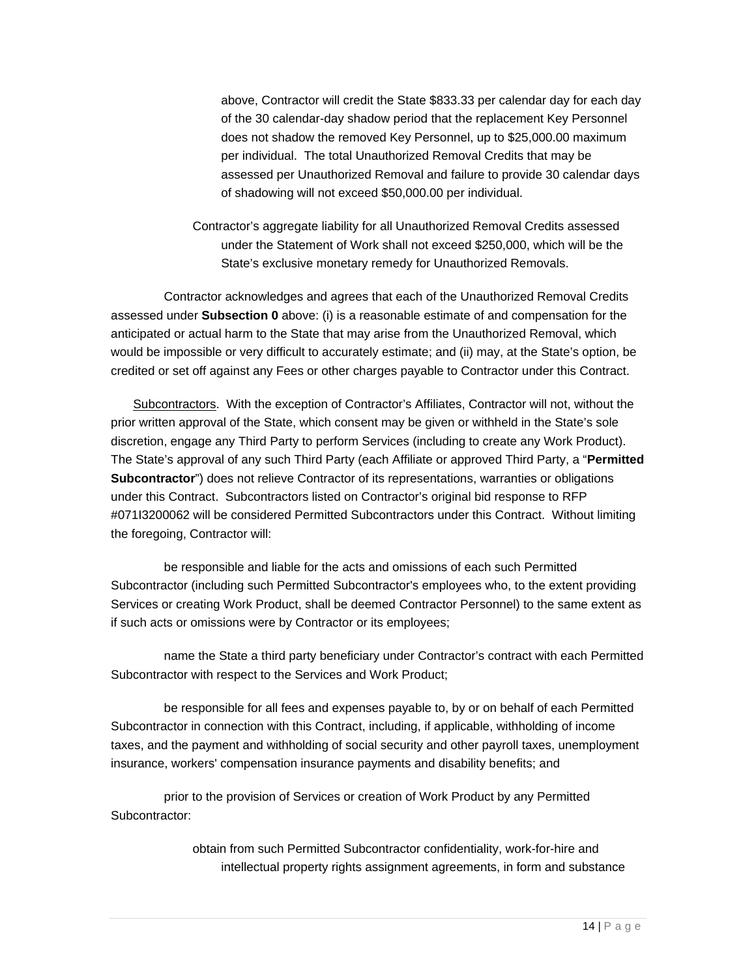above, Contractor will credit the State \$833.33 per calendar day for each day of the 30 calendar-day shadow period that the replacement Key Personnel does not shadow the removed Key Personnel, up to \$25,000.00 maximum per individual. The total Unauthorized Removal Credits that may be assessed per Unauthorized Removal and failure to provide 30 calendar days of shadowing will not exceed \$50,000.00 per individual.

Contractor's aggregate liability for all Unauthorized Removal Credits assessed under the Statement of Work shall not exceed \$250,000, which will be the State's exclusive monetary remedy for Unauthorized Removals.

Contractor acknowledges and agrees that each of the Unauthorized Removal Credits assessed under **Subsection 0** above: (i) is a reasonable estimate of and compensation for the anticipated or actual harm to the State that may arise from the Unauthorized Removal, which would be impossible or very difficult to accurately estimate; and (ii) may, at the State's option, be credited or set off against any Fees or other charges payable to Contractor under this Contract.

Subcontractors. With the exception of Contractor's Affiliates, Contractor will not, without the prior written approval of the State, which consent may be given or withheld in the State's sole discretion, engage any Third Party to perform Services (including to create any Work Product). The State's approval of any such Third Party (each Affiliate or approved Third Party, a "**Permitted Subcontractor**") does not relieve Contractor of its representations, warranties or obligations under this Contract. Subcontractors listed on Contractor's original bid response to RFP #071I3200062 will be considered Permitted Subcontractors under this Contract. Without limiting the foregoing, Contractor will:

be responsible and liable for the acts and omissions of each such Permitted Subcontractor (including such Permitted Subcontractor's employees who, to the extent providing Services or creating Work Product, shall be deemed Contractor Personnel) to the same extent as if such acts or omissions were by Contractor or its employees;

name the State a third party beneficiary under Contractor's contract with each Permitted Subcontractor with respect to the Services and Work Product;

be responsible for all fees and expenses payable to, by or on behalf of each Permitted Subcontractor in connection with this Contract, including, if applicable, withholding of income taxes, and the payment and withholding of social security and other payroll taxes, unemployment insurance, workers' compensation insurance payments and disability benefits; and

prior to the provision of Services or creation of Work Product by any Permitted Subcontractor:

> obtain from such Permitted Subcontractor confidentiality, work-for-hire and intellectual property rights assignment agreements, in form and substance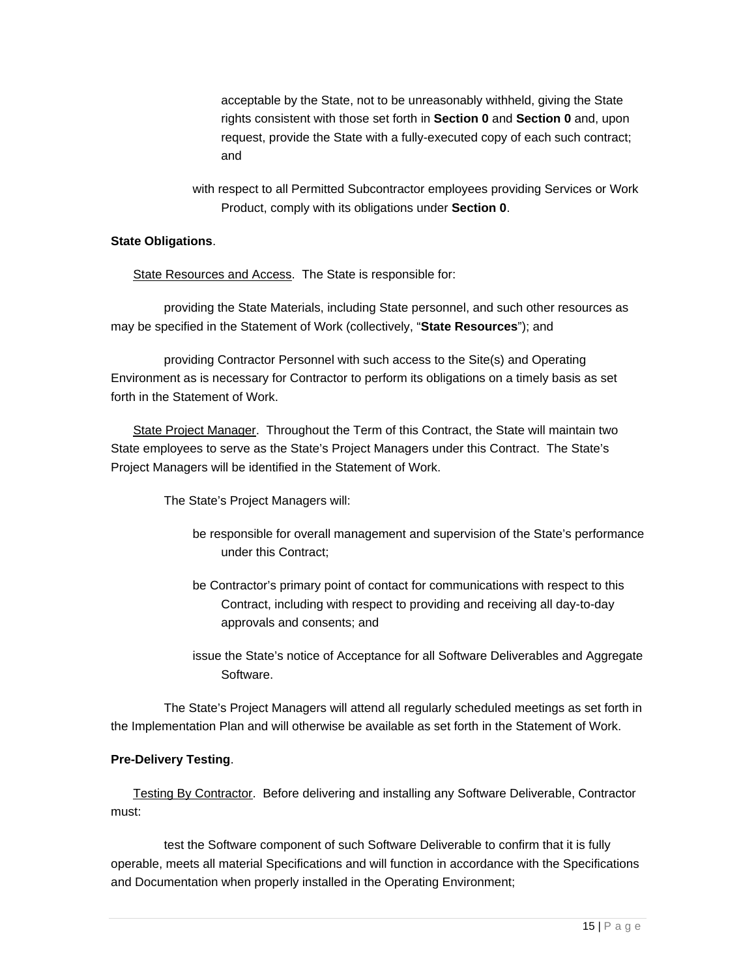acceptable by the State, not to be unreasonably withheld, giving the State rights consistent with those set forth in **Section 0** and **Section 0** and, upon request, provide the State with a fully-executed copy of each such contract; and

with respect to all Permitted Subcontractor employees providing Services or Work Product, comply with its obligations under **Section 0**.

#### **State Obligations**.

State Resources and Access. The State is responsible for:

providing the State Materials, including State personnel, and such other resources as may be specified in the Statement of Work (collectively, "**State Resources**"); and

providing Contractor Personnel with such access to the Site(s) and Operating Environment as is necessary for Contractor to perform its obligations on a timely basis as set forth in the Statement of Work.

State Project Manager. Throughout the Term of this Contract, the State will maintain two State employees to serve as the State's Project Managers under this Contract. The State's Project Managers will be identified in the Statement of Work.

The State's Project Managers will:

- be responsible for overall management and supervision of the State's performance under this Contract;
- be Contractor's primary point of contact for communications with respect to this Contract, including with respect to providing and receiving all day-to-day approvals and consents; and
- issue the State's notice of Acceptance for all Software Deliverables and Aggregate Software.

The State's Project Managers will attend all regularly scheduled meetings as set forth in the Implementation Plan and will otherwise be available as set forth in the Statement of Work.

#### **Pre-Delivery Testing**.

Testing By Contractor. Before delivering and installing any Software Deliverable, Contractor must:

test the Software component of such Software Deliverable to confirm that it is fully operable, meets all material Specifications and will function in accordance with the Specifications and Documentation when properly installed in the Operating Environment;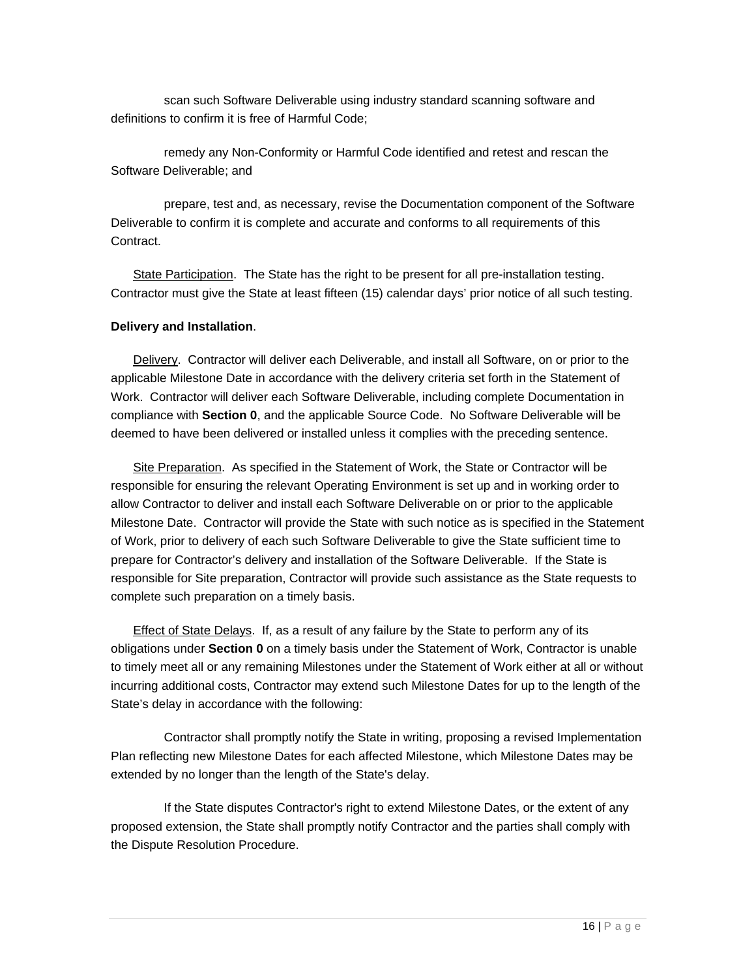scan such Software Deliverable using industry standard scanning software and definitions to confirm it is free of Harmful Code;

remedy any Non-Conformity or Harmful Code identified and retest and rescan the Software Deliverable; and

prepare, test and, as necessary, revise the Documentation component of the Software Deliverable to confirm it is complete and accurate and conforms to all requirements of this Contract.

State Participation. The State has the right to be present for all pre-installation testing. Contractor must give the State at least fifteen (15) calendar days' prior notice of all such testing.

#### **Delivery and Installation**.

Delivery. Contractor will deliver each Deliverable, and install all Software, on or prior to the applicable Milestone Date in accordance with the delivery criteria set forth in the Statement of Work. Contractor will deliver each Software Deliverable, including complete Documentation in compliance with **Section 0**, and the applicable Source Code. No Software Deliverable will be deemed to have been delivered or installed unless it complies with the preceding sentence.

Site Preparation. As specified in the Statement of Work, the State or Contractor will be responsible for ensuring the relevant Operating Environment is set up and in working order to allow Contractor to deliver and install each Software Deliverable on or prior to the applicable Milestone Date. Contractor will provide the State with such notice as is specified in the Statement of Work, prior to delivery of each such Software Deliverable to give the State sufficient time to prepare for Contractor's delivery and installation of the Software Deliverable. If the State is responsible for Site preparation, Contractor will provide such assistance as the State requests to complete such preparation on a timely basis.

**Effect of State Delays.** If, as a result of any failure by the State to perform any of its obligations under **Section 0** on a timely basis under the Statement of Work, Contractor is unable to timely meet all or any remaining Milestones under the Statement of Work either at all or without incurring additional costs, Contractor may extend such Milestone Dates for up to the length of the State's delay in accordance with the following:

Contractor shall promptly notify the State in writing, proposing a revised Implementation Plan reflecting new Milestone Dates for each affected Milestone, which Milestone Dates may be extended by no longer than the length of the State's delay.

If the State disputes Contractor's right to extend Milestone Dates, or the extent of any proposed extension, the State shall promptly notify Contractor and the parties shall comply with the Dispute Resolution Procedure.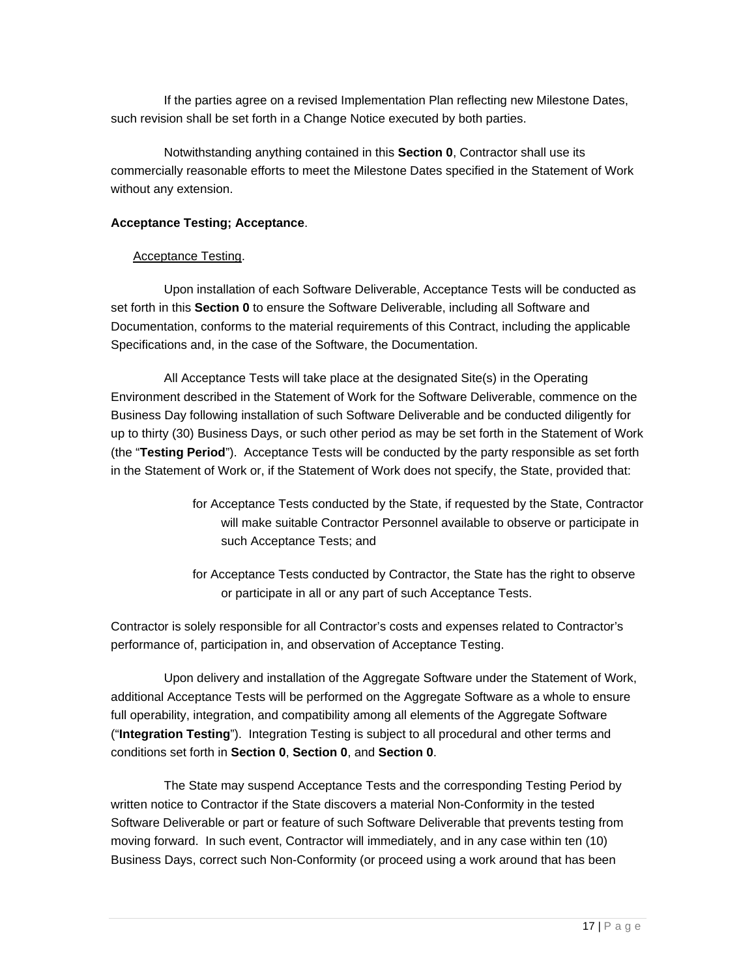If the parties agree on a revised Implementation Plan reflecting new Milestone Dates, such revision shall be set forth in a Change Notice executed by both parties.

Notwithstanding anything contained in this **Section 0**, Contractor shall use its commercially reasonable efforts to meet the Milestone Dates specified in the Statement of Work without any extension.

#### **Acceptance Testing; Acceptance**.

#### Acceptance Testing.

Upon installation of each Software Deliverable, Acceptance Tests will be conducted as set forth in this **Section 0** to ensure the Software Deliverable, including all Software and Documentation, conforms to the material requirements of this Contract, including the applicable Specifications and, in the case of the Software, the Documentation.

All Acceptance Tests will take place at the designated Site(s) in the Operating Environment described in the Statement of Work for the Software Deliverable, commence on the Business Day following installation of such Software Deliverable and be conducted diligently for up to thirty (30) Business Days, or such other period as may be set forth in the Statement of Work (the "**Testing Period**"). Acceptance Tests will be conducted by the party responsible as set forth in the Statement of Work or, if the Statement of Work does not specify, the State, provided that:

- for Acceptance Tests conducted by the State, if requested by the State, Contractor will make suitable Contractor Personnel available to observe or participate in such Acceptance Tests; and
- for Acceptance Tests conducted by Contractor, the State has the right to observe or participate in all or any part of such Acceptance Tests.

Contractor is solely responsible for all Contractor's costs and expenses related to Contractor's performance of, participation in, and observation of Acceptance Testing.

Upon delivery and installation of the Aggregate Software under the Statement of Work, additional Acceptance Tests will be performed on the Aggregate Software as a whole to ensure full operability, integration, and compatibility among all elements of the Aggregate Software ("**Integration Testing**"). Integration Testing is subject to all procedural and other terms and conditions set forth in **Section 0**, **Section 0**, and **Section 0**.

The State may suspend Acceptance Tests and the corresponding Testing Period by written notice to Contractor if the State discovers a material Non-Conformity in the tested Software Deliverable or part or feature of such Software Deliverable that prevents testing from moving forward. In such event, Contractor will immediately, and in any case within ten (10) Business Days, correct such Non-Conformity (or proceed using a work around that has been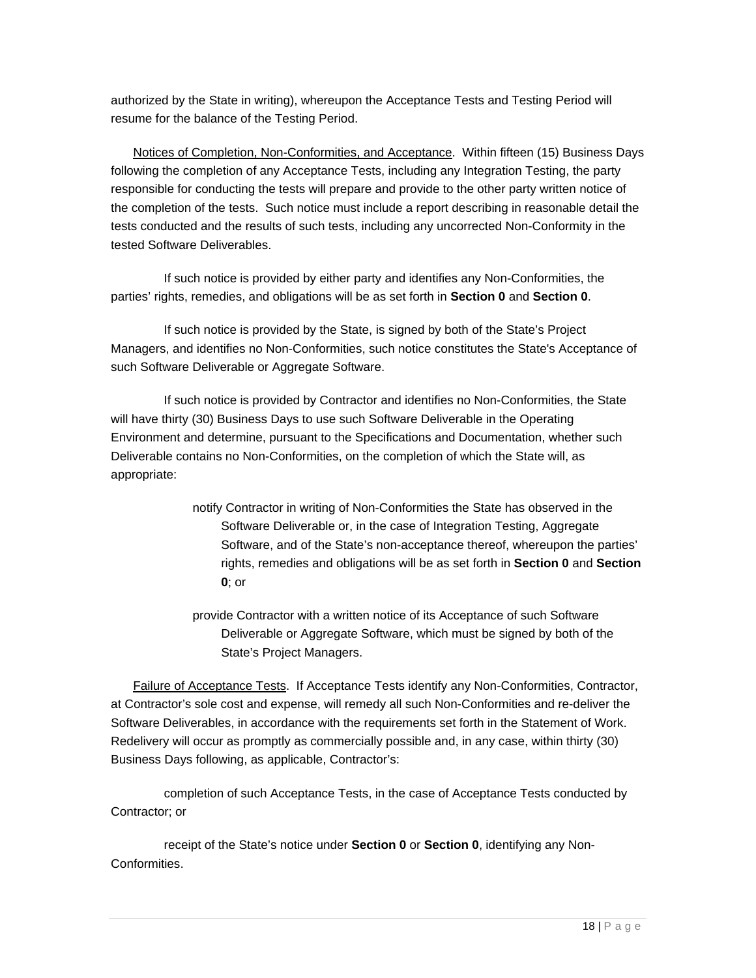authorized by the State in writing), whereupon the Acceptance Tests and Testing Period will resume for the balance of the Testing Period.

Notices of Completion, Non-Conformities, and Acceptance. Within fifteen (15) Business Days following the completion of any Acceptance Tests, including any Integration Testing, the party responsible for conducting the tests will prepare and provide to the other party written notice of the completion of the tests. Such notice must include a report describing in reasonable detail the tests conducted and the results of such tests, including any uncorrected Non-Conformity in the tested Software Deliverables.

If such notice is provided by either party and identifies any Non-Conformities, the parties' rights, remedies, and obligations will be as set forth in **Section 0** and **Section 0**.

If such notice is provided by the State, is signed by both of the State's Project Managers, and identifies no Non-Conformities, such notice constitutes the State's Acceptance of such Software Deliverable or Aggregate Software.

If such notice is provided by Contractor and identifies no Non-Conformities, the State will have thirty (30) Business Days to use such Software Deliverable in the Operating Environment and determine, pursuant to the Specifications and Documentation, whether such Deliverable contains no Non-Conformities, on the completion of which the State will, as appropriate:

- notify Contractor in writing of Non-Conformities the State has observed in the Software Deliverable or, in the case of Integration Testing, Aggregate Software, and of the State's non-acceptance thereof, whereupon the parties' rights, remedies and obligations will be as set forth in **Section 0** and **Section 0**; or
- provide Contractor with a written notice of its Acceptance of such Software Deliverable or Aggregate Software, which must be signed by both of the State's Project Managers.

Failure of Acceptance Tests. If Acceptance Tests identify any Non-Conformities, Contractor, at Contractor's sole cost and expense, will remedy all such Non-Conformities and re-deliver the Software Deliverables, in accordance with the requirements set forth in the Statement of Work. Redelivery will occur as promptly as commercially possible and, in any case, within thirty (30) Business Days following, as applicable, Contractor's:

completion of such Acceptance Tests, in the case of Acceptance Tests conducted by Contractor; or

receipt of the State's notice under **Section 0** or **Section 0**, identifying any Non-Conformities.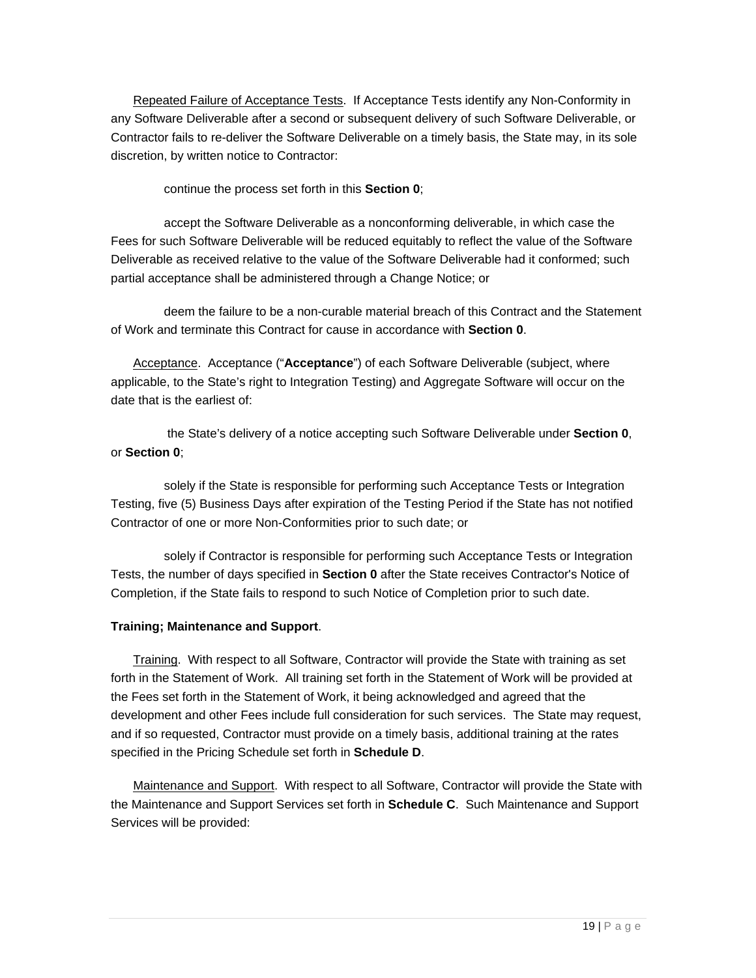Repeated Failure of Acceptance Tests. If Acceptance Tests identify any Non-Conformity in any Software Deliverable after a second or subsequent delivery of such Software Deliverable, or Contractor fails to re-deliver the Software Deliverable on a timely basis, the State may, in its sole discretion, by written notice to Contractor:

continue the process set forth in this **Section 0**;

accept the Software Deliverable as a nonconforming deliverable, in which case the Fees for such Software Deliverable will be reduced equitably to reflect the value of the Software Deliverable as received relative to the value of the Software Deliverable had it conformed; such partial acceptance shall be administered through a Change Notice; or

deem the failure to be a non-curable material breach of this Contract and the Statement of Work and terminate this Contract for cause in accordance with **Section 0**.

Acceptance. Acceptance ("**Acceptance**") of each Software Deliverable (subject, where applicable, to the State's right to Integration Testing) and Aggregate Software will occur on the date that is the earliest of:

 the State's delivery of a notice accepting such Software Deliverable under **Section 0**, or **Section 0**;

solely if the State is responsible for performing such Acceptance Tests or Integration Testing, five (5) Business Days after expiration of the Testing Period if the State has not notified Contractor of one or more Non-Conformities prior to such date; or

solely if Contractor is responsible for performing such Acceptance Tests or Integration Tests, the number of days specified in **Section 0** after the State receives Contractor's Notice of Completion, if the State fails to respond to such Notice of Completion prior to such date.

#### **Training; Maintenance and Support**.

Training. With respect to all Software, Contractor will provide the State with training as set forth in the Statement of Work. All training set forth in the Statement of Work will be provided at the Fees set forth in the Statement of Work, it being acknowledged and agreed that the development and other Fees include full consideration for such services. The State may request, and if so requested, Contractor must provide on a timely basis, additional training at the rates specified in the Pricing Schedule set forth in **Schedule D**.

Maintenance and Support. With respect to all Software, Contractor will provide the State with the Maintenance and Support Services set forth in **Schedule C**. Such Maintenance and Support Services will be provided: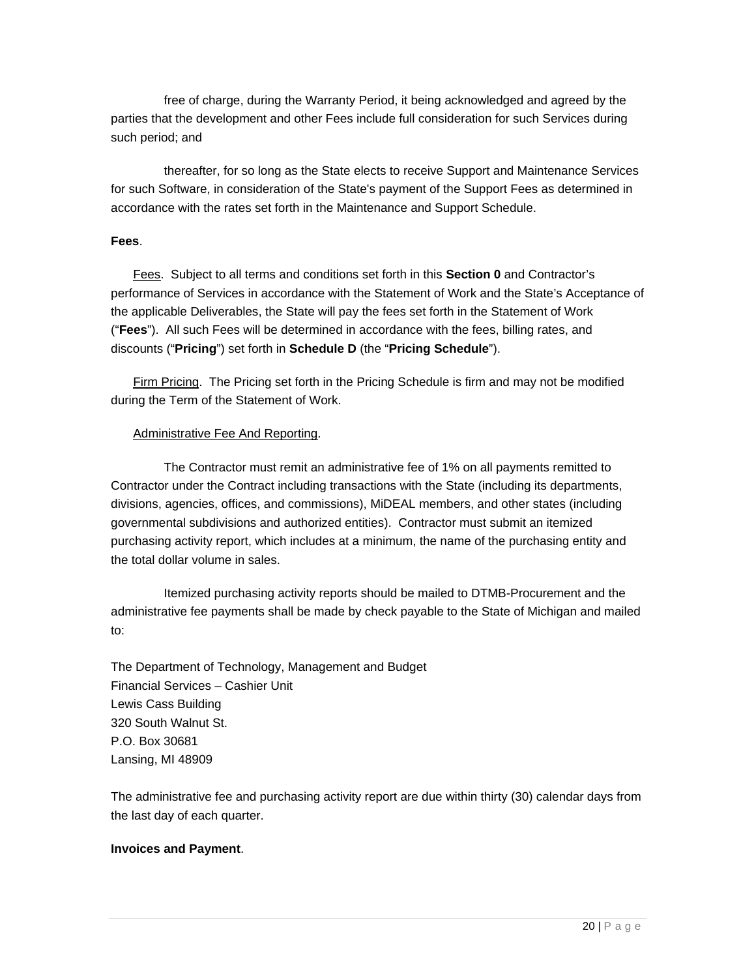free of charge, during the Warranty Period, it being acknowledged and agreed by the parties that the development and other Fees include full consideration for such Services during such period; and

thereafter, for so long as the State elects to receive Support and Maintenance Services for such Software, in consideration of the State's payment of the Support Fees as determined in accordance with the rates set forth in the Maintenance and Support Schedule.

#### **Fees**.

Fees. Subject to all terms and conditions set forth in this **Section 0** and Contractor's performance of Services in accordance with the Statement of Work and the State's Acceptance of the applicable Deliverables, the State will pay the fees set forth in the Statement of Work ("**Fees**"). All such Fees will be determined in accordance with the fees, billing rates, and discounts ("**Pricing**") set forth in **Schedule D** (the "**Pricing Schedule**").

Firm Pricing. The Pricing set forth in the Pricing Schedule is firm and may not be modified during the Term of the Statement of Work.

#### Administrative Fee And Reporting.

The Contractor must remit an administrative fee of 1% on all payments remitted to Contractor under the Contract including transactions with the State (including its departments, divisions, agencies, offices, and commissions), MiDEAL members, and other states (including governmental subdivisions and authorized entities). Contractor must submit an itemized purchasing activity report, which includes at a minimum, the name of the purchasing entity and the total dollar volume in sales.

Itemized purchasing activity reports should be mailed to DTMB-Procurement and the administrative fee payments shall be made by check payable to the State of Michigan and mailed to:

The Department of Technology, Management and Budget Financial Services – Cashier Unit Lewis Cass Building 320 South Walnut St. P.O. Box 30681 Lansing, MI 48909

The administrative fee and purchasing activity report are due within thirty (30) calendar days from the last day of each quarter.

#### **Invoices and Payment**.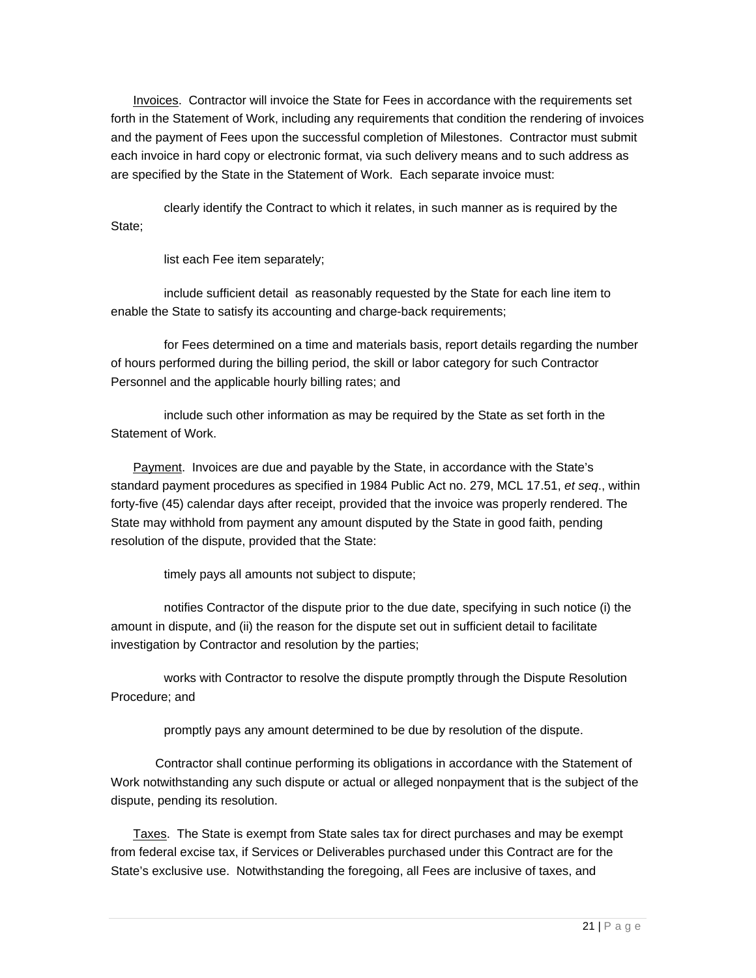Invoices. Contractor will invoice the State for Fees in accordance with the requirements set forth in the Statement of Work, including any requirements that condition the rendering of invoices and the payment of Fees upon the successful completion of Milestones. Contractor must submit each invoice in hard copy or electronic format, via such delivery means and to such address as are specified by the State in the Statement of Work. Each separate invoice must:

clearly identify the Contract to which it relates, in such manner as is required by the State;

list each Fee item separately;

include sufficient detail as reasonably requested by the State for each line item to enable the State to satisfy its accounting and charge-back requirements;

for Fees determined on a time and materials basis, report details regarding the number of hours performed during the billing period, the skill or labor category for such Contractor Personnel and the applicable hourly billing rates; and

include such other information as may be required by the State as set forth in the Statement of Work.

Payment. Invoices are due and payable by the State, in accordance with the State's standard payment procedures as specified in 1984 Public Act no. 279, MCL 17.51, *et seq*., within forty-five (45) calendar days after receipt, provided that the invoice was properly rendered. The State may withhold from payment any amount disputed by the State in good faith, pending resolution of the dispute, provided that the State:

timely pays all amounts not subject to dispute;

notifies Contractor of the dispute prior to the due date, specifying in such notice (i) the amount in dispute, and (ii) the reason for the dispute set out in sufficient detail to facilitate investigation by Contractor and resolution by the parties;

works with Contractor to resolve the dispute promptly through the Dispute Resolution Procedure; and

promptly pays any amount determined to be due by resolution of the dispute.

Contractor shall continue performing its obligations in accordance with the Statement of Work notwithstanding any such dispute or actual or alleged nonpayment that is the subject of the dispute, pending its resolution.

Taxes. The State is exempt from State sales tax for direct purchases and may be exempt from federal excise tax, if Services or Deliverables purchased under this Contract are for the State's exclusive use. Notwithstanding the foregoing, all Fees are inclusive of taxes, and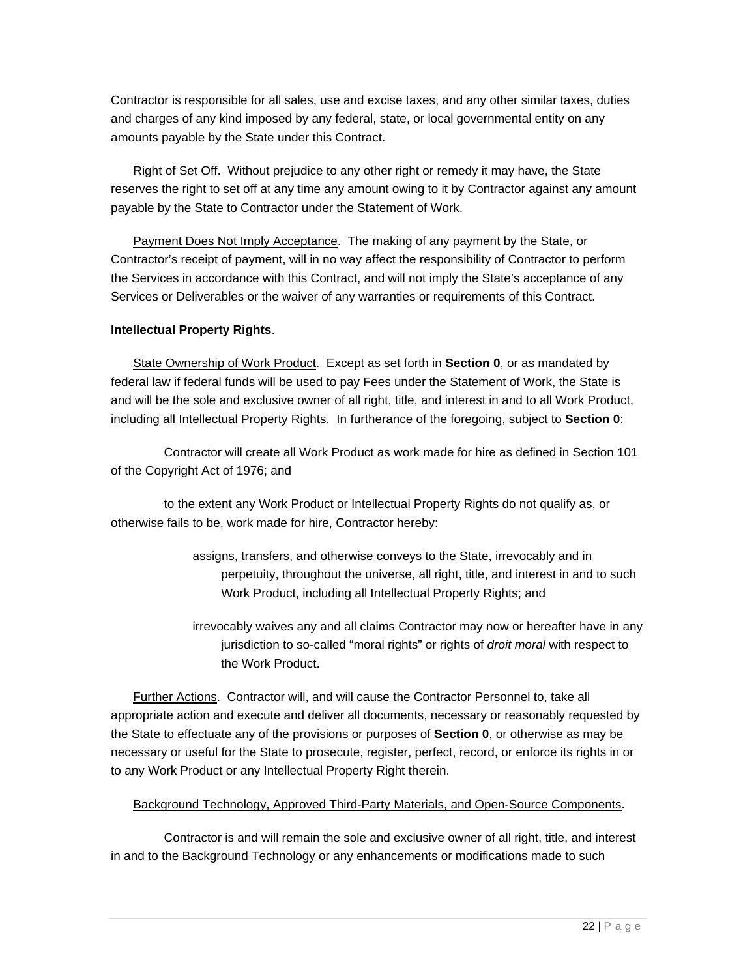Contractor is responsible for all sales, use and excise taxes, and any other similar taxes, duties and charges of any kind imposed by any federal, state, or local governmental entity on any amounts payable by the State under this Contract.

Right of Set Off. Without prejudice to any other right or remedy it may have, the State reserves the right to set off at any time any amount owing to it by Contractor against any amount payable by the State to Contractor under the Statement of Work.

Payment Does Not Imply Acceptance. The making of any payment by the State, or Contractor's receipt of payment, will in no way affect the responsibility of Contractor to perform the Services in accordance with this Contract, and will not imply the State's acceptance of any Services or Deliverables or the waiver of any warranties or requirements of this Contract.

#### **Intellectual Property Rights**.

State Ownership of Work Product. Except as set forth in **Section 0**, or as mandated by federal law if federal funds will be used to pay Fees under the Statement of Work, the State is and will be the sole and exclusive owner of all right, title, and interest in and to all Work Product, including all Intellectual Property Rights. In furtherance of the foregoing, subject to **Section 0**:

Contractor will create all Work Product as work made for hire as defined in Section 101 of the Copyright Act of 1976; and

to the extent any Work Product or Intellectual Property Rights do not qualify as, or otherwise fails to be, work made for hire, Contractor hereby:

- assigns, transfers, and otherwise conveys to the State, irrevocably and in perpetuity, throughout the universe, all right, title, and interest in and to such Work Product, including all Intellectual Property Rights; and
- irrevocably waives any and all claims Contractor may now or hereafter have in any jurisdiction to so-called "moral rights" or rights of *droit moral* with respect to the Work Product.

Further Actions. Contractor will, and will cause the Contractor Personnel to, take all appropriate action and execute and deliver all documents, necessary or reasonably requested by the State to effectuate any of the provisions or purposes of **Section 0**, or otherwise as may be necessary or useful for the State to prosecute, register, perfect, record, or enforce its rights in or to any Work Product or any Intellectual Property Right therein.

#### Background Technology, Approved Third-Party Materials, and Open-Source Components.

Contractor is and will remain the sole and exclusive owner of all right, title, and interest in and to the Background Technology or any enhancements or modifications made to such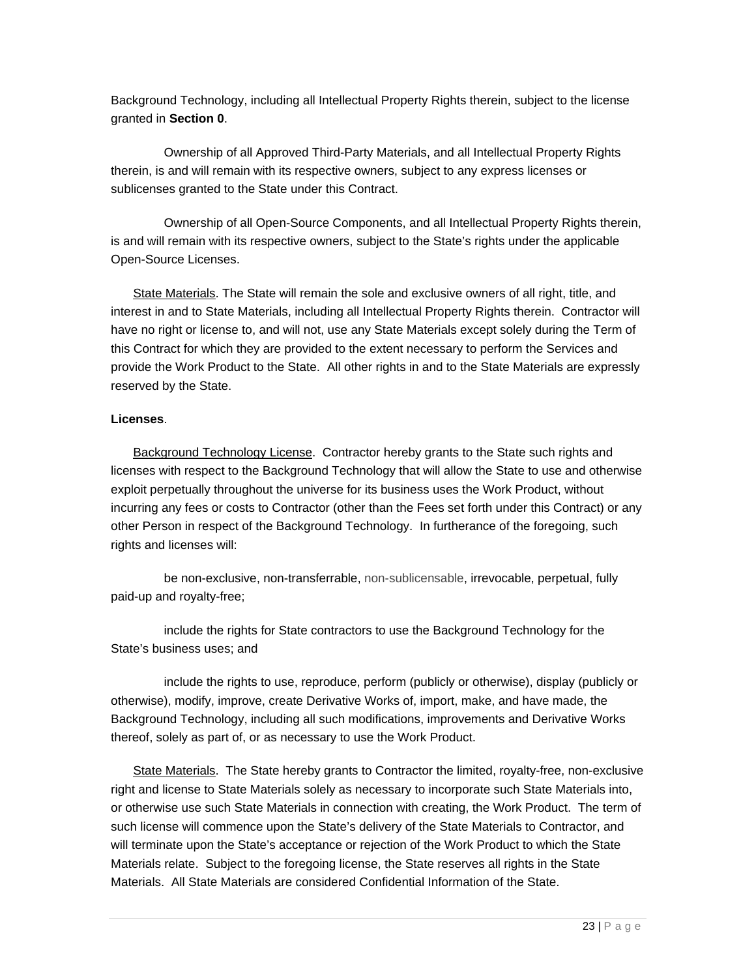Background Technology, including all Intellectual Property Rights therein, subject to the license granted in **Section 0**.

Ownership of all Approved Third-Party Materials, and all Intellectual Property Rights therein, is and will remain with its respective owners, subject to any express licenses or sublicenses granted to the State under this Contract.

Ownership of all Open-Source Components, and all Intellectual Property Rights therein, is and will remain with its respective owners, subject to the State's rights under the applicable Open-Source Licenses.

State Materials. The State will remain the sole and exclusive owners of all right, title, and interest in and to State Materials, including all Intellectual Property Rights therein. Contractor will have no right or license to, and will not, use any State Materials except solely during the Term of this Contract for which they are provided to the extent necessary to perform the Services and provide the Work Product to the State. All other rights in and to the State Materials are expressly reserved by the State.

#### **Licenses**.

Background Technology License. Contractor hereby grants to the State such rights and licenses with respect to the Background Technology that will allow the State to use and otherwise exploit perpetually throughout the universe for its business uses the Work Product, without incurring any fees or costs to Contractor (other than the Fees set forth under this Contract) or any other Person in respect of the Background Technology. In furtherance of the foregoing, such rights and licenses will:

be non-exclusive, non-transferrable, non-sublicensable, irrevocable, perpetual, fully paid-up and royalty-free;

include the rights for State contractors to use the Background Technology for the State's business uses; and

include the rights to use, reproduce, perform (publicly or otherwise), display (publicly or otherwise), modify, improve, create Derivative Works of, import, make, and have made, the Background Technology, including all such modifications, improvements and Derivative Works thereof, solely as part of, or as necessary to use the Work Product.

State Materials. The State hereby grants to Contractor the limited, royalty-free, non-exclusive right and license to State Materials solely as necessary to incorporate such State Materials into, or otherwise use such State Materials in connection with creating, the Work Product. The term of such license will commence upon the State's delivery of the State Materials to Contractor, and will terminate upon the State's acceptance or rejection of the Work Product to which the State Materials relate. Subject to the foregoing license, the State reserves all rights in the State Materials. All State Materials are considered Confidential Information of the State.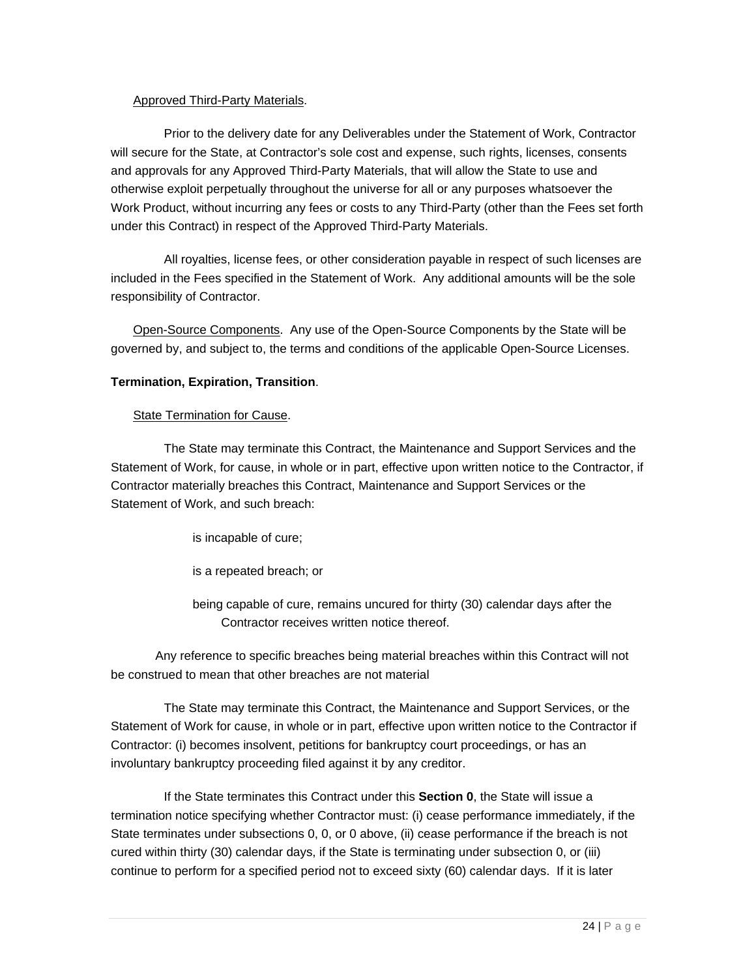#### Approved Third-Party Materials.

Prior to the delivery date for any Deliverables under the Statement of Work, Contractor will secure for the State, at Contractor's sole cost and expense, such rights, licenses, consents and approvals for any Approved Third-Party Materials, that will allow the State to use and otherwise exploit perpetually throughout the universe for all or any purposes whatsoever the Work Product, without incurring any fees or costs to any Third-Party (other than the Fees set forth under this Contract) in respect of the Approved Third-Party Materials.

All royalties, license fees, or other consideration payable in respect of such licenses are included in the Fees specified in the Statement of Work. Any additional amounts will be the sole responsibility of Contractor.

Open-Source Components. Any use of the Open-Source Components by the State will be governed by, and subject to, the terms and conditions of the applicable Open-Source Licenses.

#### **Termination, Expiration, Transition**.

#### State Termination for Cause.

The State may terminate this Contract, the Maintenance and Support Services and the Statement of Work, for cause, in whole or in part, effective upon written notice to the Contractor, if Contractor materially breaches this Contract, Maintenance and Support Services or the Statement of Work, and such breach:

is incapable of cure;

is a repeated breach; or

being capable of cure, remains uncured for thirty (30) calendar days after the Contractor receives written notice thereof.

Any reference to specific breaches being material breaches within this Contract will not be construed to mean that other breaches are not material

The State may terminate this Contract, the Maintenance and Support Services, or the Statement of Work for cause, in whole or in part, effective upon written notice to the Contractor if Contractor: (i) becomes insolvent, petitions for bankruptcy court proceedings, or has an involuntary bankruptcy proceeding filed against it by any creditor.

If the State terminates this Contract under this **Section 0**, the State will issue a termination notice specifying whether Contractor must: (i) cease performance immediately, if the State terminates under subsections 0, 0, or 0 above, (ii) cease performance if the breach is not cured within thirty (30) calendar days, if the State is terminating under subsection 0, or (iii) continue to perform for a specified period not to exceed sixty (60) calendar days. If it is later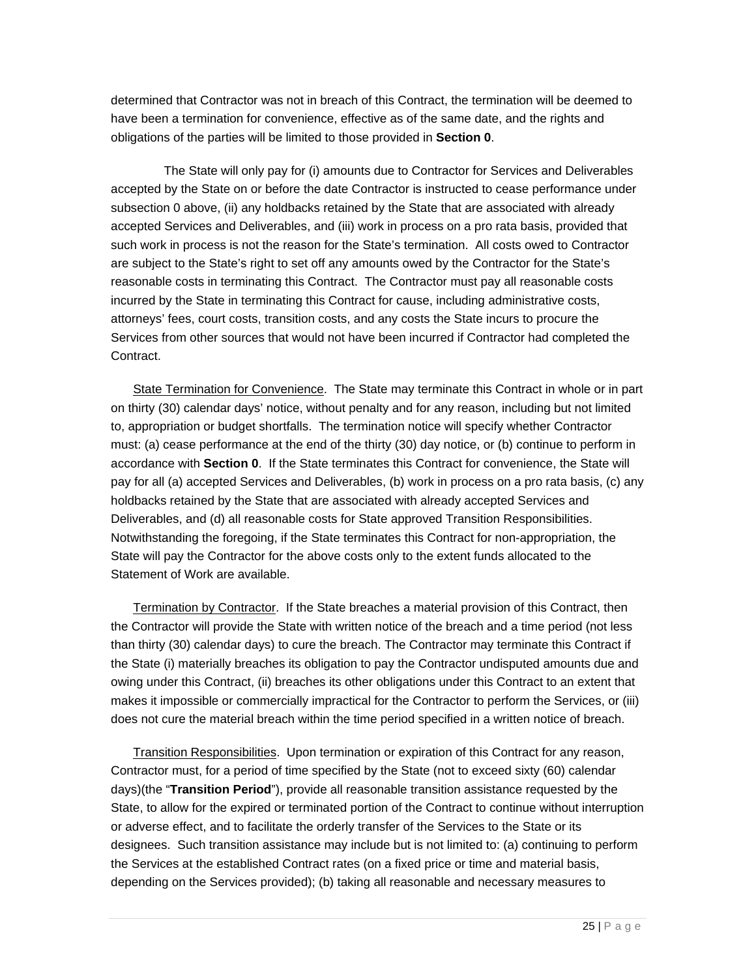determined that Contractor was not in breach of this Contract, the termination will be deemed to have been a termination for convenience, effective as of the same date, and the rights and obligations of the parties will be limited to those provided in **Section 0**.

The State will only pay for (i) amounts due to Contractor for Services and Deliverables accepted by the State on or before the date Contractor is instructed to cease performance under subsection 0 above, (ii) any holdbacks retained by the State that are associated with already accepted Services and Deliverables, and (iii) work in process on a pro rata basis, provided that such work in process is not the reason for the State's termination. All costs owed to Contractor are subject to the State's right to set off any amounts owed by the Contractor for the State's reasonable costs in terminating this Contract. The Contractor must pay all reasonable costs incurred by the State in terminating this Contract for cause, including administrative costs, attorneys' fees, court costs, transition costs, and any costs the State incurs to procure the Services from other sources that would not have been incurred if Contractor had completed the Contract.

State Termination for Convenience. The State may terminate this Contract in whole or in part on thirty (30) calendar days' notice, without penalty and for any reason, including but not limited to, appropriation or budget shortfalls. The termination notice will specify whether Contractor must: (a) cease performance at the end of the thirty (30) day notice, or (b) continue to perform in accordance with **Section 0**. If the State terminates this Contract for convenience, the State will pay for all (a) accepted Services and Deliverables, (b) work in process on a pro rata basis, (c) any holdbacks retained by the State that are associated with already accepted Services and Deliverables, and (d) all reasonable costs for State approved Transition Responsibilities. Notwithstanding the foregoing, if the State terminates this Contract for non-appropriation, the State will pay the Contractor for the above costs only to the extent funds allocated to the Statement of Work are available.

Termination by Contractor. If the State breaches a material provision of this Contract, then the Contractor will provide the State with written notice of the breach and a time period (not less than thirty (30) calendar days) to cure the breach. The Contractor may terminate this Contract if the State (i) materially breaches its obligation to pay the Contractor undisputed amounts due and owing under this Contract, (ii) breaches its other obligations under this Contract to an extent that makes it impossible or commercially impractical for the Contractor to perform the Services, or (iii) does not cure the material breach within the time period specified in a written notice of breach.

Transition Responsibilities. Upon termination or expiration of this Contract for any reason, Contractor must, for a period of time specified by the State (not to exceed sixty (60) calendar days)(the "**Transition Period**"), provide all reasonable transition assistance requested by the State, to allow for the expired or terminated portion of the Contract to continue without interruption or adverse effect, and to facilitate the orderly transfer of the Services to the State or its designees. Such transition assistance may include but is not limited to: (a) continuing to perform the Services at the established Contract rates (on a fixed price or time and material basis, depending on the Services provided); (b) taking all reasonable and necessary measures to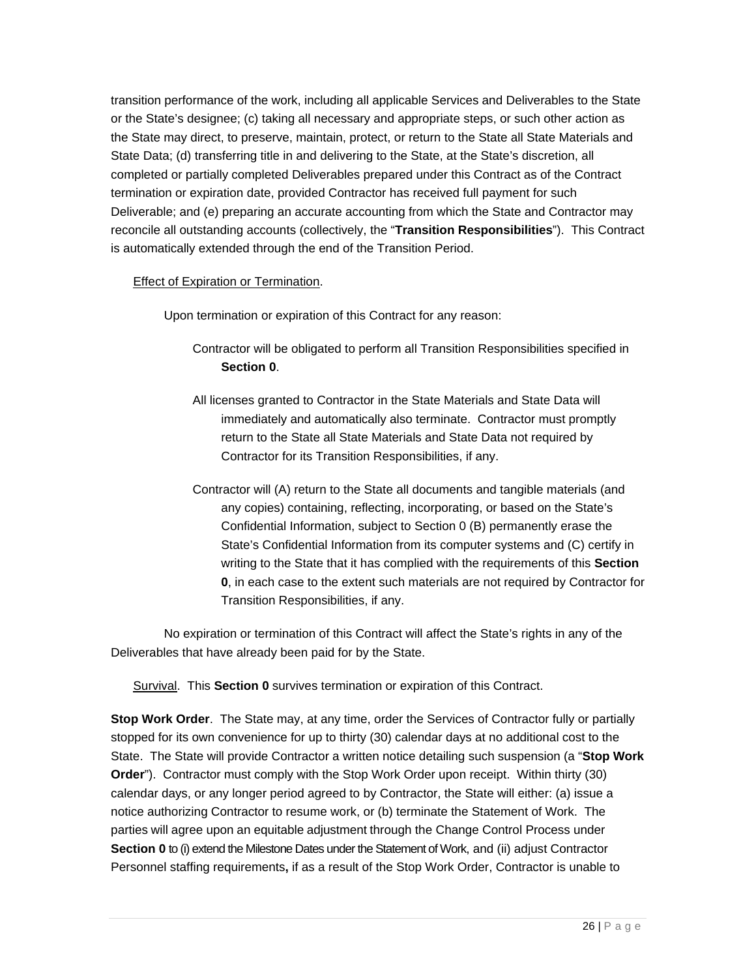transition performance of the work, including all applicable Services and Deliverables to the State or the State's designee; (c) taking all necessary and appropriate steps, or such other action as the State may direct, to preserve, maintain, protect, or return to the State all State Materials and State Data; (d) transferring title in and delivering to the State, at the State's discretion, all completed or partially completed Deliverables prepared under this Contract as of the Contract termination or expiration date, provided Contractor has received full payment for such Deliverable; and (e) preparing an accurate accounting from which the State and Contractor may reconcile all outstanding accounts (collectively, the "**Transition Responsibilities**"). This Contract is automatically extended through the end of the Transition Period.

#### Effect of Expiration or Termination.

Upon termination or expiration of this Contract for any reason:

- Contractor will be obligated to perform all Transition Responsibilities specified in **Section 0**.
- All licenses granted to Contractor in the State Materials and State Data will immediately and automatically also terminate. Contractor must promptly return to the State all State Materials and State Data not required by Contractor for its Transition Responsibilities, if any.
- Contractor will (A) return to the State all documents and tangible materials (and any copies) containing, reflecting, incorporating, or based on the State's Confidential Information, subject to Section 0 (B) permanently erase the State's Confidential Information from its computer systems and (C) certify in writing to the State that it has complied with the requirements of this **Section 0**, in each case to the extent such materials are not required by Contractor for Transition Responsibilities, if any.

No expiration or termination of this Contract will affect the State's rights in any of the Deliverables that have already been paid for by the State.

Survival. This **Section 0** survives termination or expiration of this Contract.

**Stop Work Order**. The State may, at any time, order the Services of Contractor fully or partially stopped for its own convenience for up to thirty (30) calendar days at no additional cost to the State. The State will provide Contractor a written notice detailing such suspension (a "**Stop Work Order**"). Contractor must comply with the Stop Work Order upon receipt. Within thirty (30) calendar days, or any longer period agreed to by Contractor, the State will either: (a) issue a notice authorizing Contractor to resume work, or (b) terminate the Statement of Work. The parties will agree upon an equitable adjustment through the Change Control Process under **Section 0** to (i) extend the Milestone Dates under the Statement of Work, and (ii) adjust Contractor Personnel staffing requirements**,** if as a result of the Stop Work Order, Contractor is unable to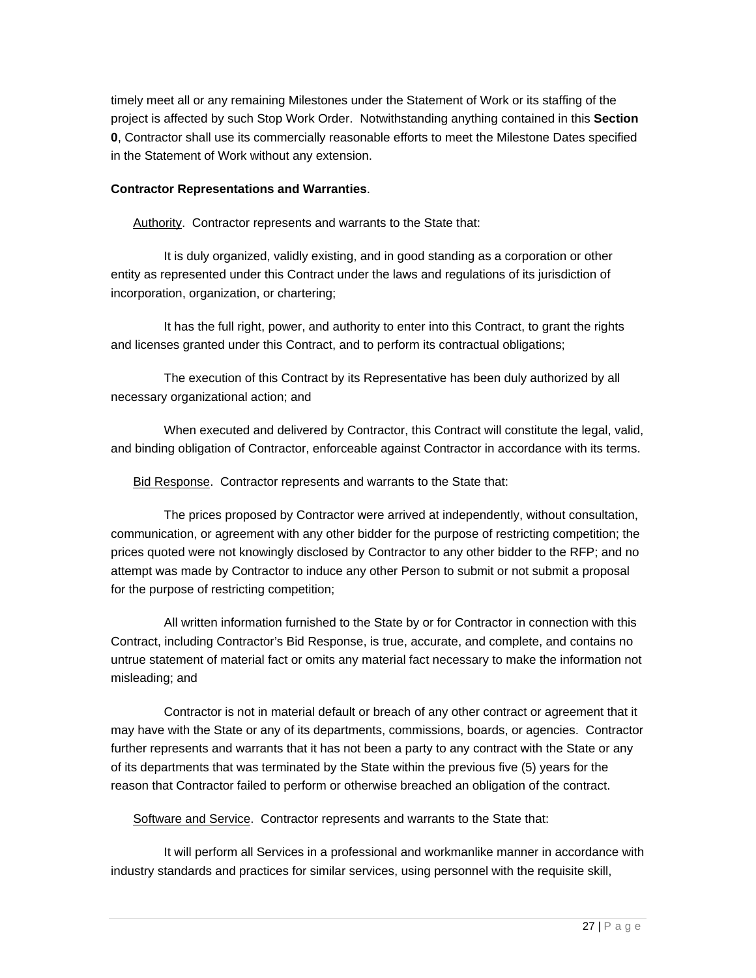timely meet all or any remaining Milestones under the Statement of Work or its staffing of the project is affected by such Stop Work Order. Notwithstanding anything contained in this **Section 0**, Contractor shall use its commercially reasonable efforts to meet the Milestone Dates specified in the Statement of Work without any extension.

#### **Contractor Representations and Warranties**.

Authority. Contractor represents and warrants to the State that:

It is duly organized, validly existing, and in good standing as a corporation or other entity as represented under this Contract under the laws and regulations of its jurisdiction of incorporation, organization, or chartering;

It has the full right, power, and authority to enter into this Contract, to grant the rights and licenses granted under this Contract, and to perform its contractual obligations;

The execution of this Contract by its Representative has been duly authorized by all necessary organizational action; and

When executed and delivered by Contractor, this Contract will constitute the legal, valid, and binding obligation of Contractor, enforceable against Contractor in accordance with its terms.

Bid Response. Contractor represents and warrants to the State that:

The prices proposed by Contractor were arrived at independently, without consultation, communication, or agreement with any other bidder for the purpose of restricting competition; the prices quoted were not knowingly disclosed by Contractor to any other bidder to the RFP; and no attempt was made by Contractor to induce any other Person to submit or not submit a proposal for the purpose of restricting competition;

All written information furnished to the State by or for Contractor in connection with this Contract, including Contractor's Bid Response, is true, accurate, and complete, and contains no untrue statement of material fact or omits any material fact necessary to make the information not misleading; and

Contractor is not in material default or breach of any other contract or agreement that it may have with the State or any of its departments, commissions, boards, or agencies. Contractor further represents and warrants that it has not been a party to any contract with the State or any of its departments that was terminated by the State within the previous five (5) years for the reason that Contractor failed to perform or otherwise breached an obligation of the contract.

Software and Service. Contractor represents and warrants to the State that:

It will perform all Services in a professional and workmanlike manner in accordance with industry standards and practices for similar services, using personnel with the requisite skill,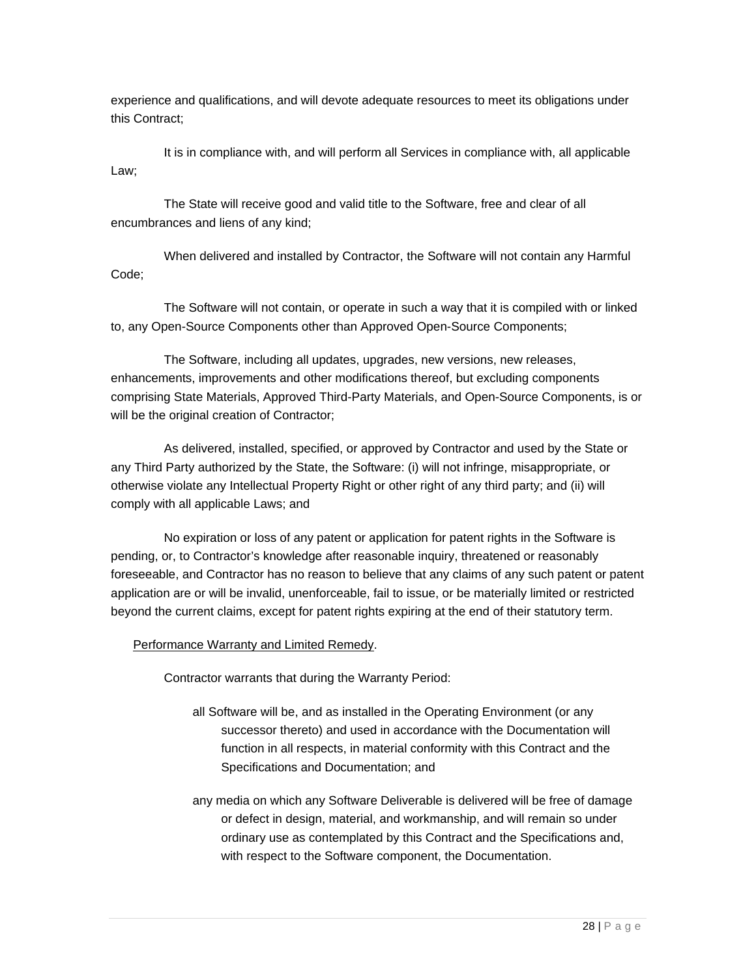experience and qualifications, and will devote adequate resources to meet its obligations under this Contract;

It is in compliance with, and will perform all Services in compliance with, all applicable Law;

The State will receive good and valid title to the Software, free and clear of all encumbrances and liens of any kind;

When delivered and installed by Contractor, the Software will not contain any Harmful Code;

The Software will not contain, or operate in such a way that it is compiled with or linked to, any Open-Source Components other than Approved Open-Source Components;

The Software, including all updates, upgrades, new versions, new releases, enhancements, improvements and other modifications thereof, but excluding components comprising State Materials, Approved Third-Party Materials, and Open-Source Components, is or will be the original creation of Contractor;

As delivered, installed, specified, or approved by Contractor and used by the State or any Third Party authorized by the State, the Software: (i) will not infringe, misappropriate, or otherwise violate any Intellectual Property Right or other right of any third party; and (ii) will comply with all applicable Laws; and

No expiration or loss of any patent or application for patent rights in the Software is pending, or, to Contractor's knowledge after reasonable inquiry, threatened or reasonably foreseeable, and Contractor has no reason to believe that any claims of any such patent or patent application are or will be invalid, unenforceable, fail to issue, or be materially limited or restricted beyond the current claims, except for patent rights expiring at the end of their statutory term.

Performance Warranty and Limited Remedy.

Contractor warrants that during the Warranty Period:

- all Software will be, and as installed in the Operating Environment (or any successor thereto) and used in accordance with the Documentation will function in all respects, in material conformity with this Contract and the Specifications and Documentation; and
- any media on which any Software Deliverable is delivered will be free of damage or defect in design, material, and workmanship, and will remain so under ordinary use as contemplated by this Contract and the Specifications and, with respect to the Software component, the Documentation.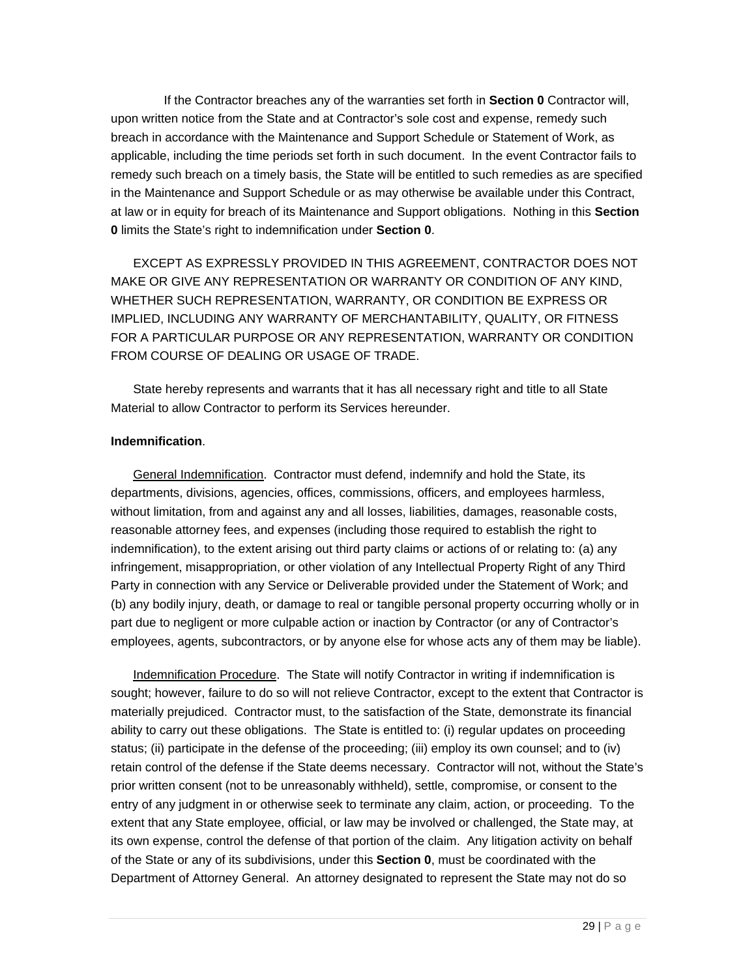If the Contractor breaches any of the warranties set forth in **Section 0** Contractor will, upon written notice from the State and at Contractor's sole cost and expense, remedy such breach in accordance with the Maintenance and Support Schedule or Statement of Work, as applicable, including the time periods set forth in such document. In the event Contractor fails to remedy such breach on a timely basis, the State will be entitled to such remedies as are specified in the Maintenance and Support Schedule or as may otherwise be available under this Contract, at law or in equity for breach of its Maintenance and Support obligations. Nothing in this **Section 0** limits the State's right to indemnification under **Section 0**.

EXCEPT AS EXPRESSLY PROVIDED IN THIS AGREEMENT, CONTRACTOR DOES NOT MAKE OR GIVE ANY REPRESENTATION OR WARRANTY OR CONDITION OF ANY KIND, WHETHER SUCH REPRESENTATION, WARRANTY, OR CONDITION BE EXPRESS OR IMPLIED, INCLUDING ANY WARRANTY OF MERCHANTABILITY, QUALITY, OR FITNESS FOR A PARTICULAR PURPOSE OR ANY REPRESENTATION, WARRANTY OR CONDITION FROM COURSE OF DEALING OR USAGE OF TRADE.

State hereby represents and warrants that it has all necessary right and title to all State Material to allow Contractor to perform its Services hereunder.

#### **Indemnification**.

General Indemnification. Contractor must defend, indemnify and hold the State, its departments, divisions, agencies, offices, commissions, officers, and employees harmless, without limitation, from and against any and all losses, liabilities, damages, reasonable costs, reasonable attorney fees, and expenses (including those required to establish the right to indemnification), to the extent arising out third party claims or actions of or relating to: (a) any infringement, misappropriation, or other violation of any Intellectual Property Right of any Third Party in connection with any Service or Deliverable provided under the Statement of Work; and (b) any bodily injury, death, or damage to real or tangible personal property occurring wholly or in part due to negligent or more culpable action or inaction by Contractor (or any of Contractor's employees, agents, subcontractors, or by anyone else for whose acts any of them may be liable).

Indemnification Procedure. The State will notify Contractor in writing if indemnification is sought; however, failure to do so will not relieve Contractor, except to the extent that Contractor is materially prejudiced. Contractor must, to the satisfaction of the State, demonstrate its financial ability to carry out these obligations. The State is entitled to: (i) regular updates on proceeding status; (ii) participate in the defense of the proceeding; (iii) employ its own counsel; and to (iv) retain control of the defense if the State deems necessary. Contractor will not, without the State's prior written consent (not to be unreasonably withheld), settle, compromise, or consent to the entry of any judgment in or otherwise seek to terminate any claim, action, or proceeding. To the extent that any State employee, official, or law may be involved or challenged, the State may, at its own expense, control the defense of that portion of the claim. Any litigation activity on behalf of the State or any of its subdivisions, under this **Section 0**, must be coordinated with the Department of Attorney General. An attorney designated to represent the State may not do so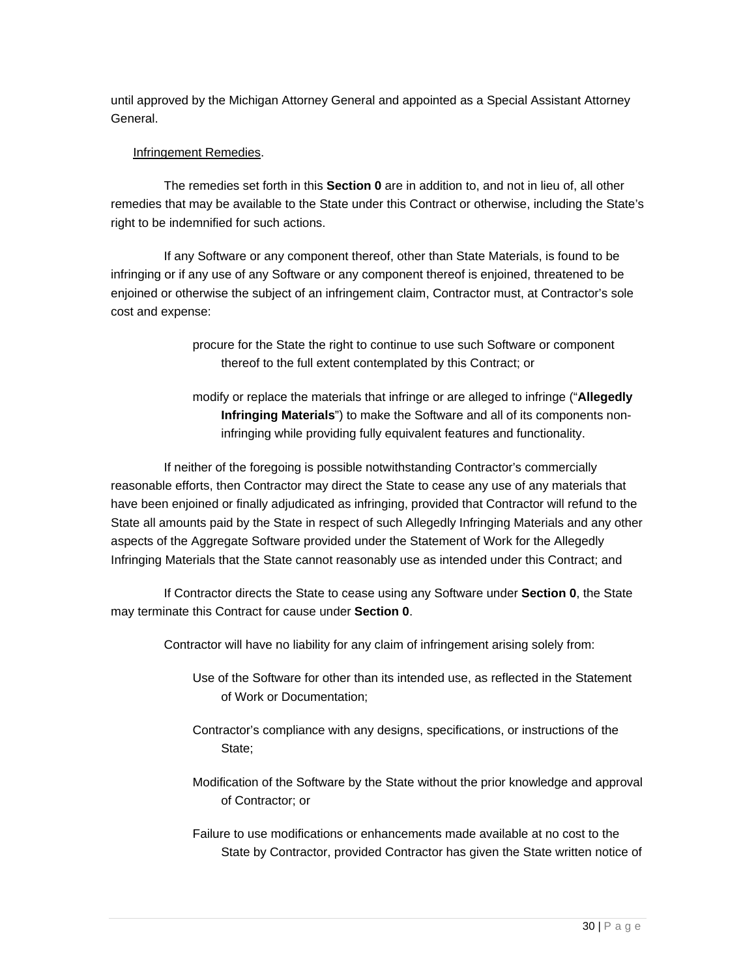until approved by the Michigan Attorney General and appointed as a Special Assistant Attorney General.

#### Infringement Remedies.

The remedies set forth in this **Section 0** are in addition to, and not in lieu of, all other remedies that may be available to the State under this Contract or otherwise, including the State's right to be indemnified for such actions.

If any Software or any component thereof, other than State Materials, is found to be infringing or if any use of any Software or any component thereof is enjoined, threatened to be enjoined or otherwise the subject of an infringement claim, Contractor must, at Contractor's sole cost and expense:

> procure for the State the right to continue to use such Software or component thereof to the full extent contemplated by this Contract; or

modify or replace the materials that infringe or are alleged to infringe ("**Allegedly Infringing Materials**") to make the Software and all of its components noninfringing while providing fully equivalent features and functionality.

If neither of the foregoing is possible notwithstanding Contractor's commercially reasonable efforts, then Contractor may direct the State to cease any use of any materials that have been enjoined or finally adjudicated as infringing, provided that Contractor will refund to the State all amounts paid by the State in respect of such Allegedly Infringing Materials and any other aspects of the Aggregate Software provided under the Statement of Work for the Allegedly Infringing Materials that the State cannot reasonably use as intended under this Contract; and

If Contractor directs the State to cease using any Software under **Section 0**, the State may terminate this Contract for cause under **Section 0**.

Contractor will have no liability for any claim of infringement arising solely from:

- Use of the Software for other than its intended use, as reflected in the Statement of Work or Documentation;
- Contractor's compliance with any designs, specifications, or instructions of the State;
- Modification of the Software by the State without the prior knowledge and approval of Contractor; or

Failure to use modifications or enhancements made available at no cost to the State by Contractor, provided Contractor has given the State written notice of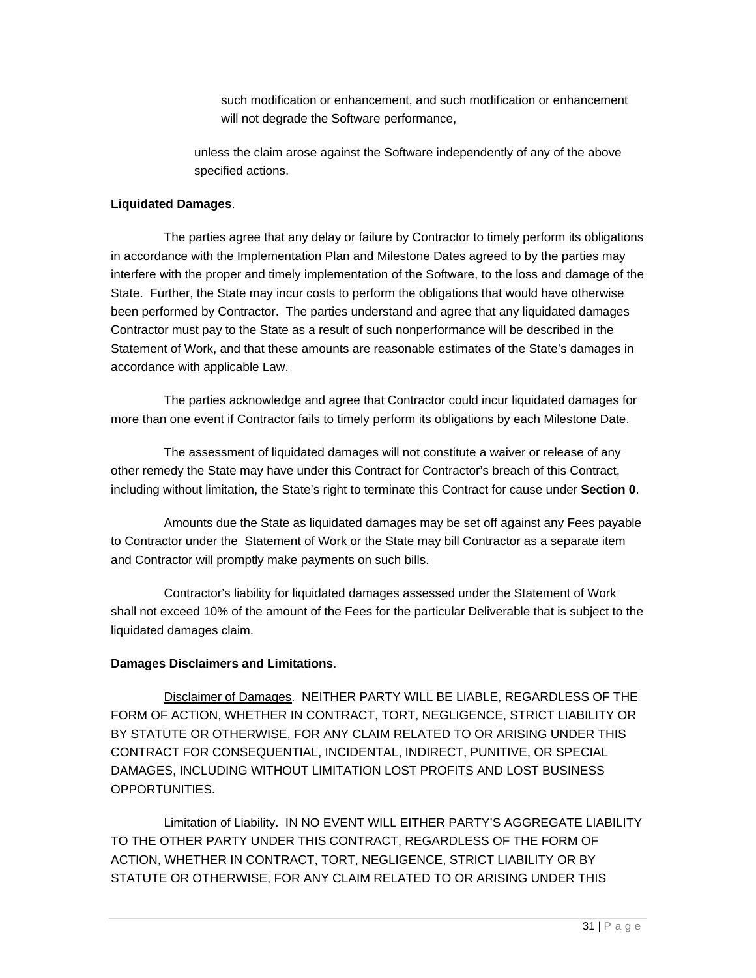such modification or enhancement, and such modification or enhancement will not degrade the Software performance,

unless the claim arose against the Software independently of any of the above specified actions.

#### **Liquidated Damages**.

The parties agree that any delay or failure by Contractor to timely perform its obligations in accordance with the Implementation Plan and Milestone Dates agreed to by the parties may interfere with the proper and timely implementation of the Software, to the loss and damage of the State. Further, the State may incur costs to perform the obligations that would have otherwise been performed by Contractor. The parties understand and agree that any liquidated damages Contractor must pay to the State as a result of such nonperformance will be described in the Statement of Work, and that these amounts are reasonable estimates of the State's damages in accordance with applicable Law.

The parties acknowledge and agree that Contractor could incur liquidated damages for more than one event if Contractor fails to timely perform its obligations by each Milestone Date.

The assessment of liquidated damages will not constitute a waiver or release of any other remedy the State may have under this Contract for Contractor's breach of this Contract, including without limitation, the State's right to terminate this Contract for cause under **Section 0**.

Amounts due the State as liquidated damages may be set off against any Fees payable to Contractor under the Statement of Work or the State may bill Contractor as a separate item and Contractor will promptly make payments on such bills.

Contractor's liability for liquidated damages assessed under the Statement of Work shall not exceed 10% of the amount of the Fees for the particular Deliverable that is subject to the liquidated damages claim.

#### **Damages Disclaimers and Limitations**.

Disclaimer of Damages. NEITHER PARTY WILL BE LIABLE, REGARDLESS OF THE FORM OF ACTION, WHETHER IN CONTRACT, TORT, NEGLIGENCE, STRICT LIABILITY OR BY STATUTE OR OTHERWISE, FOR ANY CLAIM RELATED TO OR ARISING UNDER THIS CONTRACT FOR CONSEQUENTIAL, INCIDENTAL, INDIRECT, PUNITIVE, OR SPECIAL DAMAGES, INCLUDING WITHOUT LIMITATION LOST PROFITS AND LOST BUSINESS OPPORTUNITIES.

Limitation of Liability. IN NO EVENT WILL EITHER PARTY'S AGGREGATE LIABILITY TO THE OTHER PARTY UNDER THIS CONTRACT, REGARDLESS OF THE FORM OF ACTION, WHETHER IN CONTRACT, TORT, NEGLIGENCE, STRICT LIABILITY OR BY STATUTE OR OTHERWISE, FOR ANY CLAIM RELATED TO OR ARISING UNDER THIS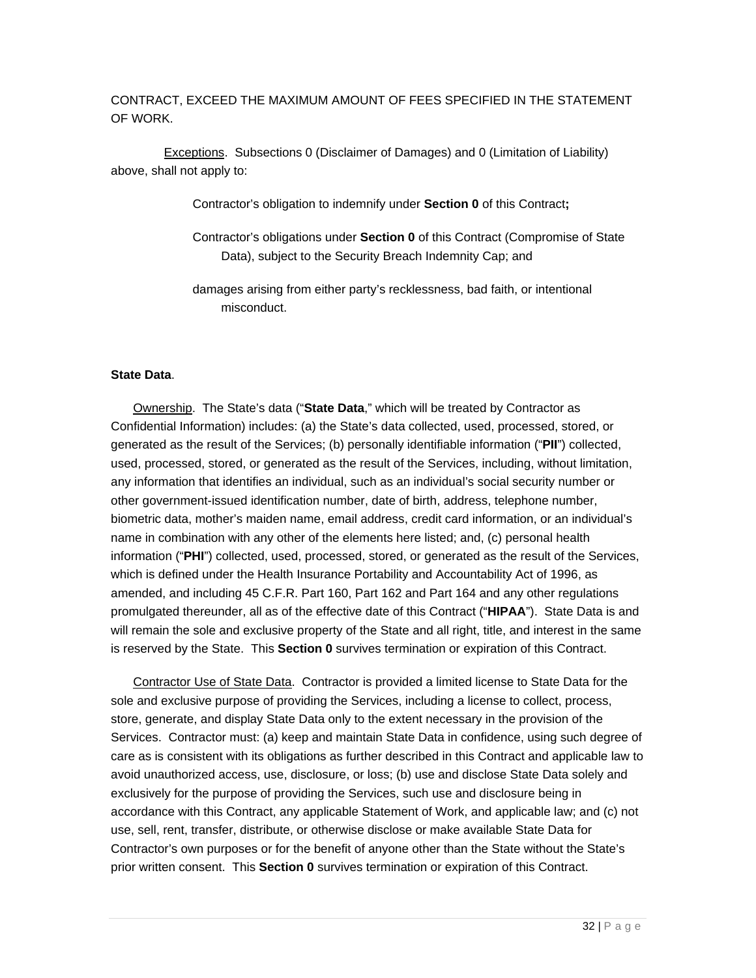CONTRACT, EXCEED THE MAXIMUM AMOUNT OF FEES SPECIFIED IN THE STATEMENT OF WORK.

Exceptions. Subsections 0 (Disclaimer of Damages) and 0 (Limitation of Liability) above, shall not apply to:

Contractor's obligation to indemnify under **Section 0** of this Contract**;**

Contractor's obligations under **Section 0** of this Contract (Compromise of State Data), subject to the Security Breach Indemnity Cap; and

damages arising from either party's recklessness, bad faith, or intentional misconduct.

#### **State Data**.

Ownership. The State's data ("**State Data**," which will be treated by Contractor as Confidential Information) includes: (a) the State's data collected, used, processed, stored, or generated as the result of the Services; (b) personally identifiable information ("**PII**") collected, used, processed, stored, or generated as the result of the Services, including, without limitation, any information that identifies an individual, such as an individual's social security number or other government-issued identification number, date of birth, address, telephone number, biometric data, mother's maiden name, email address, credit card information, or an individual's name in combination with any other of the elements here listed; and, (c) personal health information ("**PHI**") collected, used, processed, stored, or generated as the result of the Services, which is defined under the Health Insurance Portability and Accountability Act of 1996, as amended, and including 45 C.F.R. Part 160, Part 162 and Part 164 and any other regulations promulgated thereunder, all as of the effective date of this Contract ("**HIPAA**"). State Data is and will remain the sole and exclusive property of the State and all right, title, and interest in the same is reserved by the State. This **Section 0** survives termination or expiration of this Contract.

Contractor Use of State Data. Contractor is provided a limited license to State Data for the sole and exclusive purpose of providing the Services, including a license to collect, process, store, generate, and display State Data only to the extent necessary in the provision of the Services. Contractor must: (a) keep and maintain State Data in confidence, using such degree of care as is consistent with its obligations as further described in this Contract and applicable law to avoid unauthorized access, use, disclosure, or loss; (b) use and disclose State Data solely and exclusively for the purpose of providing the Services, such use and disclosure being in accordance with this Contract, any applicable Statement of Work, and applicable law; and (c) not use, sell, rent, transfer, distribute, or otherwise disclose or make available State Data for Contractor's own purposes or for the benefit of anyone other than the State without the State's prior written consent. This **Section 0** survives termination or expiration of this Contract.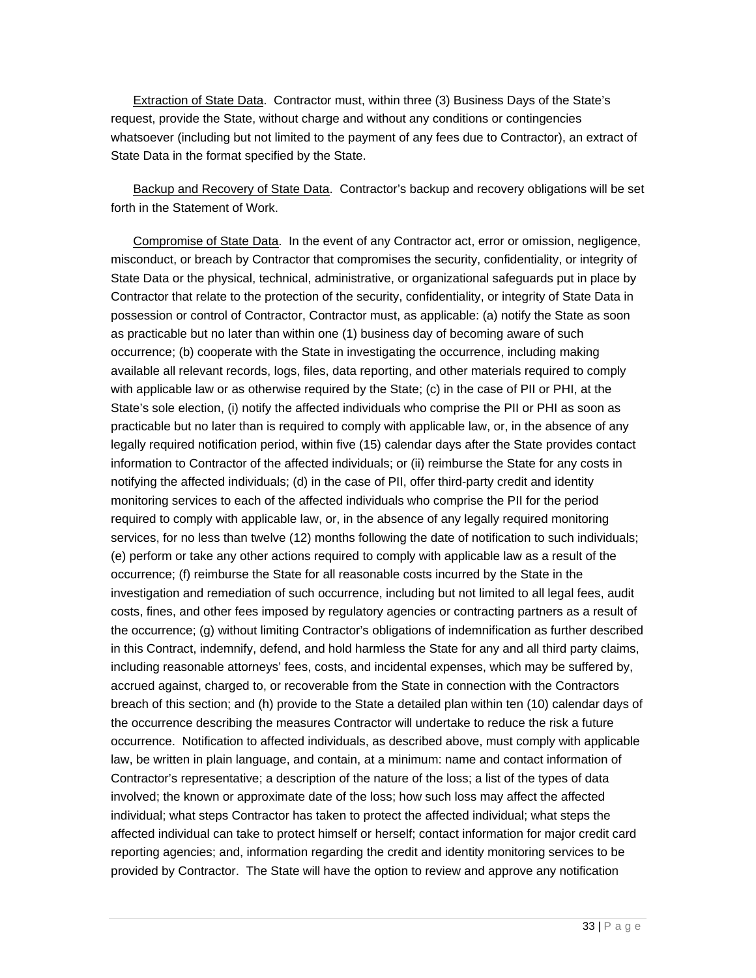Extraction of State Data. Contractor must, within three (3) Business Days of the State's request, provide the State, without charge and without any conditions or contingencies whatsoever (including but not limited to the payment of any fees due to Contractor), an extract of State Data in the format specified by the State.

Backup and Recovery of State Data. Contractor's backup and recovery obligations will be set forth in the Statement of Work.

Compromise of State Data. In the event of any Contractor act, error or omission, negligence, misconduct, or breach by Contractor that compromises the security, confidentiality, or integrity of State Data or the physical, technical, administrative, or organizational safeguards put in place by Contractor that relate to the protection of the security, confidentiality, or integrity of State Data in possession or control of Contractor, Contractor must, as applicable: (a) notify the State as soon as practicable but no later than within one (1) business day of becoming aware of such occurrence; (b) cooperate with the State in investigating the occurrence, including making available all relevant records, logs, files, data reporting, and other materials required to comply with applicable law or as otherwise required by the State; (c) in the case of PII or PHI, at the State's sole election, (i) notify the affected individuals who comprise the PII or PHI as soon as practicable but no later than is required to comply with applicable law, or, in the absence of any legally required notification period, within five (15) calendar days after the State provides contact information to Contractor of the affected individuals; or (ii) reimburse the State for any costs in notifying the affected individuals; (d) in the case of PII, offer third-party credit and identity monitoring services to each of the affected individuals who comprise the PII for the period required to comply with applicable law, or, in the absence of any legally required monitoring services, for no less than twelve (12) months following the date of notification to such individuals; (e) perform or take any other actions required to comply with applicable law as a result of the occurrence; (f) reimburse the State for all reasonable costs incurred by the State in the investigation and remediation of such occurrence, including but not limited to all legal fees, audit costs, fines, and other fees imposed by regulatory agencies or contracting partners as a result of the occurrence; (g) without limiting Contractor's obligations of indemnification as further described in this Contract, indemnify, defend, and hold harmless the State for any and all third party claims, including reasonable attorneys' fees, costs, and incidental expenses, which may be suffered by, accrued against, charged to, or recoverable from the State in connection with the Contractors breach of this section; and (h) provide to the State a detailed plan within ten (10) calendar days of the occurrence describing the measures Contractor will undertake to reduce the risk a future occurrence. Notification to affected individuals, as described above, must comply with applicable law, be written in plain language, and contain, at a minimum: name and contact information of Contractor's representative; a description of the nature of the loss; a list of the types of data involved; the known or approximate date of the loss; how such loss may affect the affected individual; what steps Contractor has taken to protect the affected individual; what steps the affected individual can take to protect himself or herself; contact information for major credit card reporting agencies; and, information regarding the credit and identity monitoring services to be provided by Contractor. The State will have the option to review and approve any notification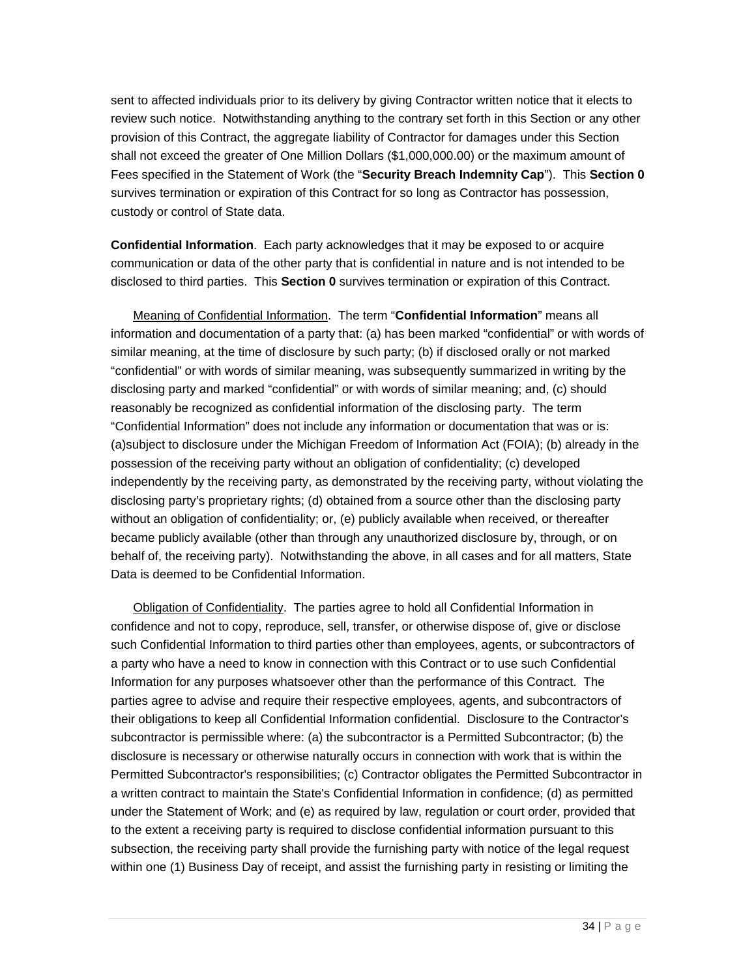sent to affected individuals prior to its delivery by giving Contractor written notice that it elects to review such notice. Notwithstanding anything to the contrary set forth in this Section or any other provision of this Contract, the aggregate liability of Contractor for damages under this Section shall not exceed the greater of One Million Dollars (\$1,000,000.00) or the maximum amount of Fees specified in the Statement of Work (the "**Security Breach Indemnity Cap**"). This **Section 0** survives termination or expiration of this Contract for so long as Contractor has possession, custody or control of State data.

**Confidential Information**.Each party acknowledges that it may be exposed to or acquire communication or data of the other party that is confidential in nature and is not intended to be disclosed to third parties. This **Section 0** survives termination or expiration of this Contract.

Meaning of Confidential Information. The term "**Confidential Information**" means all information and documentation of a party that: (a) has been marked "confidential" or with words of similar meaning, at the time of disclosure by such party; (b) if disclosed orally or not marked "confidential" or with words of similar meaning, was subsequently summarized in writing by the disclosing party and marked "confidential" or with words of similar meaning; and, (c) should reasonably be recognized as confidential information of the disclosing party. The term "Confidential Information" does not include any information or documentation that was or is: (a)subject to disclosure under the Michigan Freedom of Information Act (FOIA); (b) already in the possession of the receiving party without an obligation of confidentiality; (c) developed independently by the receiving party, as demonstrated by the receiving party, without violating the disclosing party's proprietary rights; (d) obtained from a source other than the disclosing party without an obligation of confidentiality; or, (e) publicly available when received, or thereafter became publicly available (other than through any unauthorized disclosure by, through, or on behalf of, the receiving party). Notwithstanding the above, in all cases and for all matters, State Data is deemed to be Confidential Information.

Obligation of Confidentiality. The parties agree to hold all Confidential Information in confidence and not to copy, reproduce, sell, transfer, or otherwise dispose of, give or disclose such Confidential Information to third parties other than employees, agents, or subcontractors of a party who have a need to know in connection with this Contract or to use such Confidential Information for any purposes whatsoever other than the performance of this Contract. The parties agree to advise and require their respective employees, agents, and subcontractors of their obligations to keep all Confidential Information confidential. Disclosure to the Contractor's subcontractor is permissible where: (a) the subcontractor is a Permitted Subcontractor; (b) the disclosure is necessary or otherwise naturally occurs in connection with work that is within the Permitted Subcontractor's responsibilities; (c) Contractor obligates the Permitted Subcontractor in a written contract to maintain the State's Confidential Information in confidence; (d) as permitted under the Statement of Work; and (e) as required by law, regulation or court order, provided that to the extent a receiving party is required to disclose confidential information pursuant to this subsection, the receiving party shall provide the furnishing party with notice of the legal request within one (1) Business Day of receipt, and assist the furnishing party in resisting or limiting the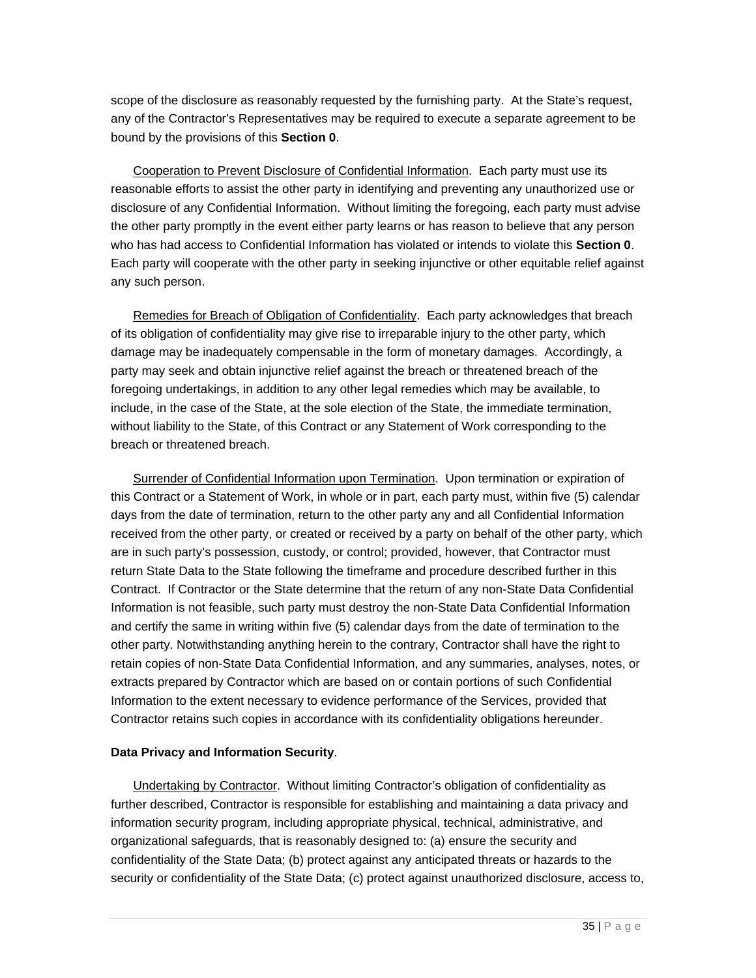scope of the disclosure as reasonably requested by the furnishing party. At the State's request, any of the Contractor's Representatives may be required to execute a separate agreement to be bound by the provisions of this **Section 0**.

Cooperation to Prevent Disclosure of Confidential Information. Each party must use its reasonable efforts to assist the other party in identifying and preventing any unauthorized use or disclosure of any Confidential Information. Without limiting the foregoing, each party must advise the other party promptly in the event either party learns or has reason to believe that any person who has had access to Confidential Information has violated or intends to violate this **Section 0**. Each party will cooperate with the other party in seeking injunctive or other equitable relief against any such person.

Remedies for Breach of Obligation of Confidentiality. Each party acknowledges that breach of its obligation of confidentiality may give rise to irreparable injury to the other party, which damage may be inadequately compensable in the form of monetary damages. Accordingly, a party may seek and obtain injunctive relief against the breach or threatened breach of the foregoing undertakings, in addition to any other legal remedies which may be available, to include, in the case of the State, at the sole election of the State, the immediate termination, without liability to the State, of this Contract or any Statement of Work corresponding to the breach or threatened breach.

Surrender of Confidential Information upon Termination. Upon termination or expiration of this Contract or a Statement of Work, in whole or in part, each party must, within five (5) calendar days from the date of termination, return to the other party any and all Confidential Information received from the other party, or created or received by a party on behalf of the other party, which are in such party's possession, custody, or control; provided, however, that Contractor must return State Data to the State following the timeframe and procedure described further in this Contract. If Contractor or the State determine that the return of any non-State Data Confidential Information is not feasible, such party must destroy the non-State Data Confidential Information and certify the same in writing within five (5) calendar days from the date of termination to the other party. Notwithstanding anything herein to the contrary, Contractor shall have the right to retain copies of non-State Data Confidential Information, and any summaries, analyses, notes, or extracts prepared by Contractor which are based on or contain portions of such Confidential Information to the extent necessary to evidence performance of the Services, provided that Contractor retains such copies in accordance with its confidentiality obligations hereunder.

#### **Data Privacy and Information Security**.

Undertaking by Contractor. Without limiting Contractor's obligation of confidentiality as further described, Contractor is responsible for establishing and maintaining a data privacy and information security program, including appropriate physical, technical, administrative, and organizational safeguards, that is reasonably designed to: (a) ensure the security and confidentiality of the State Data; (b) protect against any anticipated threats or hazards to the security or confidentiality of the State Data; (c) protect against unauthorized disclosure, access to,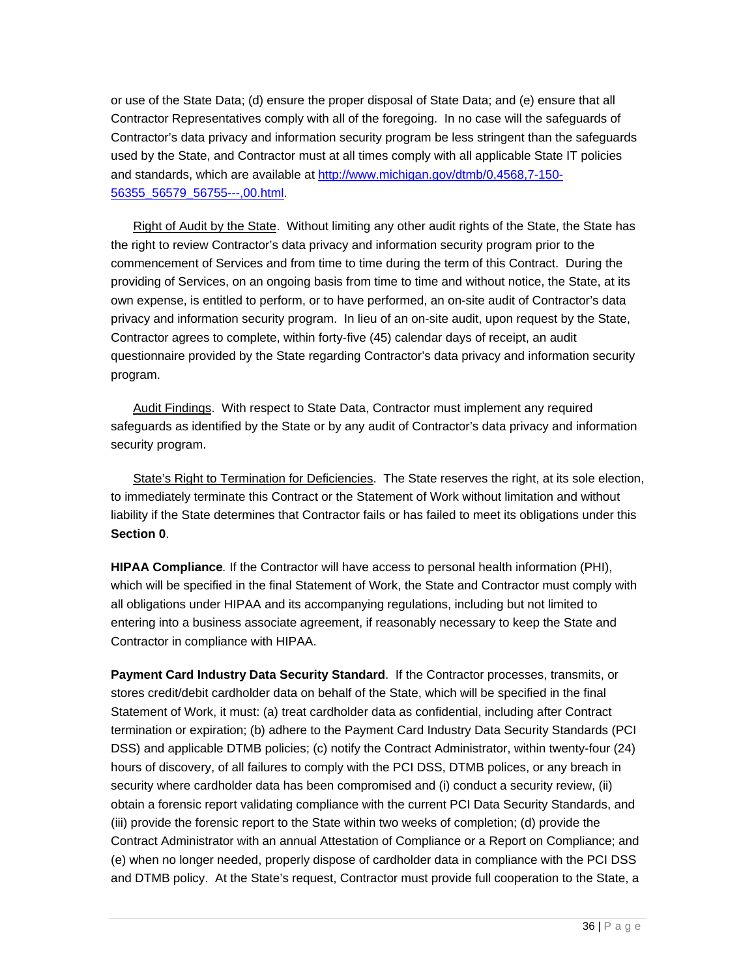or use of the State Data; (d) ensure the proper disposal of State Data; and (e) ensure that all Contractor Representatives comply with all of the foregoing. In no case will the safeguards of Contractor's data privacy and information security program be less stringent than the safeguards used by the State, and Contractor must at all times comply with all applicable State IT policies and standards, which are available at http://www.michigan.gov/dtmb/0,4568,7-150- 56355\_56579\_56755---,00.html.

Right of Audit by the State. Without limiting any other audit rights of the State, the State has the right to review Contractor's data privacy and information security program prior to the commencement of Services and from time to time during the term of this Contract. During the providing of Services, on an ongoing basis from time to time and without notice, the State, at its own expense, is entitled to perform, or to have performed, an on-site audit of Contractor's data privacy and information security program. In lieu of an on-site audit, upon request by the State, Contractor agrees to complete, within forty-five (45) calendar days of receipt, an audit questionnaire provided by the State regarding Contractor's data privacy and information security program.

Audit Findings. With respect to State Data, Contractor must implement any required safeguards as identified by the State or by any audit of Contractor's data privacy and information security program.

State's Right to Termination for Deficiencies. The State reserves the right, at its sole election, to immediately terminate this Contract or the Statement of Work without limitation and without liability if the State determines that Contractor fails or has failed to meet its obligations under this **Section 0**.

**HIPAA Compliance***.* If the Contractor will have access to personal health information (PHI), which will be specified in the final Statement of Work, the State and Contractor must comply with all obligations under HIPAA and its accompanying regulations, including but not limited to entering into a business associate agreement, if reasonably necessary to keep the State and Contractor in compliance with HIPAA.

**Payment Card Industry Data Security Standard**. If the Contractor processes, transmits, or stores credit/debit cardholder data on behalf of the State, which will be specified in the final Statement of Work, it must: (a) treat cardholder data as confidential, including after Contract termination or expiration; (b) adhere to the Payment Card Industry Data Security Standards (PCI DSS) and applicable DTMB policies; (c) notify the Contract Administrator, within twenty-four (24) hours of discovery, of all failures to comply with the PCI DSS, DTMB polices, or any breach in security where cardholder data has been compromised and (i) conduct a security review, (ii) obtain a forensic report validating compliance with the current PCI Data Security Standards, and (iii) provide the forensic report to the State within two weeks of completion; (d) provide the Contract Administrator with an annual Attestation of Compliance or a Report on Compliance; and (e) when no longer needed, properly dispose of cardholder data in compliance with the PCI DSS and DTMB policy. At the State's request, Contractor must provide full cooperation to the State, a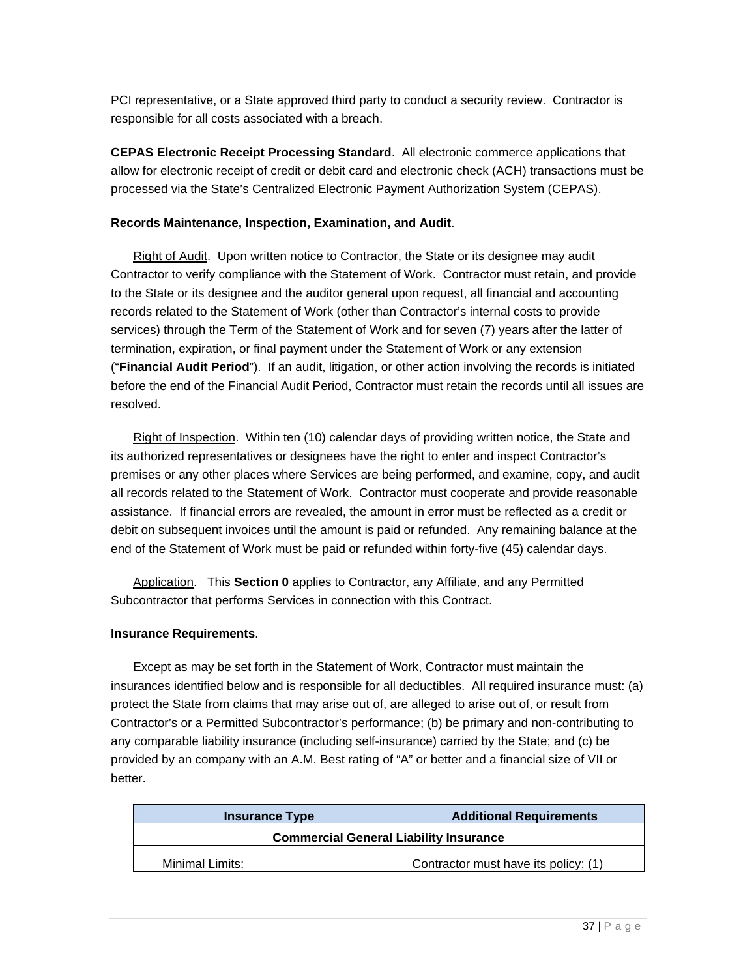PCI representative, or a State approved third party to conduct a security review. Contractor is responsible for all costs associated with a breach.

**CEPAS Electronic Receipt Processing Standard**. All electronic commerce applications that allow for electronic receipt of credit or debit card and electronic check (ACH) transactions must be processed via the State's Centralized Electronic Payment Authorization System (CEPAS).

#### **Records Maintenance, Inspection, Examination, and Audit**.

Right of Audit. Upon written notice to Contractor, the State or its designee may audit Contractor to verify compliance with the Statement of Work. Contractor must retain, and provide to the State or its designee and the auditor general upon request, all financial and accounting records related to the Statement of Work (other than Contractor's internal costs to provide services) through the Term of the Statement of Work and for seven (7) years after the latter of termination, expiration, or final payment under the Statement of Work or any extension ("**Financial Audit Period**"). If an audit, litigation, or other action involving the records is initiated before the end of the Financial Audit Period, Contractor must retain the records until all issues are resolved.

Right of Inspection. Within ten (10) calendar days of providing written notice, the State and its authorized representatives or designees have the right to enter and inspect Contractor's premises or any other places where Services are being performed, and examine, copy, and audit all records related to the Statement of Work. Contractor must cooperate and provide reasonable assistance. If financial errors are revealed, the amount in error must be reflected as a credit or debit on subsequent invoices until the amount is paid or refunded. Any remaining balance at the end of the Statement of Work must be paid or refunded within forty-five (45) calendar days.

Application. This **Section 0** applies to Contractor, any Affiliate, and any Permitted Subcontractor that performs Services in connection with this Contract.

#### **Insurance Requirements**.

Except as may be set forth in the Statement of Work, Contractor must maintain the insurances identified below and is responsible for all deductibles. All required insurance must: (a) protect the State from claims that may arise out of, are alleged to arise out of, or result from Contractor's or a Permitted Subcontractor's performance; (b) be primary and non-contributing to any comparable liability insurance (including self-insurance) carried by the State; and (c) be provided by an company with an A.M. Best rating of "A" or better and a financial size of VII or better.

| <b>Insurance Type</b>                         | <b>Additional Requirements</b>       |  |
|-----------------------------------------------|--------------------------------------|--|
| <b>Commercial General Liability Insurance</b> |                                      |  |
| Minimal Limits:                               | Contractor must have its policy: (1) |  |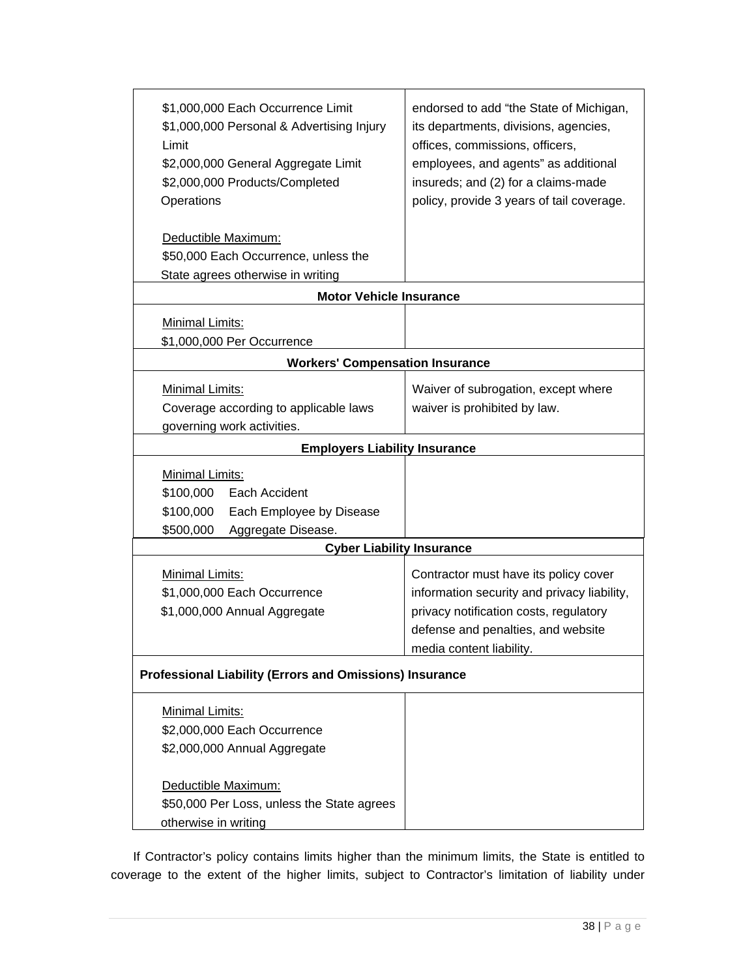| \$1,000,000 Each Occurrence Limit<br>\$1,000,000 Personal & Advertising Injury<br>Limit<br>\$2,000,000 General Aggregate Limit<br>\$2,000,000 Products/Completed<br>Operations | endorsed to add "the State of Michigan,<br>its departments, divisions, agencies,<br>offices, commissions, officers,<br>employees, and agents" as additional<br>insureds; and (2) for a claims-made<br>policy, provide 3 years of tail coverage. |  |  |  |
|--------------------------------------------------------------------------------------------------------------------------------------------------------------------------------|-------------------------------------------------------------------------------------------------------------------------------------------------------------------------------------------------------------------------------------------------|--|--|--|
| Deductible Maximum:                                                                                                                                                            |                                                                                                                                                                                                                                                 |  |  |  |
| \$50,000 Each Occurrence, unless the                                                                                                                                           |                                                                                                                                                                                                                                                 |  |  |  |
| State agrees otherwise in writing                                                                                                                                              |                                                                                                                                                                                                                                                 |  |  |  |
| <b>Motor Vehicle Insurance</b>                                                                                                                                                 |                                                                                                                                                                                                                                                 |  |  |  |
| Minimal Limits:<br>\$1,000,000 Per Occurrence                                                                                                                                  |                                                                                                                                                                                                                                                 |  |  |  |
| <b>Workers' Compensation Insurance</b>                                                                                                                                         |                                                                                                                                                                                                                                                 |  |  |  |
| Minimal Limits:<br>Coverage according to applicable laws<br>governing work activities.                                                                                         | Waiver of subrogation, except where<br>waiver is prohibited by law.                                                                                                                                                                             |  |  |  |
| <b>Employers Liability Insurance</b>                                                                                                                                           |                                                                                                                                                                                                                                                 |  |  |  |
| Minimal Limits:<br>\$100,000<br>Each Accident<br>\$100,000<br>Each Employee by Disease<br>\$500,000<br>Aggregate Disease.                                                      |                                                                                                                                                                                                                                                 |  |  |  |
| <b>Cyber Liability Insurance</b>                                                                                                                                               |                                                                                                                                                                                                                                                 |  |  |  |
| Minimal Limits:<br>\$1,000,000 Each Occurrence<br>\$1,000,000 Annual Aggregate                                                                                                 | Contractor must have its policy cover<br>information security and privacy liability,<br>privacy notification costs, regulatory<br>defense and penalties, and website<br>media content liability.                                                |  |  |  |
| <b>Professional Liability (Errors and Omissions) Insurance</b>                                                                                                                 |                                                                                                                                                                                                                                                 |  |  |  |
| Minimal Limits:<br>\$2,000,000 Each Occurrence<br>\$2,000,000 Annual Aggregate<br>Deductible Maximum:                                                                          |                                                                                                                                                                                                                                                 |  |  |  |
| \$50,000 Per Loss, unless the State agrees                                                                                                                                     |                                                                                                                                                                                                                                                 |  |  |  |
| otherwise in writing                                                                                                                                                           |                                                                                                                                                                                                                                                 |  |  |  |

If Contractor's policy contains limits higher than the minimum limits, the State is entitled to coverage to the extent of the higher limits, subject to Contractor's limitation of liability under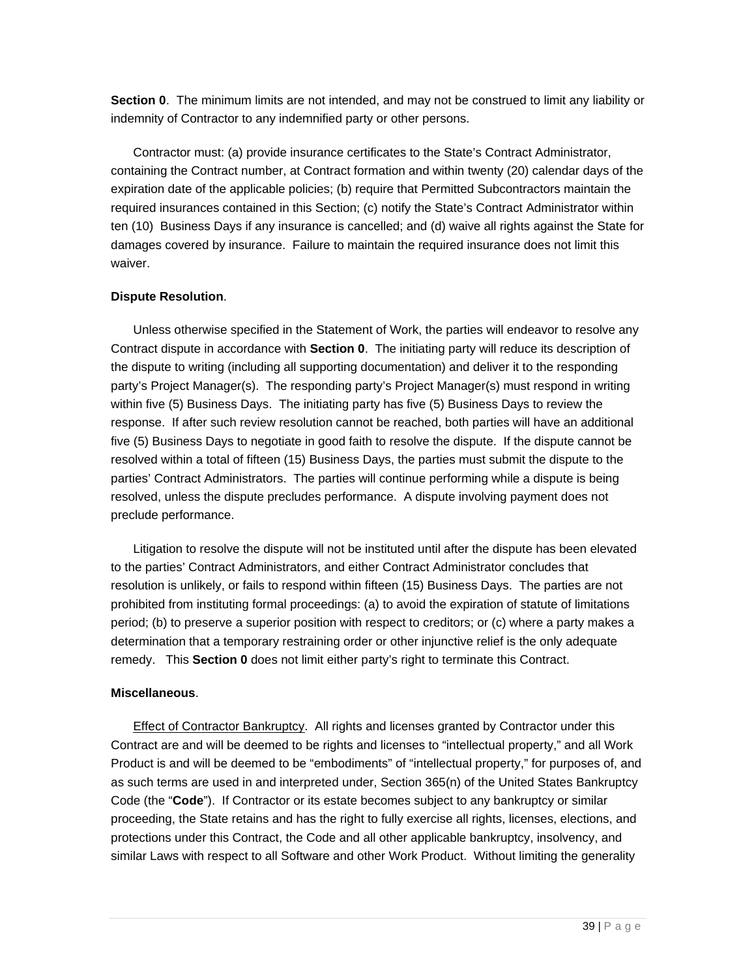**Section 0**. The minimum limits are not intended, and may not be construed to limit any liability or indemnity of Contractor to any indemnified party or other persons.

Contractor must: (a) provide insurance certificates to the State's Contract Administrator, containing the Contract number, at Contract formation and within twenty (20) calendar days of the expiration date of the applicable policies; (b) require that Permitted Subcontractors maintain the required insurances contained in this Section; (c) notify the State's Contract Administrator within ten (10) Business Days if any insurance is cancelled; and (d) waive all rights against the State for damages covered by insurance. Failure to maintain the required insurance does not limit this waiver.

#### **Dispute Resolution**.

Unless otherwise specified in the Statement of Work, the parties will endeavor to resolve any Contract dispute in accordance with **Section 0**. The initiating party will reduce its description of the dispute to writing (including all supporting documentation) and deliver it to the responding party's Project Manager(s). The responding party's Project Manager(s) must respond in writing within five (5) Business Days. The initiating party has five (5) Business Days to review the response. If after such review resolution cannot be reached, both parties will have an additional five (5) Business Days to negotiate in good faith to resolve the dispute. If the dispute cannot be resolved within a total of fifteen (15) Business Days, the parties must submit the dispute to the parties' Contract Administrators. The parties will continue performing while a dispute is being resolved, unless the dispute precludes performance. A dispute involving payment does not preclude performance.

Litigation to resolve the dispute will not be instituted until after the dispute has been elevated to the parties' Contract Administrators, and either Contract Administrator concludes that resolution is unlikely, or fails to respond within fifteen (15) Business Days. The parties are not prohibited from instituting formal proceedings: (a) to avoid the expiration of statute of limitations period; (b) to preserve a superior position with respect to creditors; or (c) where a party makes a determination that a temporary restraining order or other injunctive relief is the only adequate remedy. This **Section 0** does not limit either party's right to terminate this Contract.

#### **Miscellaneous**.

Effect of Contractor Bankruptcy. All rights and licenses granted by Contractor under this Contract are and will be deemed to be rights and licenses to "intellectual property," and all Work Product is and will be deemed to be "embodiments" of "intellectual property," for purposes of, and as such terms are used in and interpreted under, Section 365(n) of the United States Bankruptcy Code (the "**Code**"). If Contractor or its estate becomes subject to any bankruptcy or similar proceeding, the State retains and has the right to fully exercise all rights, licenses, elections, and protections under this Contract, the Code and all other applicable bankruptcy, insolvency, and similar Laws with respect to all Software and other Work Product. Without limiting the generality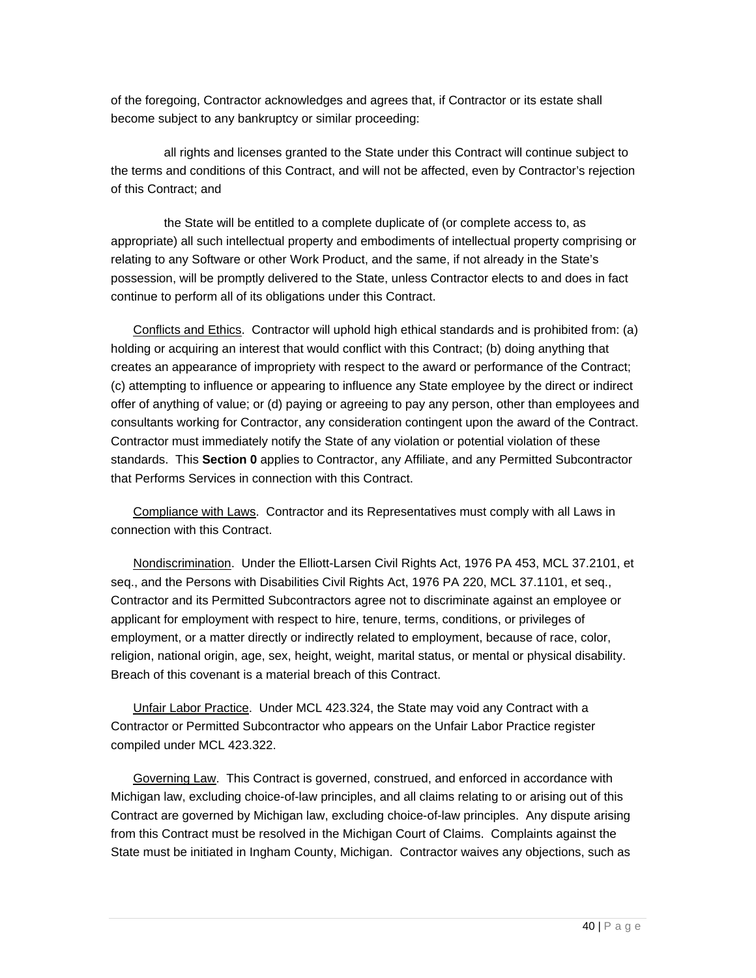of the foregoing, Contractor acknowledges and agrees that, if Contractor or its estate shall become subject to any bankruptcy or similar proceeding:

all rights and licenses granted to the State under this Contract will continue subject to the terms and conditions of this Contract, and will not be affected, even by Contractor's rejection of this Contract; and

the State will be entitled to a complete duplicate of (or complete access to, as appropriate) all such intellectual property and embodiments of intellectual property comprising or relating to any Software or other Work Product, and the same, if not already in the State's possession, will be promptly delivered to the State, unless Contractor elects to and does in fact continue to perform all of its obligations under this Contract.

Conflicts and Ethics. Contractor will uphold high ethical standards and is prohibited from: (a) holding or acquiring an interest that would conflict with this Contract; (b) doing anything that creates an appearance of impropriety with respect to the award or performance of the Contract; (c) attempting to influence or appearing to influence any State employee by the direct or indirect offer of anything of value; or (d) paying or agreeing to pay any person, other than employees and consultants working for Contractor, any consideration contingent upon the award of the Contract. Contractor must immediately notify the State of any violation or potential violation of these standards. This **Section 0** applies to Contractor, any Affiliate, and any Permitted Subcontractor that Performs Services in connection with this Contract.

Compliance with Laws. Contractor and its Representatives must comply with all Laws in connection with this Contract.

Nondiscrimination. Under the Elliott-Larsen Civil Rights Act, 1976 PA 453, MCL 37.2101, et seq., and the Persons with Disabilities Civil Rights Act, 1976 PA 220, MCL 37.1101, et seq., Contractor and its Permitted Subcontractors agree not to discriminate against an employee or applicant for employment with respect to hire, tenure, terms, conditions, or privileges of employment, or a matter directly or indirectly related to employment, because of race, color, religion, national origin, age, sex, height, weight, marital status, or mental or physical disability. Breach of this covenant is a material breach of this Contract.

Unfair Labor Practice. Under MCL 423.324, the State may void any Contract with a Contractor or Permitted Subcontractor who appears on the Unfair Labor Practice register compiled under MCL 423.322.

Governing Law. This Contract is governed, construed, and enforced in accordance with Michigan law, excluding choice-of-law principles, and all claims relating to or arising out of this Contract are governed by Michigan law, excluding choice-of-law principles. Any dispute arising from this Contract must be resolved in the Michigan Court of Claims. Complaints against the State must be initiated in Ingham County, Michigan. Contractor waives any objections, such as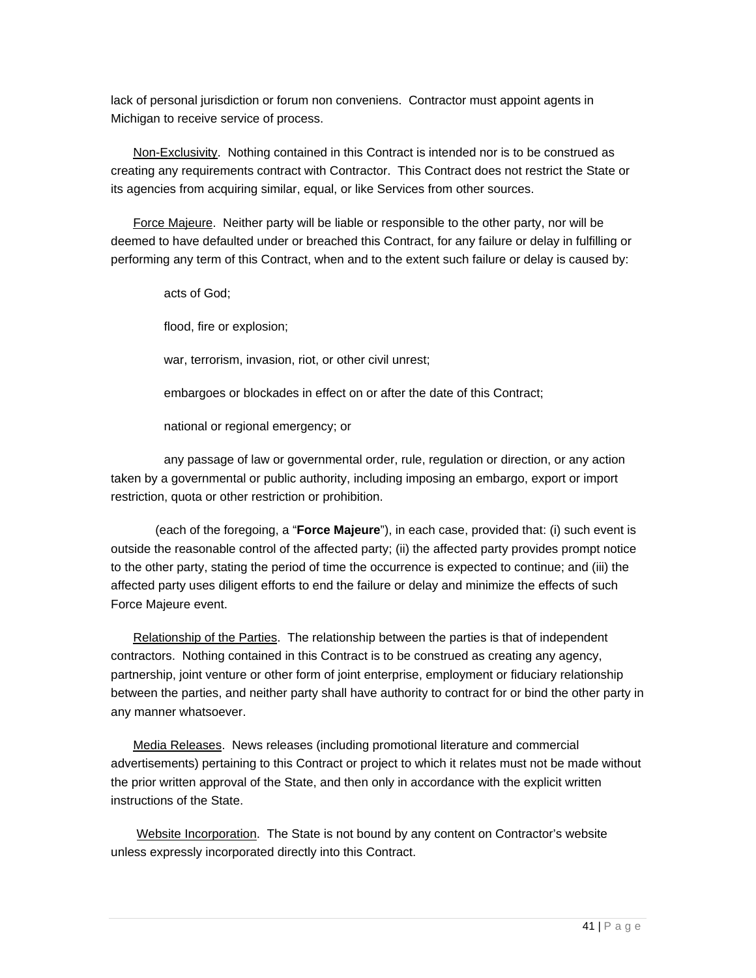lack of personal jurisdiction or forum non conveniens. Contractor must appoint agents in Michigan to receive service of process.

Non-Exclusivity. Nothing contained in this Contract is intended nor is to be construed as creating any requirements contract with Contractor. This Contract does not restrict the State or its agencies from acquiring similar, equal, or like Services from other sources.

Force Majeure. Neither party will be liable or responsible to the other party, nor will be deemed to have defaulted under or breached this Contract, for any failure or delay in fulfilling or performing any term of this Contract, when and to the extent such failure or delay is caused by:

acts of God;

flood, fire or explosion;

war, terrorism, invasion, riot, or other civil unrest;

embargoes or blockades in effect on or after the date of this Contract;

national or regional emergency; or

any passage of law or governmental order, rule, regulation or direction, or any action taken by a governmental or public authority, including imposing an embargo, export or import restriction, quota or other restriction or prohibition.

(each of the foregoing, a "**Force Majeure**"), in each case, provided that: (i) such event is outside the reasonable control of the affected party; (ii) the affected party provides prompt notice to the other party, stating the period of time the occurrence is expected to continue; and (iii) the affected party uses diligent efforts to end the failure or delay and minimize the effects of such Force Majeure event.

Relationship of the Parties. The relationship between the parties is that of independent contractors. Nothing contained in this Contract is to be construed as creating any agency, partnership, joint venture or other form of joint enterprise, employment or fiduciary relationship between the parties, and neither party shall have authority to contract for or bind the other party in any manner whatsoever.

Media Releases. News releases (including promotional literature and commercial advertisements) pertaining to this Contract or project to which it relates must not be made without the prior written approval of the State, and then only in accordance with the explicit written instructions of the State.

 Website Incorporation. The State is not bound by any content on Contractor's website unless expressly incorporated directly into this Contract.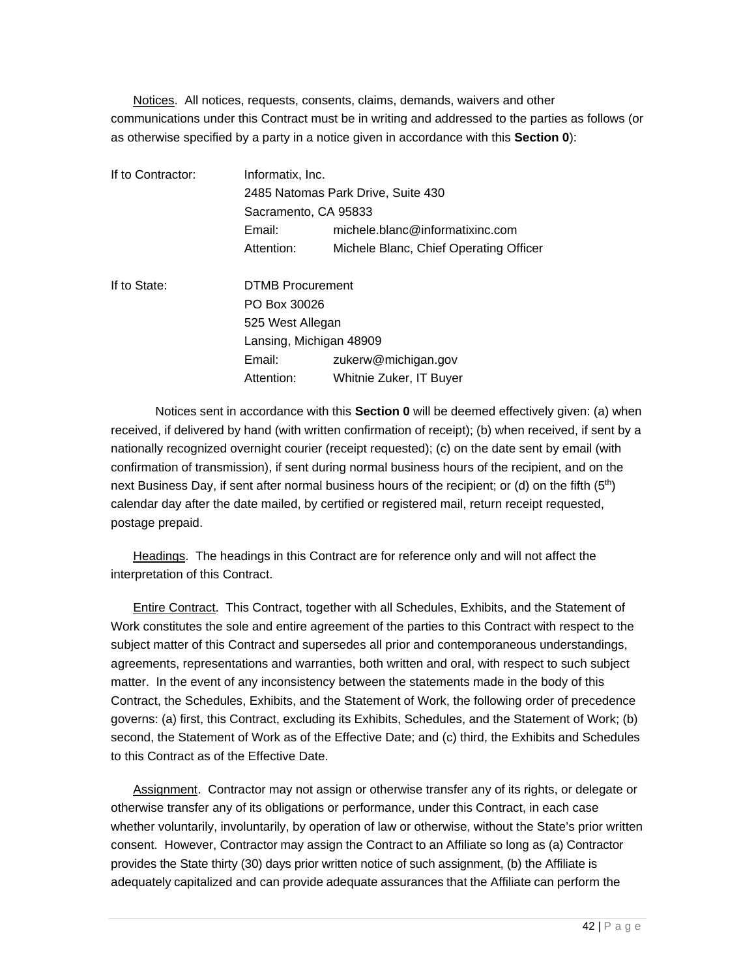Notices. All notices, requests, consents, claims, demands, waivers and other communications under this Contract must be in writing and addressed to the parties as follows (or as otherwise specified by a party in a notice given in accordance with this **Section 0**):

| If to Contractor: | Informatix, Inc.<br>2485 Natomas Park Drive, Suite 430 |                                        |  |  |
|-------------------|--------------------------------------------------------|----------------------------------------|--|--|
|                   |                                                        |                                        |  |  |
|                   |                                                        | Sacramento, CA 95833                   |  |  |
|                   | Email:                                                 | michele.blanc@informatixinc.com        |  |  |
|                   | Attention:                                             | Michele Blanc, Chief Operating Officer |  |  |
| If to State:      | <b>DTMB Procurement</b>                                |                                        |  |  |
|                   | PO Box 30026                                           |                                        |  |  |
|                   | 525 West Allegan                                       |                                        |  |  |
|                   |                                                        | Lansing, Michigan 48909                |  |  |
|                   | Email:                                                 | zukerw@michigan.gov                    |  |  |
|                   | Attention:                                             | Whitnie Zuker, IT Buyer                |  |  |

Notices sent in accordance with this **Section 0** will be deemed effectively given: (a) when received, if delivered by hand (with written confirmation of receipt); (b) when received, if sent by a nationally recognized overnight courier (receipt requested); (c) on the date sent by email (with confirmation of transmission), if sent during normal business hours of the recipient, and on the next Business Day, if sent after normal business hours of the recipient; or (d) on the fifth  $(5<sup>th</sup>)$ calendar day after the date mailed, by certified or registered mail, return receipt requested, postage prepaid.

Headings. The headings in this Contract are for reference only and will not affect the interpretation of this Contract.

Entire Contract. This Contract, together with all Schedules, Exhibits, and the Statement of Work constitutes the sole and entire agreement of the parties to this Contract with respect to the subject matter of this Contract and supersedes all prior and contemporaneous understandings, agreements, representations and warranties, both written and oral, with respect to such subject matter. In the event of any inconsistency between the statements made in the body of this Contract, the Schedules, Exhibits, and the Statement of Work, the following order of precedence governs: (a) first, this Contract, excluding its Exhibits, Schedules, and the Statement of Work; (b) second, the Statement of Work as of the Effective Date; and (c) third, the Exhibits and Schedules to this Contract as of the Effective Date.

Assignment. Contractor may not assign or otherwise transfer any of its rights, or delegate or otherwise transfer any of its obligations or performance, under this Contract, in each case whether voluntarily, involuntarily, by operation of law or otherwise, without the State's prior written consent. However, Contractor may assign the Contract to an Affiliate so long as (a) Contractor provides the State thirty (30) days prior written notice of such assignment, (b) the Affiliate is adequately capitalized and can provide adequate assurances that the Affiliate can perform the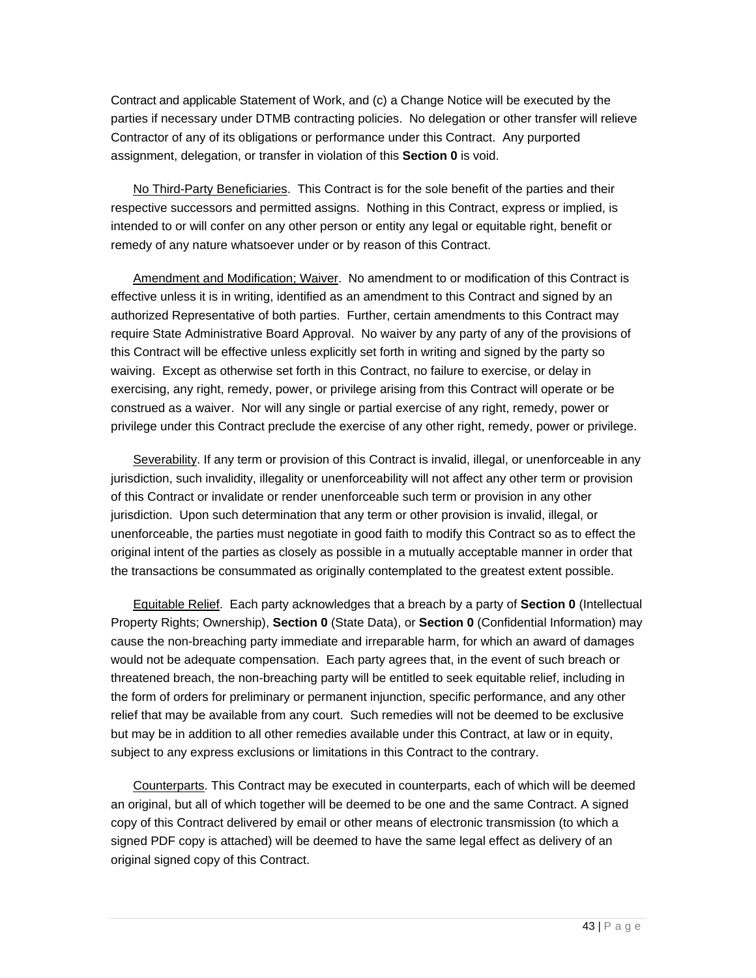Contract and applicable Statement of Work, and (c) a Change Notice will be executed by the parties if necessary under DTMB contracting policies. No delegation or other transfer will relieve Contractor of any of its obligations or performance under this Contract. Any purported assignment, delegation, or transfer in violation of this **Section 0** is void.

No Third-Party Beneficiaries. This Contract is for the sole benefit of the parties and their respective successors and permitted assigns. Nothing in this Contract, express or implied, is intended to or will confer on any other person or entity any legal or equitable right, benefit or remedy of any nature whatsoever under or by reason of this Contract.

Amendment and Modification; Waiver. No amendment to or modification of this Contract is effective unless it is in writing, identified as an amendment to this Contract and signed by an authorized Representative of both parties. Further, certain amendments to this Contract may require State Administrative Board Approval. No waiver by any party of any of the provisions of this Contract will be effective unless explicitly set forth in writing and signed by the party so waiving. Except as otherwise set forth in this Contract, no failure to exercise, or delay in exercising, any right, remedy, power, or privilege arising from this Contract will operate or be construed as a waiver. Nor will any single or partial exercise of any right, remedy, power or privilege under this Contract preclude the exercise of any other right, remedy, power or privilege.

Severability. If any term or provision of this Contract is invalid, illegal, or unenforceable in any jurisdiction, such invalidity, illegality or unenforceability will not affect any other term or provision of this Contract or invalidate or render unenforceable such term or provision in any other jurisdiction. Upon such determination that any term or other provision is invalid, illegal, or unenforceable, the parties must negotiate in good faith to modify this Contract so as to effect the original intent of the parties as closely as possible in a mutually acceptable manner in order that the transactions be consummated as originally contemplated to the greatest extent possible.

Equitable Relief. Each party acknowledges that a breach by a party of **Section 0** (Intellectual Property Rights; Ownership), **Section 0** (State Data), or **Section 0** (Confidential Information) may cause the non-breaching party immediate and irreparable harm, for which an award of damages would not be adequate compensation. Each party agrees that, in the event of such breach or threatened breach, the non-breaching party will be entitled to seek equitable relief, including in the form of orders for preliminary or permanent injunction, specific performance, and any other relief that may be available from any court. Such remedies will not be deemed to be exclusive but may be in addition to all other remedies available under this Contract, at law or in equity, subject to any express exclusions or limitations in this Contract to the contrary.

Counterparts. This Contract may be executed in counterparts, each of which will be deemed an original, but all of which together will be deemed to be one and the same Contract. A signed copy of this Contract delivered by email or other means of electronic transmission (to which a signed PDF copy is attached) will be deemed to have the same legal effect as delivery of an original signed copy of this Contract.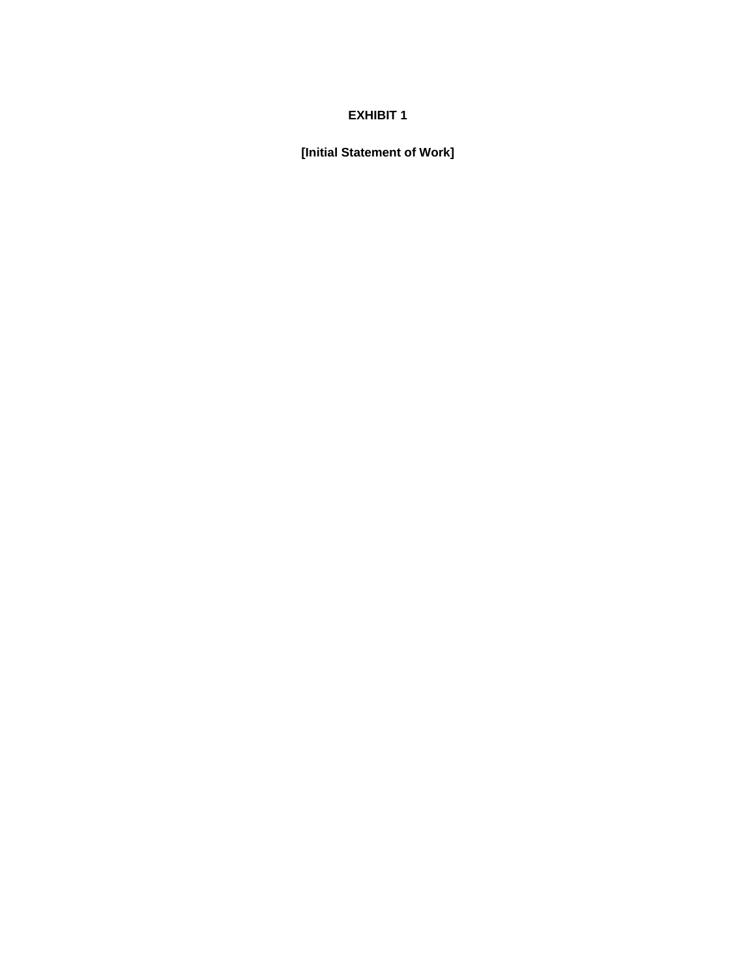#### **EXHIBIT 1**

**[Initial Statement of Work]**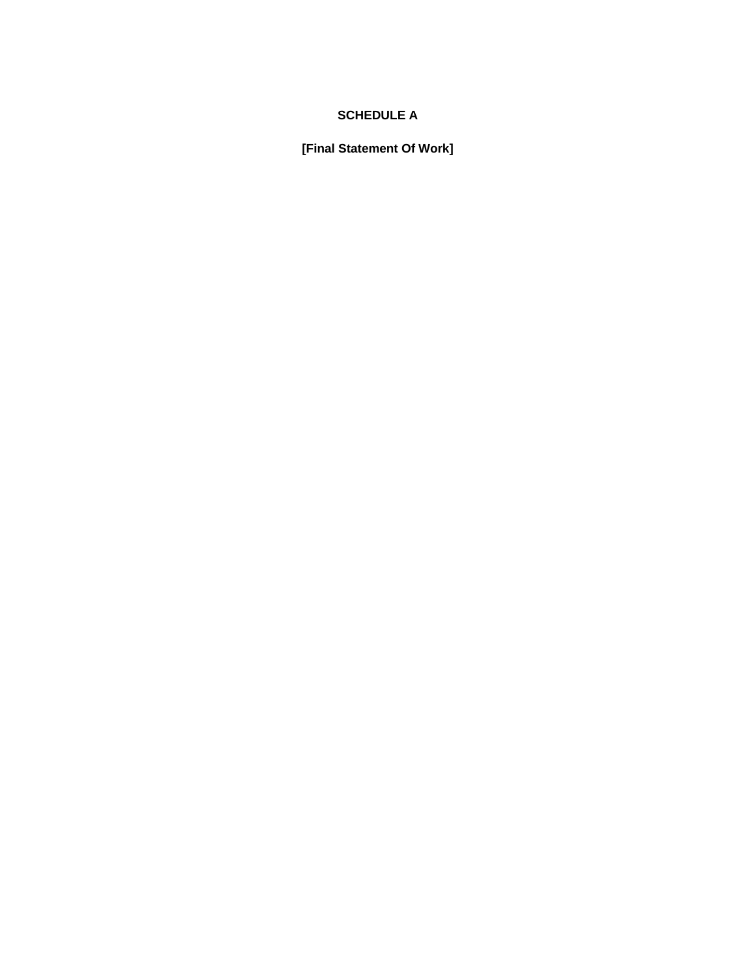#### **SCHEDULE A**

**[Final Statement Of Work]**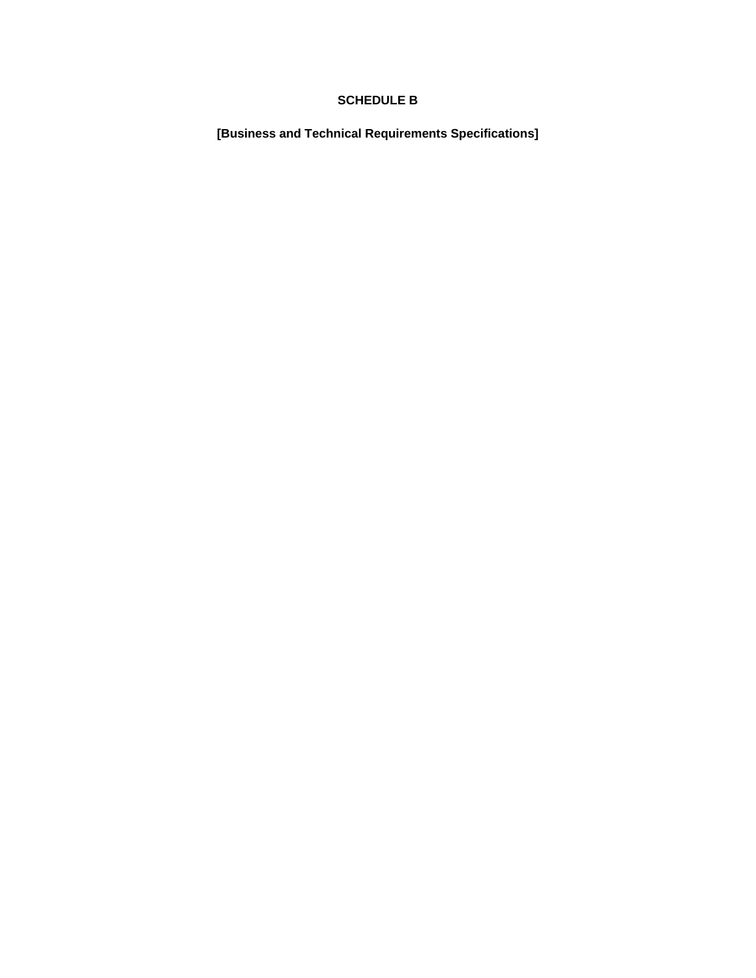#### **SCHEDULE B**

**[Business and Technical Requirements Specifications]**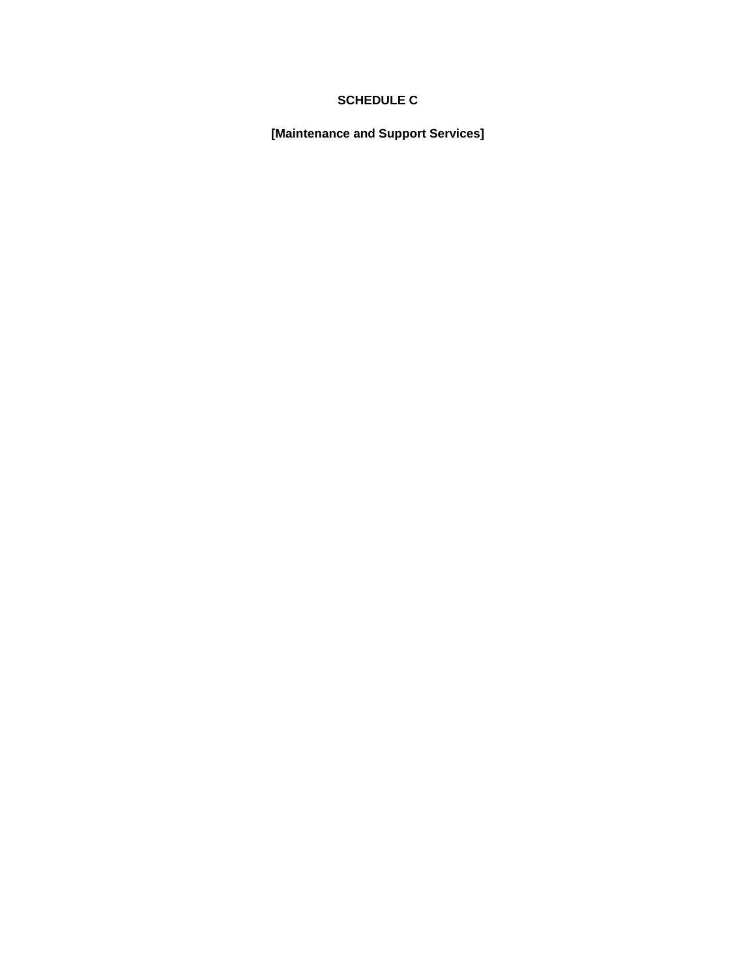#### **SCHEDULE C**

**[Maintenance and Support Services]**